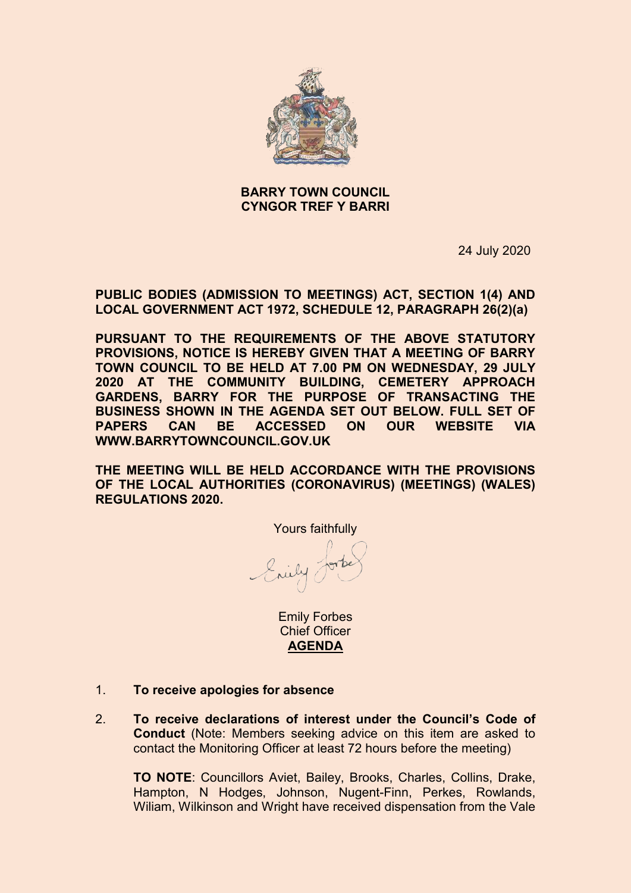

# **BARRY TOWN COUNCIL CYNGOR TREF Y BARRI**

24 July 2020

**PUBLIC BODIES (ADMISSION TO MEETINGS) ACT, SECTION 1(4) AND LOCAL GOVERNMENT ACT 1972, SCHEDULE 12, PARAGRAPH 26(2)(a)**

**PURSUANT TO THE REQUIREMENTS OF THE ABOVE STATUTORY PROVISIONS, NOTICE IS HEREBY GIVEN THAT A MEETING OF BARRY TOWN COUNCIL TO BE HELD AT 7.00 PM ON WEDNESDAY, 29 JULY 2020 AT THE COMMUNITY BUILDING, CEMETERY APPROACH GARDENS, BARRY FOR THE PURPOSE OF TRANSACTING THE BUSINESS SHOWN IN THE AGENDA SET OUT BELOW. FULL SET OF PAPERS CAN BE ACCESSED ON OUR WEBSITE VIA WWW.BARRYTOWNCOUNCIL.GOV.UK**

**THE MEETING WILL BE HELD ACCORDANCE WITH THE PROVISIONS OF THE LOCAL AUTHORITIES (CORONAVIRUS) (MEETINGS) (WALES) REGULATIONS 2020.** 

Yours faithfully

Enily Jork

Emily Forbes Chief Officer **AGENDA**

- 1. **To receive apologies for absence**
- 2. **To receive declarations of interest under the Council's Code of Conduct** (Note: Members seeking advice on this item are asked to contact the Monitoring Officer at least 72 hours before the meeting)

**TO NOTE**: Councillors Aviet, Bailey, Brooks, Charles, Collins, Drake, Hampton, N Hodges, Johnson, Nugent-Finn, Perkes, Rowlands, Wiliam, Wilkinson and Wright have received dispensation from the Vale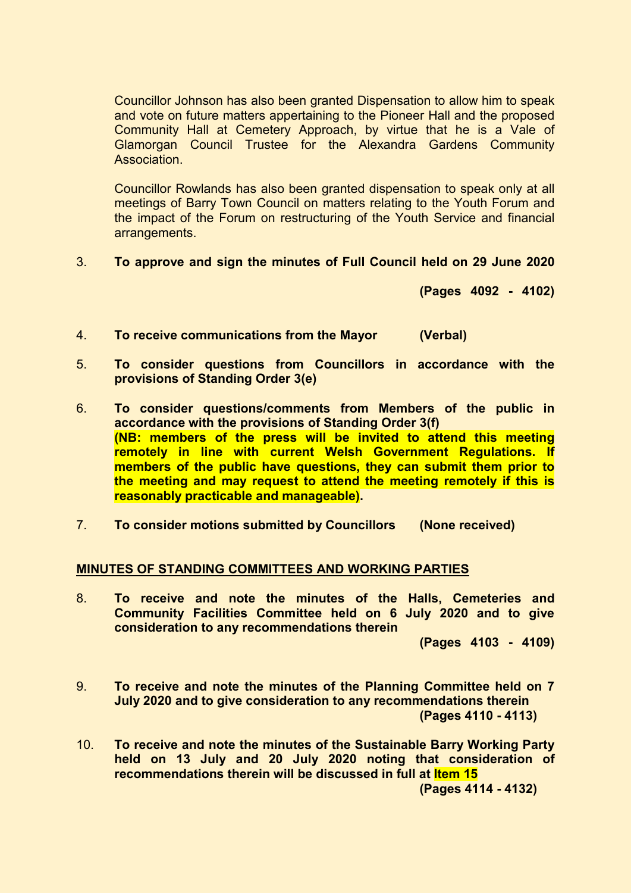Councillor Johnson has also been granted Dispensation to allow him to speak and vote on future matters appertaining to the Pioneer Hall and the proposed Community Hall at Cemetery Approach, by virtue that he is a Vale of Glamorgan Council Trustee for the Alexandra Gardens Community **Association** 

Councillor Rowlands has also been granted dispensation to speak only at all meetings of Barry Town Council on matters relating to the Youth Forum and the impact of the Forum on restructuring of the Youth Service and financial arrangements.

3. **To approve and sign the minutes of Full Council held on 29 June 2020**

**(Pages 4092 - 4102)**

- 4. **To receive communications from the Mayor (Verbal)**
- 5. **To consider questions from Councillors in accordance with the provisions of Standing Order 3(e)**
- 6. **To consider questions/comments from Members of the public in accordance with the provisions of Standing Order 3(f) (NB: members of the press will be invited to attend this meeting remotely in line with current Welsh Government Regulations. If members of the public have questions, they can submit them prior to the meeting and may request to attend the meeting remotely if this is reasonably practicable and manageable).**
- 7. **To consider motions submitted by Councillors (None received)**

### **MINUTES OF STANDING COMMITTEES AND WORKING PARTIES**

8. **To receive and note the minutes of the Halls, Cemeteries and Community Facilities Committee held on 6 July 2020 and to give consideration to any recommendations therein**

**(Pages 4103 - 4109)**

- 9. **To receive and note the minutes of the Planning Committee held on 7 July 2020 and to give consideration to any recommendations therein (Pages 4110 - 4113)**
- 10. **To receive and note the minutes of the Sustainable Barry Working Party held on 13 July and 20 July 2020 noting that consideration of recommendations therein will be discussed in full at Item 15 (Pages 4114 - 4132)**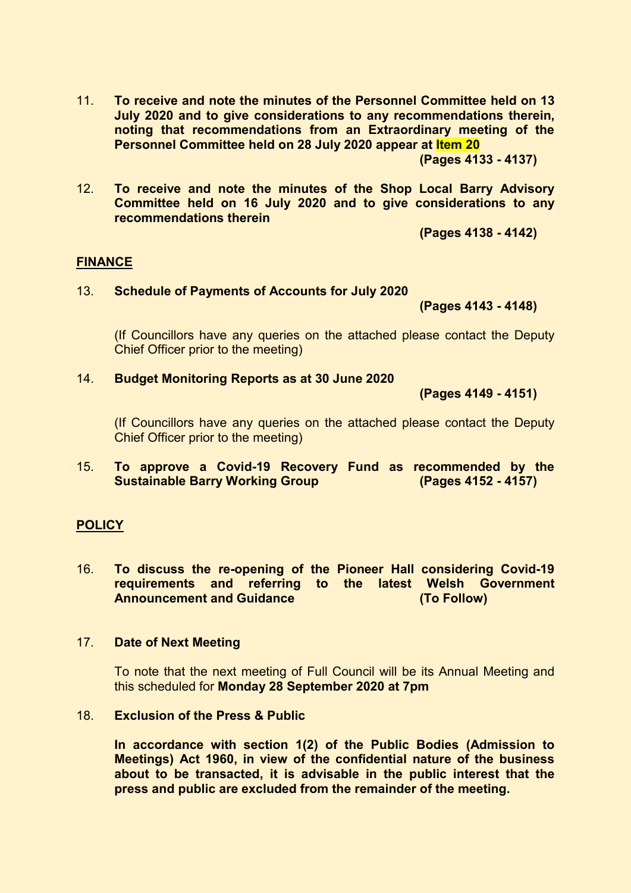11. **To receive and note the minutes of the Personnel Committee held on 13 July 2020 and to give considerations to any recommendations therein, noting that recommendations from an Extraordinary meeting of the Personnel Committee held on 28 July 2020 appear at Item 20**

**(Pages 4133 - 4137)** 

12. **To receive and note the minutes of the Shop Local Barry Advisory Committee held on 16 July 2020 and to give considerations to any recommendations therein**

**(Pages 4138 - 4142)** 

### **FINANCE**

#### 13. **Schedule of Payments of Accounts for July 2020**

**(Pages 4143 - 4148)** 

(If Councillors have any queries on the attached please contact the Deputy Chief Officer prior to the meeting)

#### 14. **Budget Monitoring Reports as at 30 June 2020**

**(Pages 4149 - 4151)**

(If Councillors have any queries on the attached please contact the Deputy Chief Officer prior to the meeting)

15. **To approve a Covid-19 Recovery Fund as recommended by the Sustainable Barry Working Group** 

### **POLICY**

16. **To discuss the re-opening of the Pioneer Hall considering Covid-19 requirements and referring to the latest Welsh Government Announcement and Guidance (To Follow)**

### 17. **Date of Next Meeting**

To note that the next meeting of Full Council will be its Annual Meeting and this scheduled for **Monday 28 September 2020 at 7pm**

# 18. **Exclusion of the Press & Public**

**In accordance with section 1(2) of the Public Bodies (Admission to Meetings) Act 1960, in view of the confidential nature of the business about to be transacted, it is advisable in the public interest that the press and public are excluded from the remainder of the meeting.**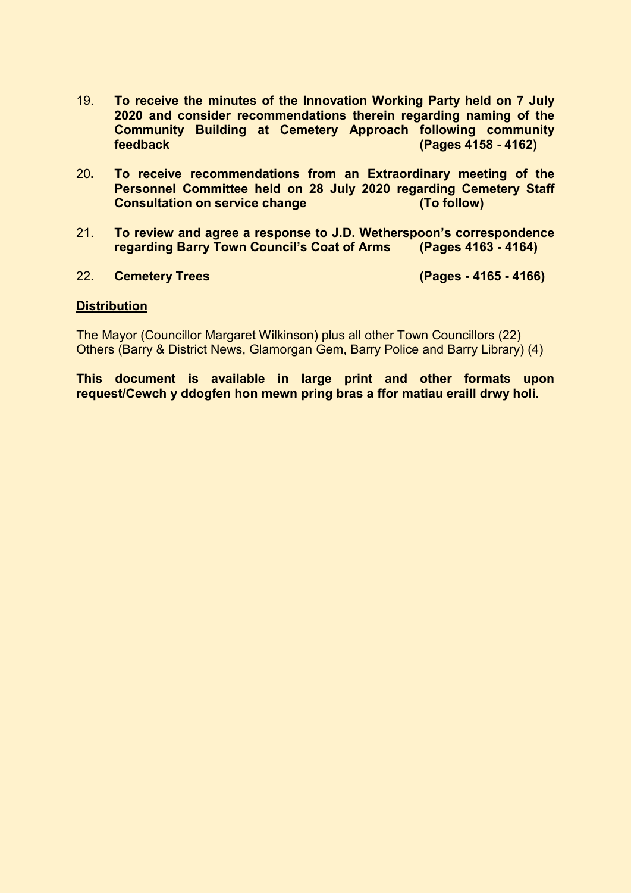- 19. **To receive the minutes of the Innovation Working Party held on 7 July 2020 and consider recommendations therein regarding naming of the Community Building at Cemetery Approach following community feedback (Pages 4158 - 4162)**
- 20**. To receive recommendations from an Extraordinary meeting of the Personnel Committee held on 28 July 2020 regarding Cemetery Staff Consultation on service change**
- 21. **To review and agree a response to J.D. Wetherspoon's correspondence regarding Barry Town Council's Coat of Arms (Pages 4163 - 4164)**

### 22. **Cemetery Trees (Pages - 4165 - 4166)**

### **Distribution**

The Mayor (Councillor Margaret Wilkinson) plus all other Town Councillors (22) Others (Barry & District News, Glamorgan Gem, Barry Police and Barry Library) (4)

**This document is available in large print and other formats upon request/Cewch y ddogfen hon mewn pring bras a ffor matiau eraill drwy holi.**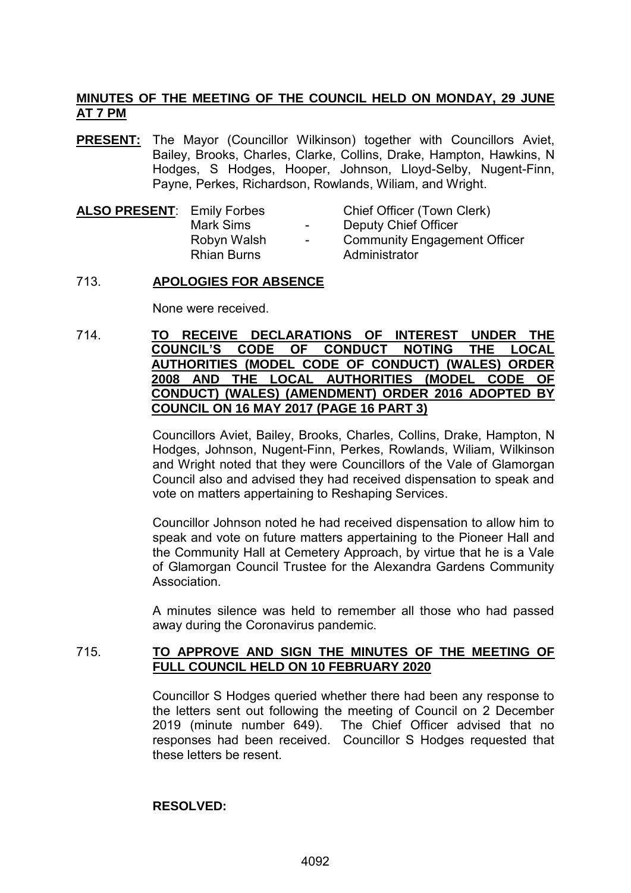# **MINUTES OF THE MEETING OF THE COUNCIL HELD ON MONDAY, 29 JUNE AT 7 PM**

**PRESENT:** The Mayor (Councillor Wilkinson) together with Councillors Aviet, Bailey, Brooks, Charles, Clarke, Collins, Drake, Hampton, Hawkins, N Hodges, S Hodges, Hooper, Johnson, Lloyd-Selby, Nugent-Finn, Payne, Perkes, Richardson, Rowlands, Wiliam, and Wright.

| <b>ALSO PRESENT: Emily Forbes</b> |                    |
|-----------------------------------|--------------------|
|                                   | <b>Mark Sims</b>   |
|                                   | Robyn Walsh        |
|                                   | <b>Rhian Burns</b> |
|                                   |                    |

**Chief Officer (Town Clerk)** Deputy Chief Officer - Community Engagement Officer Administrator

# 713. **APOLOGIES FOR ABSENCE**

None were received.

714. **TO RECEIVE DECLARATIONS OF INTEREST UNDER THE COUNCIL'S CODE OF CONDUCT NOTING THE LOCAL AUTHORITIES (MODEL CODE OF CONDUCT) (WALES) ORDER 2008 AND THE LOCAL AUTHORITIES (MODEL CODE OF CONDUCT) (WALES) (AMENDMENT) ORDER 2016 ADOPTED BY COUNCIL ON 16 MAY 2017 (PAGE 16 PART 3)**

> Councillors Aviet, Bailey, Brooks, Charles, Collins, Drake, Hampton, N Hodges, Johnson, Nugent-Finn, Perkes, Rowlands, Wiliam, Wilkinson and Wright noted that they were Councillors of the Vale of Glamorgan Council also and advised they had received dispensation to speak and vote on matters appertaining to Reshaping Services.

> Councillor Johnson noted he had received dispensation to allow him to speak and vote on future matters appertaining to the Pioneer Hall and the Community Hall at Cemetery Approach, by virtue that he is a Vale of Glamorgan Council Trustee for the Alexandra Gardens Community **Association**

> A minutes silence was held to remember all those who had passed away during the Coronavirus pandemic.

# 715. **TO APPROVE AND SIGN THE MINUTES OF THE MEETING OF FULL COUNCIL HELD ON 10 FEBRUARY 2020**

Councillor S Hodges queried whether there had been any response to the letters sent out following the meeting of Council on 2 December 2019 (minute number 649). The Chief Officer advised that no responses had been received. Councillor S Hodges requested that these letters be resent.

### **RESOLVED:**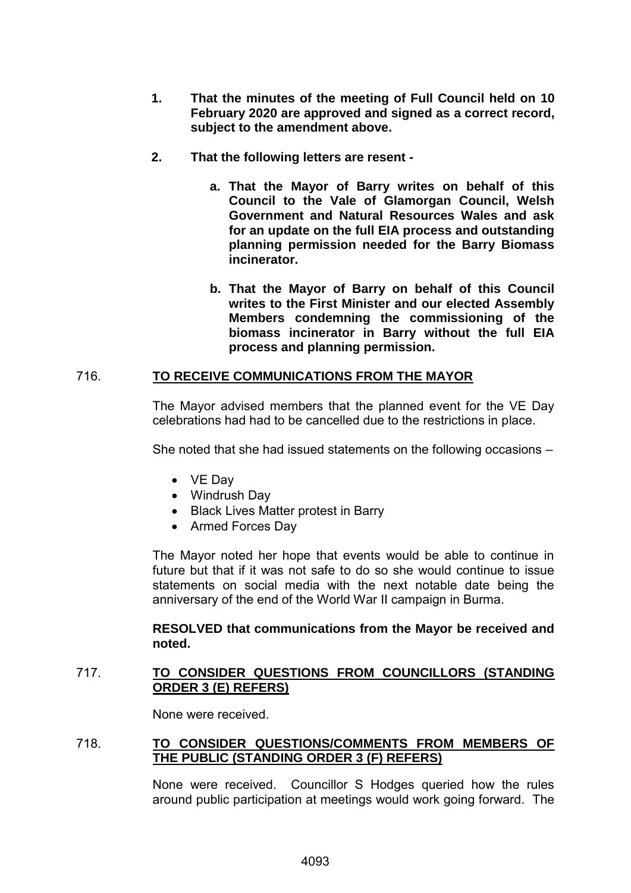- **1. That the minutes of the meeting of Full Council held on 10 February 2020 are approved and signed as a correct record, subject to the amendment above.**
- **2. That the following letters are resent** 
	- **a. That the Mayor of Barry writes on behalf of this Council to the Vale of Glamorgan Council, Welsh Government and Natural Resources Wales and ask for an update on the full EIA process and outstanding planning permission needed for the Barry Biomass incinerator.**
	- **b. That the Mayor of Barry on behalf of this Council writes to the First Minister and our elected Assembly Members condemning the commissioning of the biomass incinerator in Barry without the full EIA process and planning permission.**

# 716. **TO RECEIVE COMMUNICATIONS FROM THE MAYOR**

The Mayor advised members that the planned event for the VE Day celebrations had had to be cancelled due to the restrictions in place.

She noted that she had issued statements on the following occasions –

- VE Day
- Windrush Day
- Black Lives Matter protest in Barry
- Armed Forces Day

The Mayor noted her hope that events would be able to continue in future but that if it was not safe to do so she would continue to issue statements on social media with the next notable date being the anniversary of the end of the World War II campaign in Burma.

# **RESOLVED that communications from the Mayor be received and noted.**

# 717. **TO CONSIDER QUESTIONS FROM COUNCILLORS (STANDING ORDER 3 (E) REFERS)**

None were received.

# 718. **TO CONSIDER QUESTIONS/COMMENTS FROM MEMBERS OF THE PUBLIC (STANDING ORDER 3 (F) REFERS)**

None were received. Councillor S Hodges queried how the rules around public participation at meetings would work going forward. The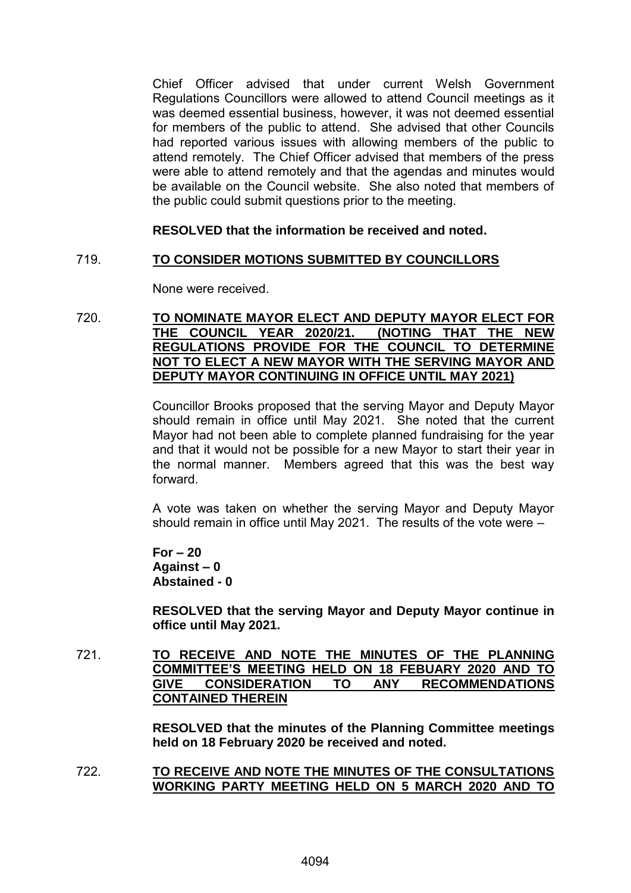Chief Officer advised that under current Welsh Government Regulations Councillors were allowed to attend Council meetings as it was deemed essential business, however, it was not deemed essential for members of the public to attend. She advised that other Councils had reported various issues with allowing members of the public to attend remotely. The Chief Officer advised that members of the press were able to attend remotely and that the agendas and minutes would be available on the Council website. She also noted that members of the public could submit questions prior to the meeting.

# **RESOLVED that the information be received and noted.**

# 719. **TO CONSIDER MOTIONS SUBMITTED BY COUNCILLORS**

None were received.

### 720. **TO NOMINATE MAYOR ELECT AND DEPUTY MAYOR ELECT FOR**  THE COUNCIL YEAR 2020/21. **REGULATIONS PROVIDE FOR THE COUNCIL TO DETERMINE NOT TO ELECT A NEW MAYOR WITH THE SERVING MAYOR AND DEPUTY MAYOR CONTINUING IN OFFICE UNTIL MAY 2021)**

Councillor Brooks proposed that the serving Mayor and Deputy Mayor should remain in office until May 2021. She noted that the current Mayor had not been able to complete planned fundraising for the year and that it would not be possible for a new Mayor to start their year in the normal manner. Members agreed that this was the best way forward.

A vote was taken on whether the serving Mayor and Deputy Mayor should remain in office until May 2021. The results of the vote were –

**For – 20 Against – 0 Abstained - 0**

**RESOLVED that the serving Mayor and Deputy Mayor continue in office until May 2021.**

721. **TO RECEIVE AND NOTE THE MINUTES OF THE PLANNING COMMITTEE'S MEETING HELD ON 18 FEBUARY 2020 AND TO GIVE CONSIDERATION TO ANY RECOMMENDATIONS CONTAINED THEREIN**

> **RESOLVED that the minutes of the Planning Committee meetings held on 18 February 2020 be received and noted.**

722. **TO RECEIVE AND NOTE THE MINUTES OF THE CONSULTATIONS WORKING PARTY MEETING HELD ON 5 MARCH 2020 AND TO**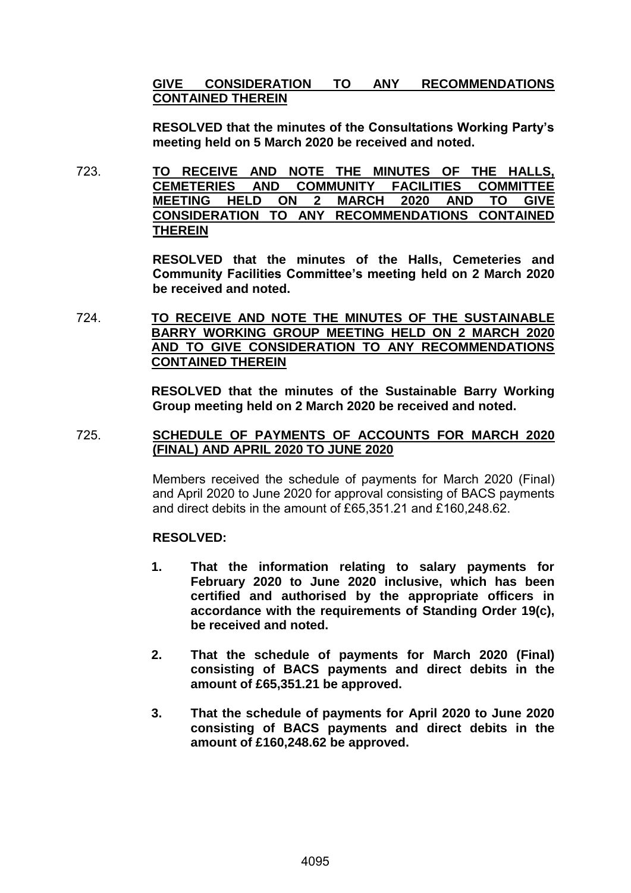# **GIVE CONSIDERATION TO ANY RECOMMENDATIONS CONTAINED THEREIN**

**RESOLVED that the minutes of the Consultations Working Party's meeting held on 5 March 2020 be received and noted.**

723. **TO RECEIVE AND NOTE THE MINUTES OF THE HALLS, CEMETERIES AND COMMUNITY FACILITIES COMMITTEE MEETING HELD ON 2 MARCH 2020 AND TO GIVE CONSIDERATION TO ANY RECOMMENDATIONS CONTAINED THEREIN**

> **RESOLVED that the minutes of the Halls, Cemeteries and Community Facilities Committee's meeting held on 2 March 2020 be received and noted.**

724. **TO RECEIVE AND NOTE THE MINUTES OF THE SUSTAINABLE BARRY WORKING GROUP MEETING HELD ON 2 MARCH 2020 AND TO GIVE CONSIDERATION TO ANY RECOMMENDATIONS CONTAINED THEREIN**

> **RESOLVED that the minutes of the Sustainable Barry Working Group meeting held on 2 March 2020 be received and noted.**

# 725. **SCHEDULE OF PAYMENTS OF ACCOUNTS FOR MARCH 2020 (FINAL) AND APRIL 2020 TO JUNE 2020**

Members received the schedule of payments for March 2020 (Final) and April 2020 to June 2020 for approval consisting of BACS payments and direct debits in the amount of £65,351.21 and £160,248.62.

# **RESOLVED:**

- **1. That the information relating to salary payments for February 2020 to June 2020 inclusive, which has been certified and authorised by the appropriate officers in accordance with the requirements of Standing Order 19(c), be received and noted.**
- **2. That the schedule of payments for March 2020 (Final) consisting of BACS payments and direct debits in the amount of £65,351.21 be approved.**
- **3. That the schedule of payments for April 2020 to June 2020 consisting of BACS payments and direct debits in the amount of £160,248.62 be approved.**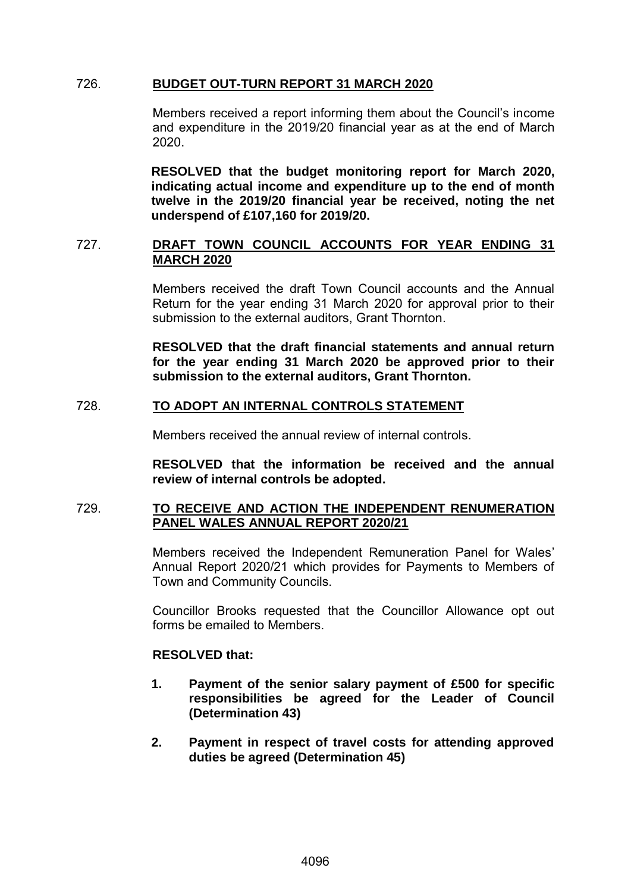# 726. **BUDGET OUT-TURN REPORT 31 MARCH 2020**

Members received a report informing them about the Council's income and expenditure in the 2019/20 financial year as at the end of March 2020.

**RESOLVED that the budget monitoring report for March 2020, indicating actual income and expenditure up to the end of month twelve in the 2019/20 financial year be received, noting the net underspend of £107,160 for 2019/20.**

# 727. **DRAFT TOWN COUNCIL ACCOUNTS FOR YEAR ENDING 31 MARCH 2020**

Members received the draft Town Council accounts and the Annual Return for the year ending 31 March 2020 for approval prior to their submission to the external auditors, Grant Thornton.

**RESOLVED that the draft financial statements and annual return for the year ending 31 March 2020 be approved prior to their submission to the external auditors, Grant Thornton.**

# 728. **TO ADOPT AN INTERNAL CONTROLS STATEMENT**

Members received the annual review of internal controls.

**RESOLVED that the information be received and the annual review of internal controls be adopted.**

### 729. **TO RECEIVE AND ACTION THE INDEPENDENT RENUMERATION PANEL WALES ANNUAL REPORT 2020/21**

Members received the Independent Remuneration Panel for Wales' Annual Report 2020/21 which provides for Payments to Members of Town and Community Councils.

Councillor Brooks requested that the Councillor Allowance opt out forms be emailed to Members.

### **RESOLVED that:**

- **1. Payment of the senior salary payment of £500 for specific responsibilities be agreed for the Leader of Council (Determination 43)**
- **2. Payment in respect of travel costs for attending approved duties be agreed (Determination 45)**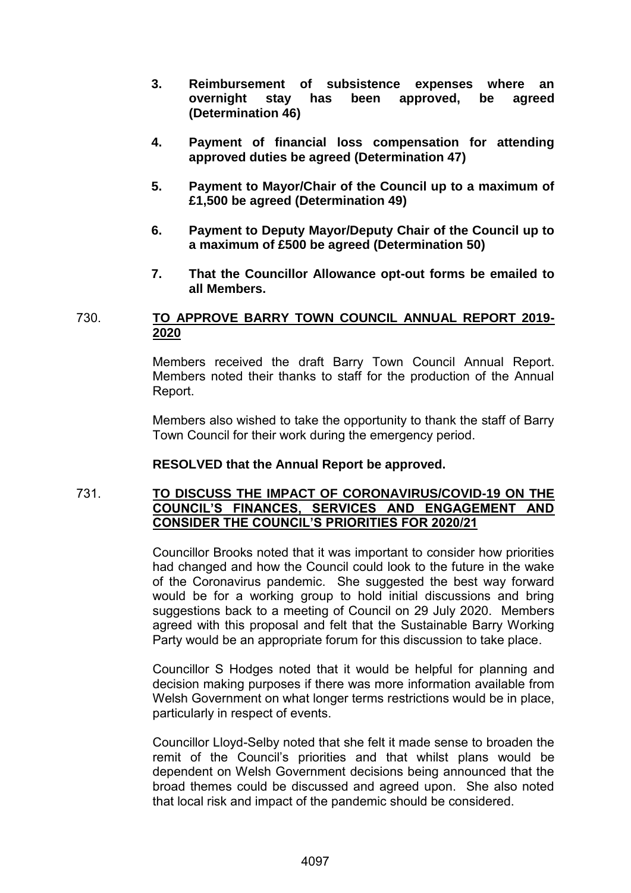- **3. Reimbursement of subsistence expenses where an overnight stay has been approved, be agreed (Determination 46)**
- **4. Payment of financial loss compensation for attending approved duties be agreed (Determination 47)**
- **5. Payment to Mayor/Chair of the Council up to a maximum of £1,500 be agreed (Determination 49)**
- **6. Payment to Deputy Mayor/Deputy Chair of the Council up to a maximum of £500 be agreed (Determination 50)**
- **7. That the Councillor Allowance opt-out forms be emailed to all Members.**

# 730. **TO APPROVE BARRY TOWN COUNCIL ANNUAL REPORT 2019- 2020**

Members received the draft Barry Town Council Annual Report. Members noted their thanks to staff for the production of the Annual Report.

Members also wished to take the opportunity to thank the staff of Barry Town Council for their work during the emergency period.

# **RESOLVED that the Annual Report be approved.**

# 731. **TO DISCUSS THE IMPACT OF CORONAVIRUS/COVID-19 ON THE COUNCIL'S FINANCES, SERVICES AND ENGAGEMENT AND CONSIDER THE COUNCIL'S PRIORITIES FOR 2020/21**

Councillor Brooks noted that it was important to consider how priorities had changed and how the Council could look to the future in the wake of the Coronavirus pandemic. She suggested the best way forward would be for a working group to hold initial discussions and bring suggestions back to a meeting of Council on 29 July 2020. Members agreed with this proposal and felt that the Sustainable Barry Working Party would be an appropriate forum for this discussion to take place.

Councillor S Hodges noted that it would be helpful for planning and decision making purposes if there was more information available from Welsh Government on what longer terms restrictions would be in place, particularly in respect of events.

Councillor Lloyd-Selby noted that she felt it made sense to broaden the remit of the Council's priorities and that whilst plans would be dependent on Welsh Government decisions being announced that the broad themes could be discussed and agreed upon. She also noted that local risk and impact of the pandemic should be considered.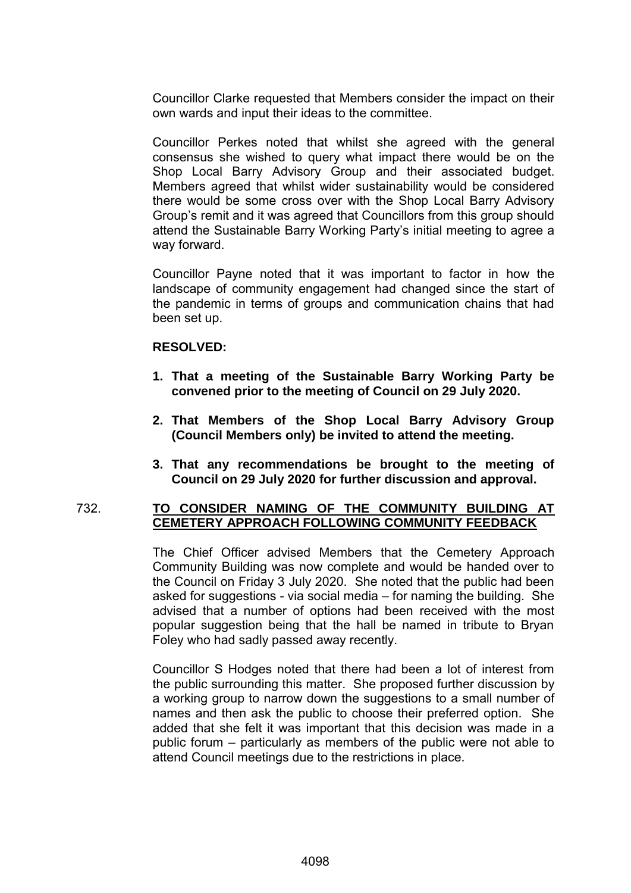Councillor Clarke requested that Members consider the impact on their own wards and input their ideas to the committee.

Councillor Perkes noted that whilst she agreed with the general consensus she wished to query what impact there would be on the Shop Local Barry Advisory Group and their associated budget. Members agreed that whilst wider sustainability would be considered there would be some cross over with the Shop Local Barry Advisory Group's remit and it was agreed that Councillors from this group should attend the Sustainable Barry Working Party's initial meeting to agree a way forward.

Councillor Payne noted that it was important to factor in how the landscape of community engagement had changed since the start of the pandemic in terms of groups and communication chains that had been set up.

# **RESOLVED:**

- **1. That a meeting of the Sustainable Barry Working Party be convened prior to the meeting of Council on 29 July 2020.**
- **2. That Members of the Shop Local Barry Advisory Group (Council Members only) be invited to attend the meeting.**
- **3. That any recommendations be brought to the meeting of Council on 29 July 2020 for further discussion and approval.**

### 732. **TO CONSIDER NAMING OF THE COMMUNITY BUILDING AT CEMETERY APPROACH FOLLOWING COMMUNITY FEEDBACK**

The Chief Officer advised Members that the Cemetery Approach Community Building was now complete and would be handed over to the Council on Friday 3 July 2020. She noted that the public had been asked for suggestions - via social media – for naming the building. She advised that a number of options had been received with the most popular suggestion being that the hall be named in tribute to Bryan Foley who had sadly passed away recently.

Councillor S Hodges noted that there had been a lot of interest from the public surrounding this matter. She proposed further discussion by a working group to narrow down the suggestions to a small number of names and then ask the public to choose their preferred option. She added that she felt it was important that this decision was made in a public forum – particularly as members of the public were not able to attend Council meetings due to the restrictions in place.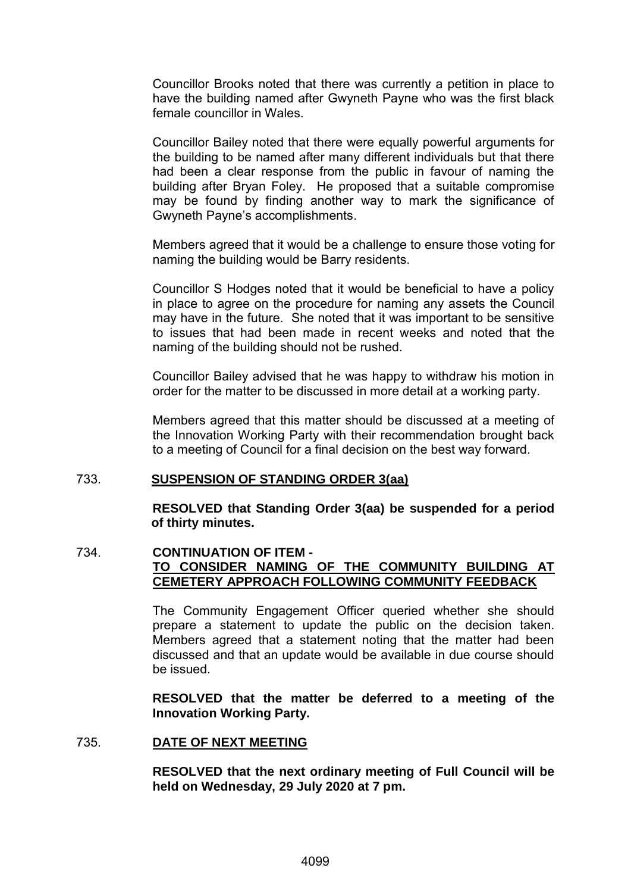Councillor Brooks noted that there was currently a petition in place to have the building named after Gwyneth Payne who was the first black female councillor in Wales.

Councillor Bailey noted that there were equally powerful arguments for the building to be named after many different individuals but that there had been a clear response from the public in favour of naming the building after Bryan Foley. He proposed that a suitable compromise may be found by finding another way to mark the significance of Gwyneth Payne's accomplishments.

Members agreed that it would be a challenge to ensure those voting for naming the building would be Barry residents.

Councillor S Hodges noted that it would be beneficial to have a policy in place to agree on the procedure for naming any assets the Council may have in the future. She noted that it was important to be sensitive to issues that had been made in recent weeks and noted that the naming of the building should not be rushed.

Councillor Bailey advised that he was happy to withdraw his motion in order for the matter to be discussed in more detail at a working party.

Members agreed that this matter should be discussed at a meeting of the Innovation Working Party with their recommendation brought back to a meeting of Council for a final decision on the best way forward.

### 733. **SUSPENSION OF STANDING ORDER 3(aa)**

**RESOLVED that Standing Order 3(aa) be suspended for a period of thirty minutes.**

# 734. **CONTINUATION OF ITEM - TO CONSIDER NAMING OF THE COMMUNITY BUILDING AT CEMETERY APPROACH FOLLOWING COMMUNITY FEEDBACK**

The Community Engagement Officer queried whether she should prepare a statement to update the public on the decision taken. Members agreed that a statement noting that the matter had been discussed and that an update would be available in due course should be issued.

**RESOLVED that the matter be deferred to a meeting of the Innovation Working Party.**

### 735. **DATE OF NEXT MEETING**

**RESOLVED that the next ordinary meeting of Full Council will be held on Wednesday, 29 July 2020 at 7 pm.**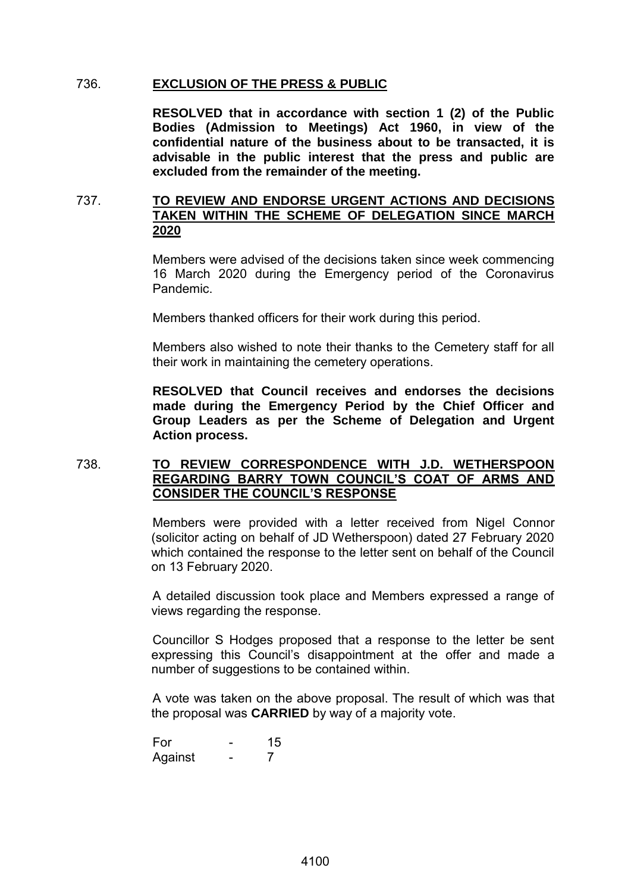### 736. **EXCLUSION OF THE PRESS & PUBLIC**

**RESOLVED that in accordance with section 1 (2) of the Public Bodies (Admission to Meetings) Act 1960, in view of the confidential nature of the business about to be transacted, it is advisable in the public interest that the press and public are excluded from the remainder of the meeting.**

# 737. **TO REVIEW AND ENDORSE URGENT ACTIONS AND DECISIONS TAKEN WITHIN THE SCHEME OF DELEGATION SINCE MARCH 2020**

Members were advised of the decisions taken since week commencing 16 March 2020 during the Emergency period of the Coronavirus Pandemic.

Members thanked officers for their work during this period.

Members also wished to note their thanks to the Cemetery staff for all their work in maintaining the cemetery operations.

**RESOLVED that Council receives and endorses the decisions made during the Emergency Period by the Chief Officer and Group Leaders as per the Scheme of Delegation and Urgent Action process.**

# 738. **TO REVIEW CORRESPONDENCE WITH J.D. WETHERSPOON REGARDING BARRY TOWN COUNCIL'S COAT OF ARMS AND CONSIDER THE COUNCIL'S RESPONSE**

Members were provided with a letter received from Nigel Connor (solicitor acting on behalf of JD Wetherspoon) dated 27 February 2020 which contained the response to the letter sent on behalf of the Council on 13 February 2020.

A detailed discussion took place and Members expressed a range of views regarding the response.

Councillor S Hodges proposed that a response to the letter be sent expressing this Council's disappointment at the offer and made a number of suggestions to be contained within.

A vote was taken on the above proposal. The result of which was that the proposal was **CARRIED** by way of a majority vote.

For - 15 Against - 7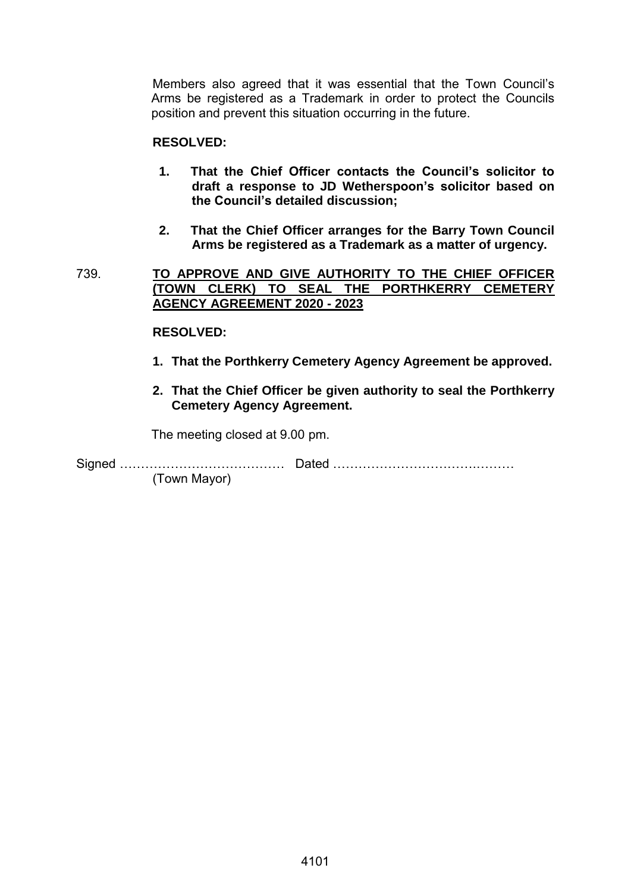Members also agreed that it was essential that the Town Council's Arms be registered as a Trademark in order to protect the Councils position and prevent this situation occurring in the future.

# **RESOLVED:**

- **1. That the Chief Officer contacts the Council's solicitor to draft a response to JD Wetherspoon's solicitor based on the Council's detailed discussion;**
- **2. That the Chief Officer arranges for the Barry Town Council Arms be registered as a Trademark as a matter of urgency.**
- 739. **TO APPROVE AND GIVE AUTHORITY TO THE CHIEF OFFICER (TOWN CLERK) TO SEAL THE PORTHKERRY CEMETERY AGENCY AGREEMENT 2020 - 2023**

### **RESOLVED:**

- **1. That the Porthkerry Cemetery Agency Agreement be approved.**
- **2. That the Chief Officer be given authority to seal the Porthkerry Cemetery Agency Agreement.**

The meeting closed at 9.00 pm.

Signed ………………………………… Dated …………………………….……… (Town Mayor)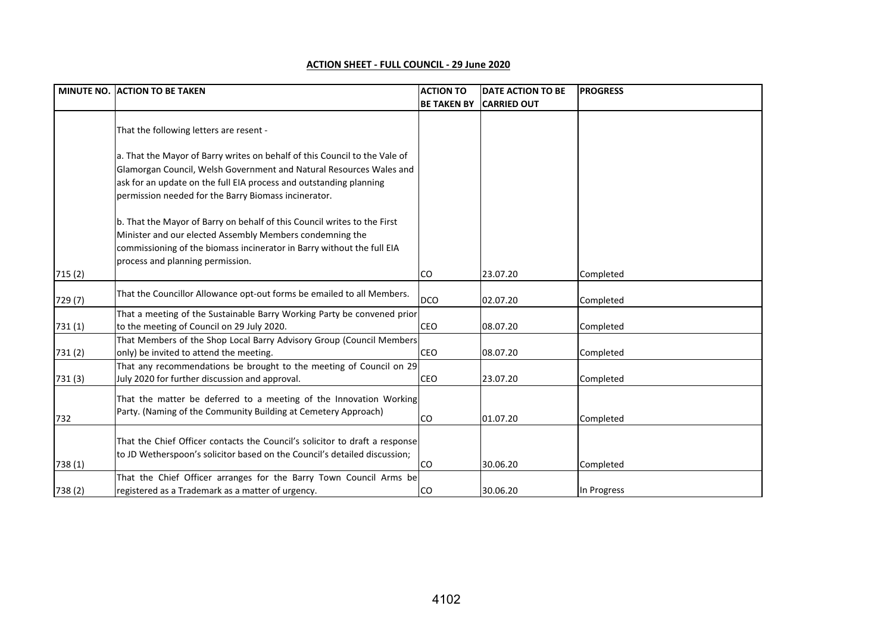|  | <b>ACTION SHEET - FULL COUNCIL - 29 June 2020</b> |  |  |
|--|---------------------------------------------------|--|--|
|  |                                                   |  |  |

|         | MINUTE NO. ACTION TO BE TAKEN                                                                                                                                                                                                                                                   | <b>ACTION TO</b>   | <b>DATE ACTION TO BE</b> | <b>PROGRESS</b> |
|---------|---------------------------------------------------------------------------------------------------------------------------------------------------------------------------------------------------------------------------------------------------------------------------------|--------------------|--------------------------|-----------------|
|         |                                                                                                                                                                                                                                                                                 | <b>BE TAKEN BY</b> | <b>CARRIED OUT</b>       |                 |
|         | That the following letters are resent -                                                                                                                                                                                                                                         |                    |                          |                 |
|         | a. That the Mayor of Barry writes on behalf of this Council to the Vale of<br>Glamorgan Council, Welsh Government and Natural Resources Wales and<br>ask for an update on the full EIA process and outstanding planning<br>permission needed for the Barry Biomass incinerator. |                    |                          |                 |
| 715 (2) | b. That the Mayor of Barry on behalf of this Council writes to the First<br>Minister and our elected Assembly Members condemning the<br>commissioning of the biomass incinerator in Barry without the full EIA<br>process and planning permission.                              | CO.                | 23.07.20                 | Completed       |
|         |                                                                                                                                                                                                                                                                                 |                    |                          |                 |
| 729 (7) | That the Councillor Allowance opt-out forms be emailed to all Members.                                                                                                                                                                                                          | <b>DCO</b>         | 02.07.20                 | Completed       |
| 731(1)  | That a meeting of the Sustainable Barry Working Party be convened prior<br>to the meeting of Council on 29 July 2020.                                                                                                                                                           | <b>CEO</b>         | 08.07.20                 | Completed       |
| 731 (2) | That Members of the Shop Local Barry Advisory Group (Council Members<br>only) be invited to attend the meeting.                                                                                                                                                                 | <b>CEO</b>         | 08.07.20                 | Completed       |
| 731(3)  | That any recommendations be brought to the meeting of Council on 29<br>July 2020 for further discussion and approval.                                                                                                                                                           | <b>CEO</b>         | 23.07.20                 | Completed       |
| 732     | That the matter be deferred to a meeting of the Innovation Working<br>Party. (Naming of the Community Building at Cemetery Approach)                                                                                                                                            | <b>CO</b>          | 01.07.20                 | Completed       |
| 738 (1) | That the Chief Officer contacts the Council's solicitor to draft a response<br>to JD Wetherspoon's solicitor based on the Council's detailed discussion;                                                                                                                        | lco                | 30.06.20                 | Completed       |
| 738 (2) | That the Chief Officer arranges for the Barry Town Council Arms be<br>registered as a Trademark as a matter of urgency.                                                                                                                                                         | <b>CO</b>          | 30.06.20                 | In Progress     |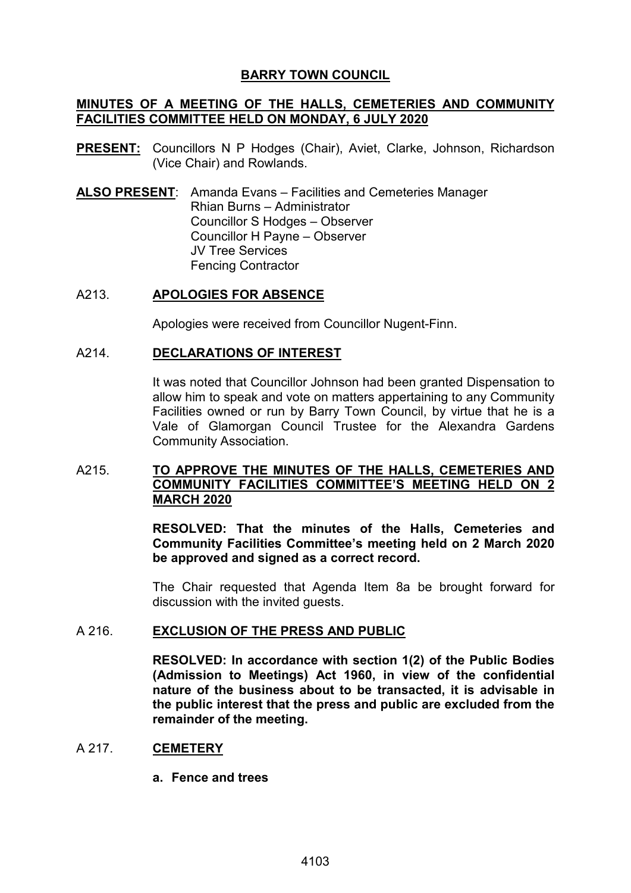# **BARRY TOWN COUNCIL**

# **MINUTES OF A MEETING OF THE HALLS, CEMETERIES AND COMMUNITY FACILITIES COMMITTEE HELD ON MONDAY, 6 JULY 2020**

- **PRESENT:** Councillors N P Hodges (Chair), Aviet, Clarke, Johnson, Richardson (Vice Chair) and Rowlands.
- **ALSO PRESENT**: Amanda Evans Facilities and Cemeteries Manager Rhian Burns – Administrator Councillor S Hodges – Observer Councillor H Payne – Observer JV Tree Services Fencing Contractor

### A213. **APOLOGIES FOR ABSENCE**

Apologies were received from Councillor Nugent-Finn.

### A214. **DECLARATIONS OF INTEREST**

It was noted that Councillor Johnson had been granted Dispensation to allow him to speak and vote on matters appertaining to any Community Facilities owned or run by Barry Town Council, by virtue that he is a Vale of Glamorgan Council Trustee for the Alexandra Gardens Community Association.

# A215. **TO APPROVE THE MINUTES OF THE HALLS, CEMETERIES AND COMMUNITY FACILITIES COMMITTEE'S MEETING HELD ON 2 MARCH 2020**

**RESOLVED: That the minutes of the Halls, Cemeteries and Community Facilities Committee's meeting held on 2 March 2020 be approved and signed as a correct record.** 

The Chair requested that Agenda Item 8a be brought forward for discussion with the invited guests.

### A 216. **EXCLUSION OF THE PRESS AND PUBLIC**

**RESOLVED: In accordance with section 1(2) of the Public Bodies (Admission to Meetings) Act 1960, in view of the confidential nature of the business about to be transacted, it is advisable in the public interest that the press and public are excluded from the remainder of the meeting.**

# A 217. **CEMETERY**

**a. Fence and trees**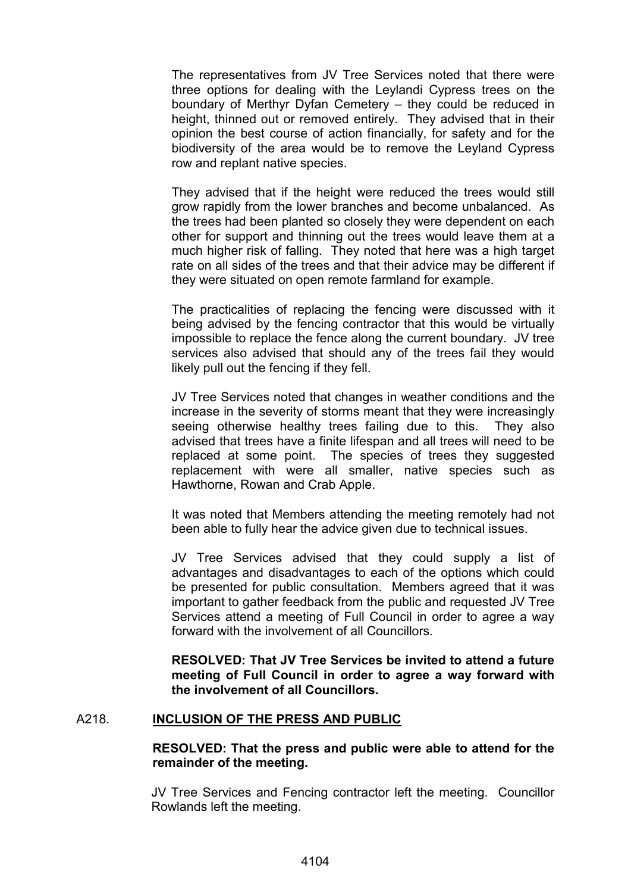The representatives from JV Tree Services noted that there were three options for dealing with the Leylandi Cypress trees on the boundary of Merthyr Dyfan Cemetery – they could be reduced in height, thinned out or removed entirely. They advised that in their opinion the best course of action financially, for safety and for the biodiversity of the area would be to remove the Leyland Cypress row and replant native species.

They advised that if the height were reduced the trees would still grow rapidly from the lower branches and become unbalanced. As the trees had been planted so closely they were dependent on each other for support and thinning out the trees would leave them at a much higher risk of falling. They noted that here was a high target rate on all sides of the trees and that their advice may be different if they were situated on open remote farmland for example.

The practicalities of replacing the fencing were discussed with it being advised by the fencing contractor that this would be virtually impossible to replace the fence along the current boundary. JV tree services also advised that should any of the trees fail they would likely pull out the fencing if they fell.

JV Tree Services noted that changes in weather conditions and the increase in the severity of storms meant that they were increasingly seeing otherwise healthy trees failing due to this. They also advised that trees have a finite lifespan and all trees will need to be replaced at some point. The species of trees they suggested replacement with were all smaller, native species such as Hawthorne, Rowan and Crab Apple.

It was noted that Members attending the meeting remotely had not been able to fully hear the advice given due to technical issues.

JV Tree Services advised that they could supply a list of advantages and disadvantages to each of the options which could be presented for public consultation. Members agreed that it was important to gather feedback from the public and requested JV Tree Services attend a meeting of Full Council in order to agree a way forward with the involvement of all Councillors.

**RESOLVED: That JV Tree Services be invited to attend a future meeting of Full Council in order to agree a way forward with the involvement of all Councillors.**

### A218. **INCLUSION OF THE PRESS AND PUBLIC**

# **RESOLVED: That the press and public were able to attend for the remainder of the meeting.**

JV Tree Services and Fencing contractor left the meeting. Councillor Rowlands left the meeting.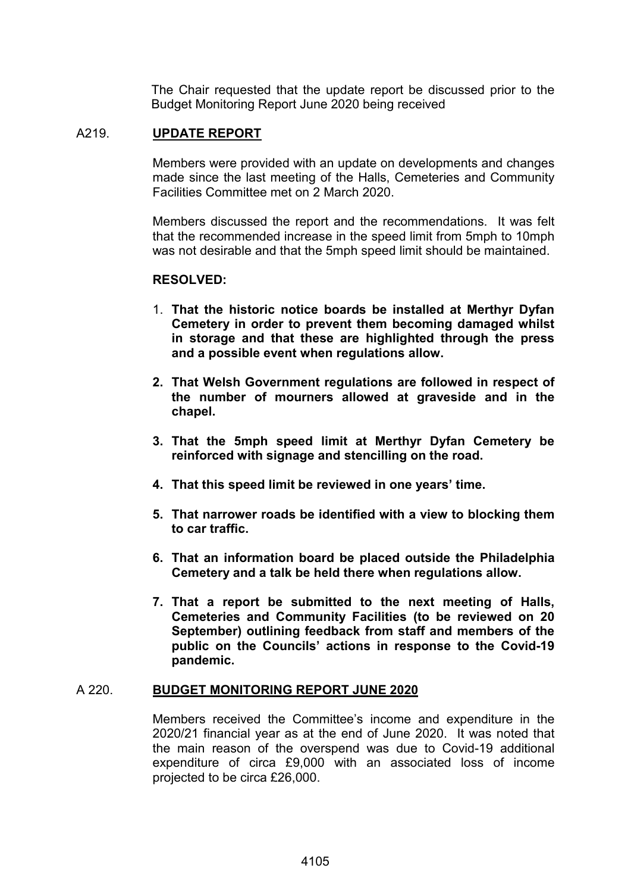The Chair requested that the update report be discussed prior to the Budget Monitoring Report June 2020 being received

# A219. **UPDATE REPORT**

Members were provided with an update on developments and changes made since the last meeting of the Halls, Cemeteries and Community Facilities Committee met on 2 March 2020.

Members discussed the report and the recommendations. It was felt that the recommended increase in the speed limit from 5mph to 10mph was not desirable and that the 5mph speed limit should be maintained.

### **RESOLVED:**

- 1. **That the historic notice boards be installed at Merthyr Dyfan Cemetery in order to prevent them becoming damaged whilst in storage and that these are highlighted through the press and a possible event when regulations allow.**
- **2. That Welsh Government regulations are followed in respect of the number of mourners allowed at graveside and in the chapel.**
- **3. That the 5mph speed limit at Merthyr Dyfan Cemetery be reinforced with signage and stencilling on the road.**
- **4. That this speed limit be reviewed in one years' time.**
- **5. That narrower roads be identified with a view to blocking them to car traffic.**
- **6. That an information board be placed outside the Philadelphia Cemetery and a talk be held there when regulations allow.**
- **7. That a report be submitted to the next meeting of Halls, Cemeteries and Community Facilities (to be reviewed on 20 September) outlining feedback from staff and members of the public on the Councils' actions in response to the Covid-19 pandemic.**

### A 220. **BUDGET MONITORING REPORT JUNE 2020**

Members received the Committee's income and expenditure in the 2020/21 financial year as at the end of June 2020. It was noted that the main reason of the overspend was due to Covid-19 additional expenditure of circa £9,000 with an associated loss of income projected to be circa £26,000.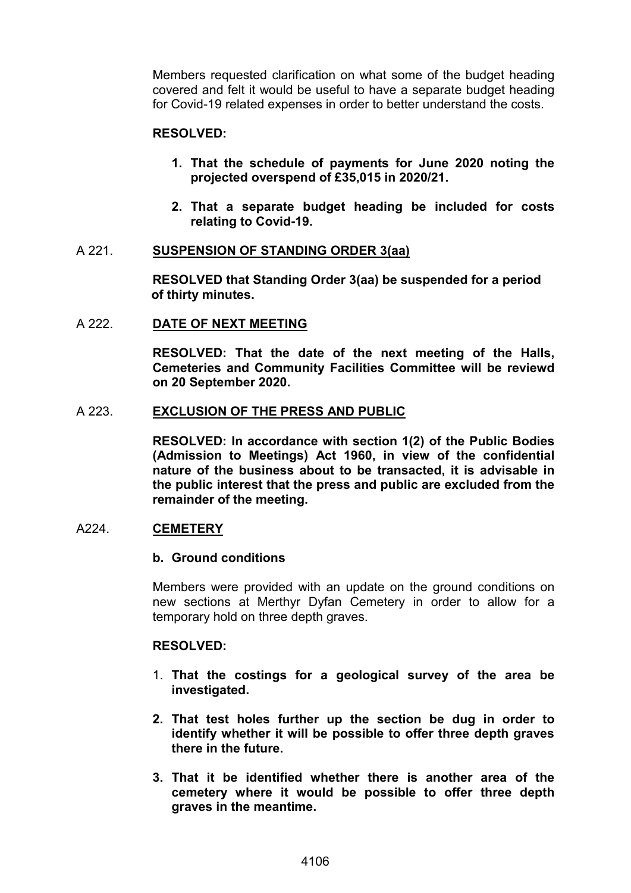Members requested clarification on what some of the budget heading covered and felt it would be useful to have a separate budget heading for Covid-19 related expenses in order to better understand the costs.

#### **RESOLVED:**

- **1. That the schedule of payments for June 2020 noting the projected overspend of £35,015 in 2020/21.**
- **2. That a separate budget heading be included for costs relating to Covid-19.**

### A 221. **SUSPENSION OF STANDING ORDER 3(aa)**

**RESOLVED that Standing Order 3(aa) be suspended for a period of thirty minutes.**

### A 222. **DATE OF NEXT MEETING**

**RESOLVED: That the date of the next meeting of the Halls, Cemeteries and Community Facilities Committee will be reviewd on 20 September 2020.** 

### A 223. **EXCLUSION OF THE PRESS AND PUBLIC**

**RESOLVED: In accordance with section 1(2) of the Public Bodies (Admission to Meetings) Act 1960, in view of the confidential nature of the business about to be transacted, it is advisable in the public interest that the press and public are excluded from the remainder of the meeting.**

### A224. **CEMETERY**

#### **b. Ground conditions**

Members were provided with an update on the ground conditions on new sections at Merthyr Dyfan Cemetery in order to allow for a temporary hold on three depth graves.

### **RESOLVED:**

- 1. **That the costings for a geological survey of the area be investigated.**
- **2. That test holes further up the section be dug in order to identify whether it will be possible to offer three depth graves there in the future.**
- **3. That it be identified whether there is another area of the cemetery where it would be possible to offer three depth graves in the meantime.**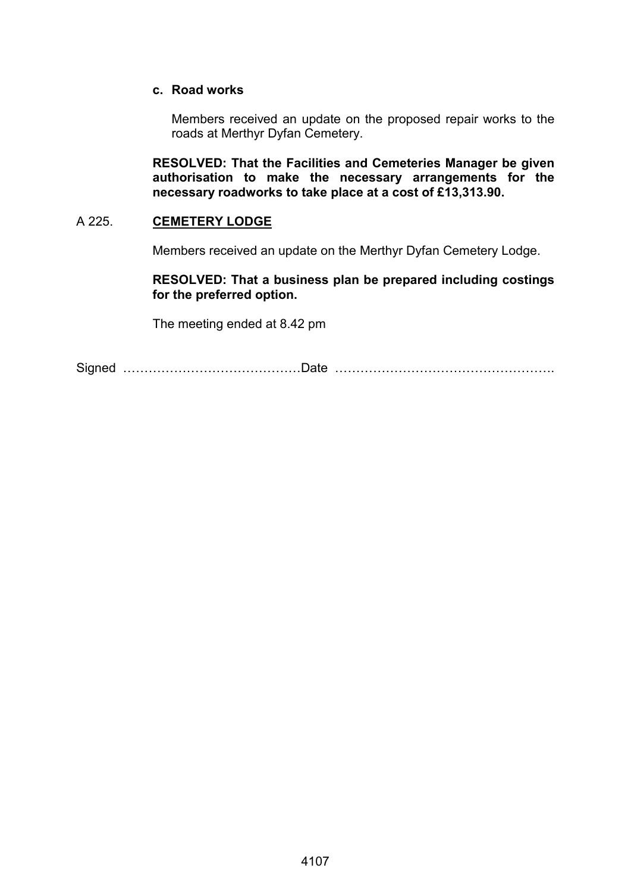### **c. Road works**

Members received an update on the proposed repair works to the roads at Merthyr Dyfan Cemetery.

**RESOLVED: That the Facilities and Cemeteries Manager be given authorisation to make the necessary arrangements for the necessary roadworks to take place at a cost of £13,313.90.**

### A 225. **CEMETERY LODGE**

Members received an update on the Merthyr Dyfan Cemetery Lodge.

### **RESOLVED: That a business plan be prepared including costings for the preferred option.**

The meeting ended at 8.42 pm

Signed ……………………………………Date …………………………………………….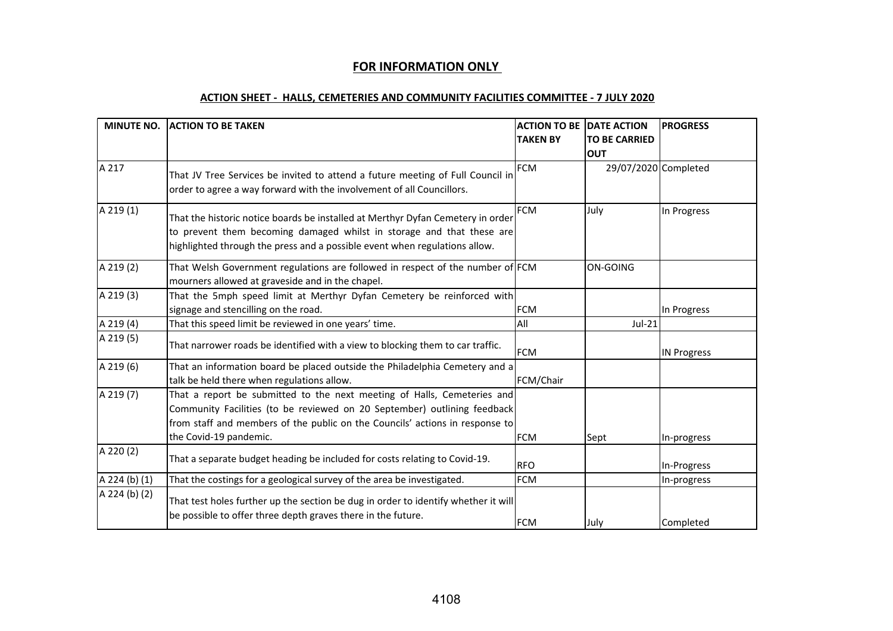# **FOR INFORMATION ONLY**

#### **ACTION SHEET - HALLS, CEMETERIES AND COMMUNITY FACILITIES COMMITTEE - 7 JULY 2020**

|               | MINUTE NO. ACTION TO BE TAKEN                                                                                                                                                                                                                                 | <b>TAKEN BY</b> | <b>ACTION TO BE DATE ACTION</b><br><b>TO BE CARRIED</b><br><b>OUT</b> | <b>PROGRESS</b>    |
|---------------|---------------------------------------------------------------------------------------------------------------------------------------------------------------------------------------------------------------------------------------------------------------|-----------------|-----------------------------------------------------------------------|--------------------|
| A 217         | That JV Tree Services be invited to attend a future meeting of Full Council in<br>order to agree a way forward with the involvement of all Councillors.                                                                                                       | <b>FCM</b>      | 29/07/2020 Completed                                                  |                    |
| A 219(1)      | That the historic notice boards be installed at Merthyr Dyfan Cemetery in order<br>to prevent them becoming damaged whilst in storage and that these are<br>highlighted through the press and a possible event when regulations allow.                        | <b>FCM</b>      | July                                                                  | In Progress        |
| A 219 (2)     | That Welsh Government regulations are followed in respect of the number of FCM<br>mourners allowed at graveside and in the chapel.                                                                                                                            |                 | <b>ON-GOING</b>                                                       |                    |
| A 219 (3)     | That the 5mph speed limit at Merthyr Dyfan Cemetery be reinforced with<br>signage and stencilling on the road.                                                                                                                                                | <b>FCM</b>      |                                                                       | In Progress        |
| A 219 (4)     | That this speed limit be reviewed in one years' time.                                                                                                                                                                                                         | All             | $Jul-21$                                                              |                    |
| A 219 (5)     | That narrower roads be identified with a view to blocking them to car traffic.                                                                                                                                                                                | <b>FCM</b>      |                                                                       | <b>IN Progress</b> |
| A 219 (6)     | That an information board be placed outside the Philadelphia Cemetery and a<br>talk be held there when regulations allow.                                                                                                                                     | FCM/Chair       |                                                                       |                    |
| A 219 (7)     | That a report be submitted to the next meeting of Halls, Cemeteries and<br>Community Facilities (to be reviewed on 20 September) outlining feedback<br>from staff and members of the public on the Councils' actions in response to<br>the Covid-19 pandemic. | <b>FCM</b>      | Sept                                                                  | In-progress        |
| A 220 (2)     | That a separate budget heading be included for costs relating to Covid-19.                                                                                                                                                                                    | <b>RFO</b>      |                                                                       | In-Progress        |
| A 224 (b) (1) | That the costings for a geological survey of the area be investigated.                                                                                                                                                                                        | <b>FCM</b>      |                                                                       | In-progress        |
| A 224 (b) (2) | That test holes further up the section be dug in order to identify whether it will<br>be possible to offer three depth graves there in the future.                                                                                                            | <b>FCM</b>      | July                                                                  | Completed          |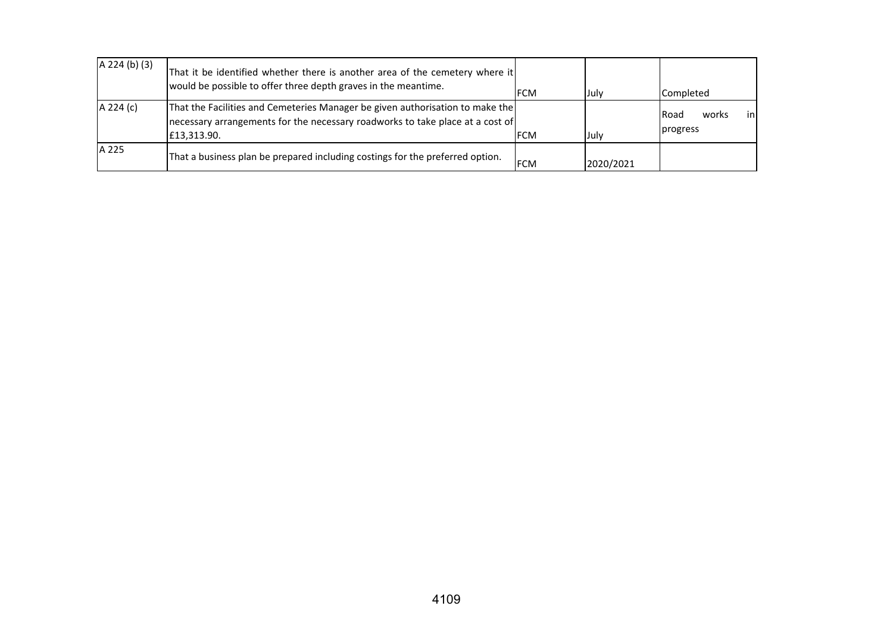| $A$ 224 (b) (3) | That it be identified whether there is another area of the cemetery where it<br>would be possible to offer three depth graves in the meantime.                                | <b>FCM</b> | July      | Completed                                |
|-----------------|-------------------------------------------------------------------------------------------------------------------------------------------------------------------------------|------------|-----------|------------------------------------------|
| A 224 (c)       | That the Facilities and Cemeteries Manager be given authorisation to make the<br>necessary arrangements for the necessary roadworks to take place at a cost of<br>£13,313.90. | <b>FCM</b> | Julv      | inl<br><b>IRoad</b><br>works<br>progress |
| A 225           | That a business plan be prepared including costings for the preferred option.                                                                                                 | <b>FCM</b> | 2020/2021 |                                          |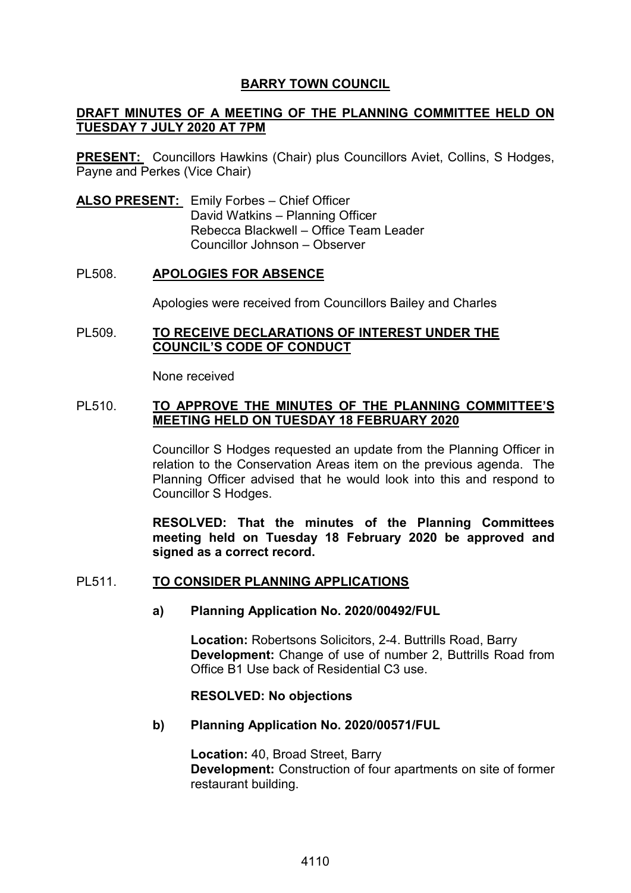# **BARRY TOWN COUNCIL**

# **DRAFT MINUTES OF A MEETING OF THE PLANNING COMMITTEE HELD ON TUESDAY 7 JULY 2020 AT 7PM**

**PRESENT:** Councillors Hawkins (Chair) plus Councillors Aviet, Collins, S Hodges, Payne and Perkes (Vice Chair)

**ALSO PRESENT:** Emily Forbes – Chief Officer David Watkins – Planning Officer Rebecca Blackwell – Office Team Leader Councillor Johnson – Observer

# PL508. **APOLOGIES FOR ABSENCE**

Apologies were received from Councillors Bailey and Charles

### PL509. **TO RECEIVE DECLARATIONS OF INTEREST UNDER THE COUNCIL'S CODE OF CONDUCT**

None received

### PL510. **TO APPROVE THE MINUTES OF THE PLANNING COMMITTEE'S MEETING HELD ON TUESDAY 18 FEBRUARY 2020**

Councillor S Hodges requested an update from the Planning Officer in relation to the Conservation Areas item on the previous agenda. The Planning Officer advised that he would look into this and respond to Councillor S Hodges.

**RESOLVED: That the minutes of the Planning Committees meeting held on Tuesday 18 February 2020 be approved and signed as a correct record.** 

### PL511. **TO CONSIDER PLANNING APPLICATIONS**

### **a) Planning Application No. 2020/00492/FUL**

**Location:** Robertsons Solicitors, 2-4. Buttrills Road, Barry **Development:** Change of use of number 2, Buttrills Road from Office B1 Use back of Residential C3 use.

### **RESOLVED: No objections**

### **b) Planning Application No. 2020/00571/FUL**

**Location:** 40, Broad Street, Barry **Development:** Construction of four apartments on site of former restaurant building.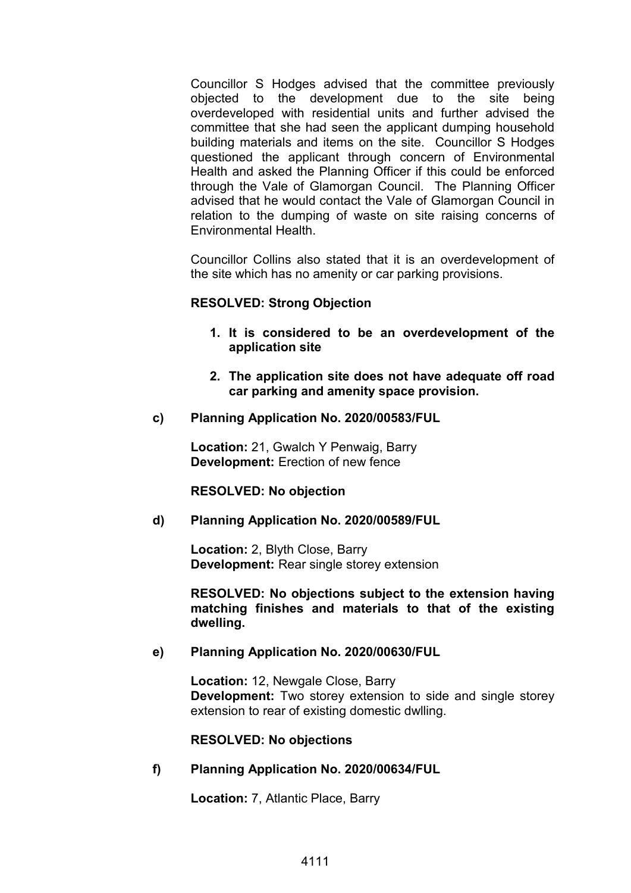Councillor S Hodges advised that the committee previously objected to the development due to the site being overdeveloped with residential units and further advised the committee that she had seen the applicant dumping household building materials and items on the site. Councillor S Hodges questioned the applicant through concern of Environmental Health and asked the Planning Officer if this could be enforced through the Vale of Glamorgan Council. The Planning Officer advised that he would contact the Vale of Glamorgan Council in relation to the dumping of waste on site raising concerns of Environmental Health.

Councillor Collins also stated that it is an overdevelopment of the site which has no amenity or car parking provisions.

# **RESOLVED: Strong Objection**

- **1. It is considered to be an overdevelopment of the application site**
- **2. The application site does not have adequate off road car parking and amenity space provision.**
- **c) Planning Application No. 2020/00583/FUL**

**Location:** 21, Gwalch Y Penwaig, Barry **Development:** Erection of new fence

### **RESOLVED: No objection**

### **d) Planning Application No. 2020/00589/FUL**

**Location:** 2, Blyth Close, Barry **Development:** Rear single storey extension

**RESOLVED: No objections subject to the extension having matching finishes and materials to that of the existing dwelling.** 

### **e) Planning Application No. 2020/00630/FUL**

**Location:** 12, Newgale Close, Barry **Development:** Two storey extension to side and single storey extension to rear of existing domestic dwlling.

**RESOLVED: No objections**

**f) Planning Application No. 2020/00634/FUL** 

**Location:** 7, Atlantic Place, Barry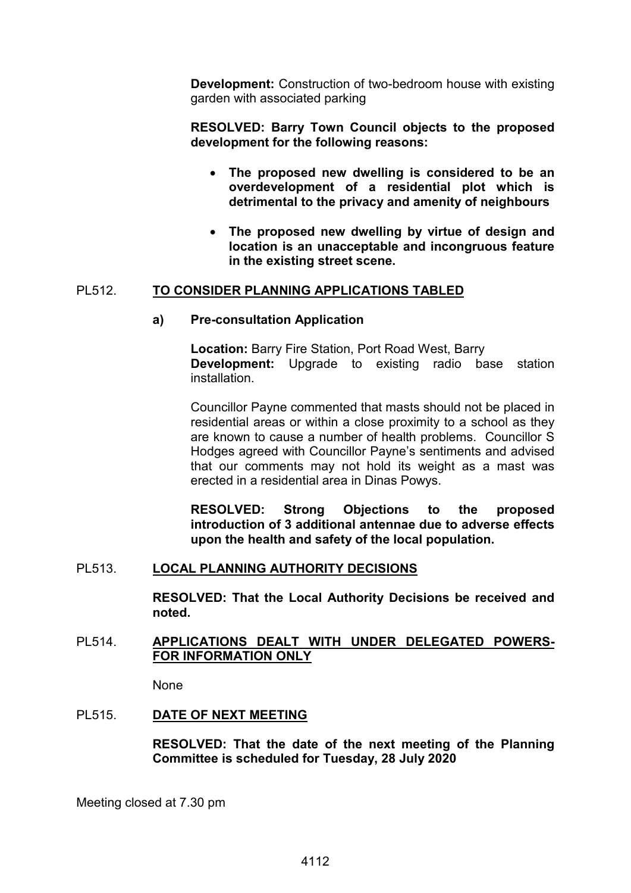**Development:** Construction of two-bedroom house with existing garden with associated parking

**RESOLVED: Barry Town Council objects to the proposed development for the following reasons:**

- **The proposed new dwelling is considered to be an overdevelopment of a residential plot which is detrimental to the privacy and amenity of neighbours**
- **The proposed new dwelling by virtue of design and location is an unacceptable and incongruous feature in the existing street scene.**

# PL512. **TO CONSIDER PLANNING APPLICATIONS TABLED**

### **a) Pre-consultation Application**

**Location:** Barry Fire Station, Port Road West, Barry **Development:** Upgrade to existing radio base station installation.

Councillor Payne commented that masts should not be placed in residential areas or within a close proximity to a school as they are known to cause a number of health problems. Councillor S Hodges agreed with Councillor Payne's sentiments and advised that our comments may not hold its weight as a mast was erected in a residential area in Dinas Powys.

**RESOLVED: Strong Objections to the proposed introduction of 3 additional antennae due to adverse effects upon the health and safety of the local population.** 

### PL513. **LOCAL PLANNING AUTHORITY DECISIONS**

**RESOLVED: That the Local Authority Decisions be received and noted.** 

# PL514. **APPLICATIONS DEALT WITH UNDER DELEGATED POWERS-FOR INFORMATION ONLY**

None

### PL515. **DATE OF NEXT MEETING**

**RESOLVED: That the date of the next meeting of the Planning Committee is scheduled for Tuesday, 28 July 2020**

Meeting closed at 7.30 pm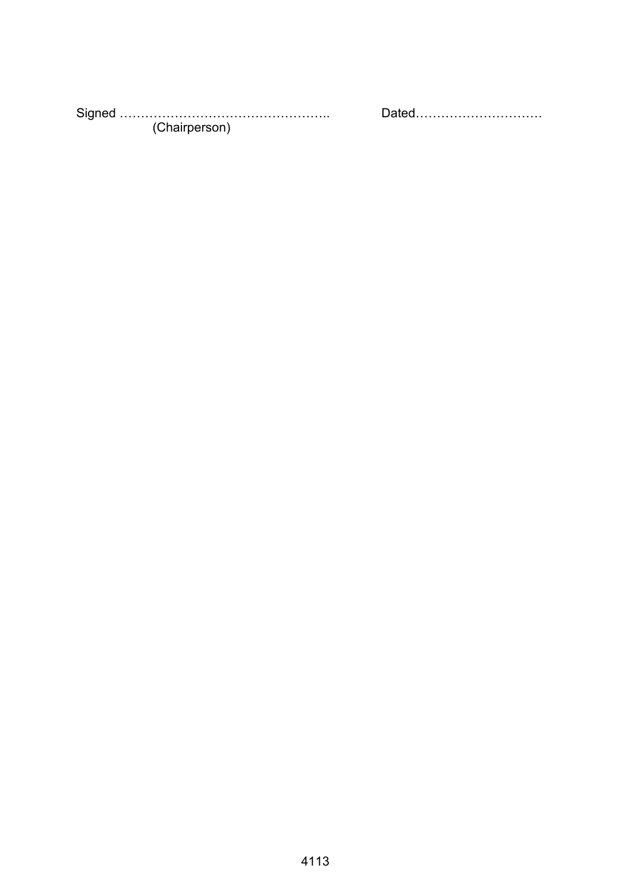Signed ………………………………………….. Dated………………………… (Chairperson)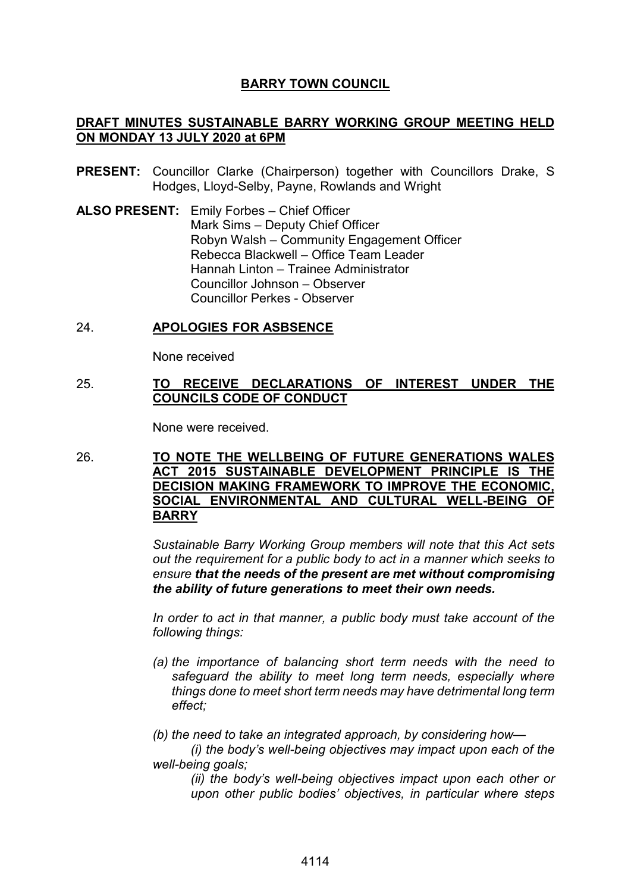# **BARRY TOWN COUNCIL**

# **DRAFT MINUTES SUSTAINABLE BARRY WORKING GROUP MEETING HELD ON MONDAY 13 JULY 2020 at 6PM**

- **PRESENT:** Councillor Clarke (Chairperson) together with Councillors Drake, S Hodges, Lloyd-Selby, Payne, Rowlands and Wright
- **ALSO PRESENT:** Emily Forbes Chief Officer Mark Sims – Deputy Chief Officer Robyn Walsh – Community Engagement Officer Rebecca Blackwell – Office Team Leader Hannah Linton – Trainee Administrator Councillor Johnson – Observer Councillor Perkes - Observer

# 24. **APOLOGIES FOR ASBSENCE**

None received

# 25. **TO RECEIVE DECLARATIONS OF INTEREST UNDER THE COUNCILS CODE OF CONDUCT**

None were received.

26. **TO NOTE THE WELLBEING OF FUTURE GENERATIONS WALES ACT 2015 SUSTAINABLE DEVELOPMENT PRINCIPLE IS THE DECISION MAKING FRAMEWORK TO IMPROVE THE ECONOMIC, SOCIAL ENVIRONMENTAL AND CULTURAL WELL-BEING OF BARRY** 

> *Sustainable Barry Working Group members will note that this Act sets out the requirement for a public body to act in a manner which seeks to ensure that the needs of the present are met without compromising the ability of future generations to meet their own needs.*

> *In order to act in that manner, a public body must take account of the following things:*

> *(a) the importance of balancing short term needs with the need to safeguard the ability to meet long term needs, especially where things done to meet short term needs may have detrimental long term effect;*

*(b) the need to take an integrated approach, by considering how—* 

*(i) the body's well-being objectives may impact upon each of the well-being goals;*

*(ii) the body's well-being objectives impact upon each other or upon other public bodies' objectives, in particular where steps*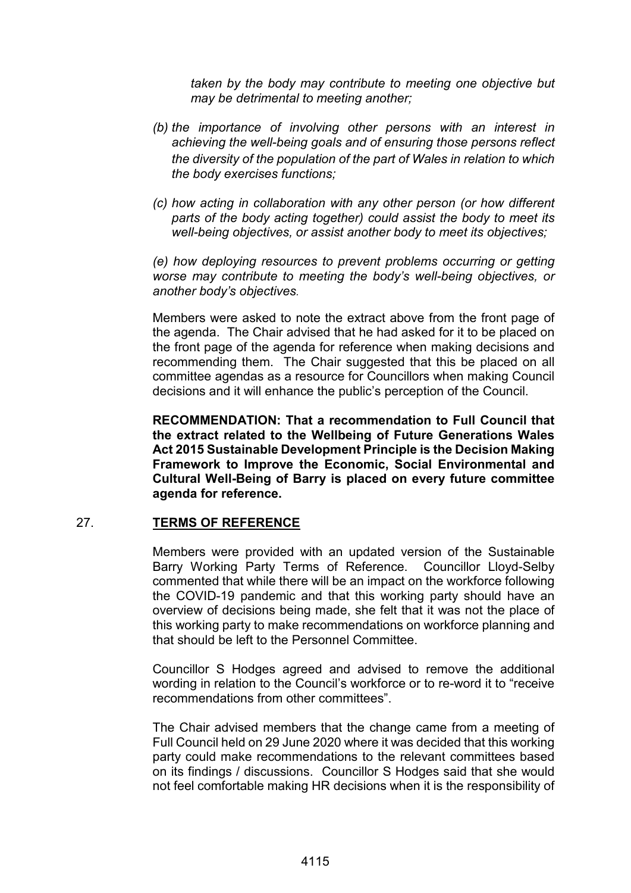*taken by the body may contribute to meeting one objective but may be detrimental to meeting another;*

- *(b) the importance of involving other persons with an interest in achieving the well-being goals and of ensuring those persons reflect the diversity of the population of the part of Wales in relation to which the body exercises functions;*
- *(c) how acting in collaboration with any other person (or how different parts of the body acting together) could assist the body to meet its well-being objectives, or assist another body to meet its objectives;*

*(e) how deploying resources to prevent problems occurring or getting worse may contribute to meeting the body's well-being objectives, or another body's objectives.* 

Members were asked to note the extract above from the front page of the agenda. The Chair advised that he had asked for it to be placed on the front page of the agenda for reference when making decisions and recommending them. The Chair suggested that this be placed on all committee agendas as a resource for Councillors when making Council decisions and it will enhance the public's perception of the Council.

**RECOMMENDATION: That a recommendation to Full Council that the extract related to the Wellbeing of Future Generations Wales Act 2015 Sustainable Development Principle is the Decision Making Framework to Improve the Economic, Social Environmental and Cultural Well-Being of Barry is placed on every future committee agenda for reference.** 

# 27. **TERMS OF REFERENCE**

Members were provided with an updated version of the Sustainable Barry Working Party Terms of Reference. Councillor Lloyd-Selby commented that while there will be an impact on the workforce following the COVID-19 pandemic and that this working party should have an overview of decisions being made, she felt that it was not the place of this working party to make recommendations on workforce planning and that should be left to the Personnel Committee.

Councillor S Hodges agreed and advised to remove the additional wording in relation to the Council's workforce or to re-word it to "receive recommendations from other committees".

The Chair advised members that the change came from a meeting of Full Council held on 29 June 2020 where it was decided that this working party could make recommendations to the relevant committees based on its findings / discussions. Councillor S Hodges said that she would not feel comfortable making HR decisions when it is the responsibility of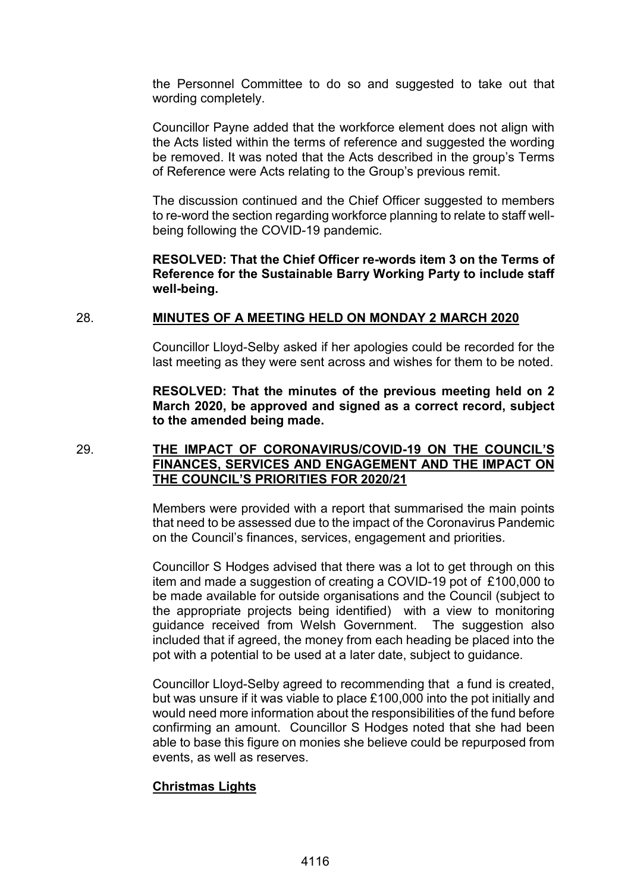the Personnel Committee to do so and suggested to take out that wording completely.

Councillor Payne added that the workforce element does not align with the Acts listed within the terms of reference and suggested the wording be removed. It was noted that the Acts described in the group's Terms of Reference were Acts relating to the Group's previous remit.

The discussion continued and the Chief Officer suggested to members to re-word the section regarding workforce planning to relate to staff wellbeing following the COVID-19 pandemic.

# **RESOLVED: That the Chief Officer re-words item 3 on the Terms of Reference for the Sustainable Barry Working Party to include staff well-being.**

# 28. **MINUTES OF A MEETING HELD ON MONDAY 2 MARCH 2020**

Councillor Lloyd-Selby asked if her apologies could be recorded for the last meeting as they were sent across and wishes for them to be noted.

**RESOLVED: That the minutes of the previous meeting held on 2 March 2020, be approved and signed as a correct record, subject to the amended being made.**

29. **THE IMPACT OF CORONAVIRUS/COVID-19 ON THE COUNCIL'S FINANCES, SERVICES AND ENGAGEMENT AND THE IMPACT ON THE COUNCIL'S PRIORITIES FOR 2020/21**

> Members were provided with a report that summarised the main points that need to be assessed due to the impact of the Coronavirus Pandemic on the Council's finances, services, engagement and priorities.

> Councillor S Hodges advised that there was a lot to get through on this item and made a suggestion of creating a COVID-19 pot of £100,000 to be made available for outside organisations and the Council (subject to the appropriate projects being identified) with a view to monitoring guidance received from Welsh Government. The suggestion also included that if agreed, the money from each heading be placed into the pot with a potential to be used at a later date, subject to guidance.

> Councillor Lloyd-Selby agreed to recommending that a fund is created, but was unsure if it was viable to place £100,000 into the pot initially and would need more information about the responsibilities of the fund before confirming an amount. Councillor S Hodges noted that she had been able to base this figure on monies she believe could be repurposed from events, as well as reserves.

# **Christmas Lights**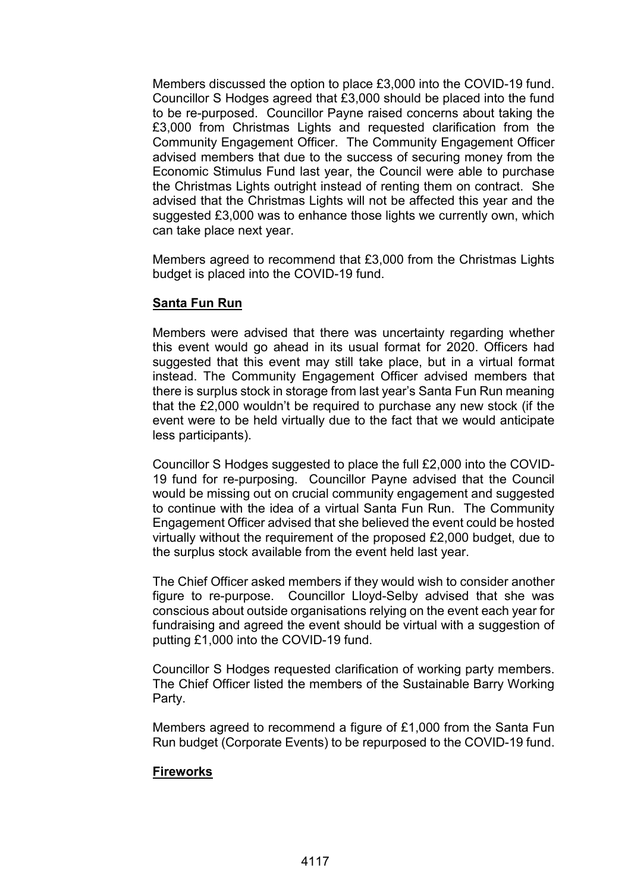Members discussed the option to place £3,000 into the COVID-19 fund. Councillor S Hodges agreed that £3,000 should be placed into the fund to be re-purposed. Councillor Payne raised concerns about taking the £3,000 from Christmas Lights and requested clarification from the Community Engagement Officer. The Community Engagement Officer advised members that due to the success of securing money from the Economic Stimulus Fund last year, the Council were able to purchase the Christmas Lights outright instead of renting them on contract. She advised that the Christmas Lights will not be affected this year and the suggested £3,000 was to enhance those lights we currently own, which can take place next year.

Members agreed to recommend that £3,000 from the Christmas Lights budget is placed into the COVID-19 fund.

# **Santa Fun Run**

Members were advised that there was uncertainty regarding whether this event would go ahead in its usual format for 2020. Officers had suggested that this event may still take place, but in a virtual format instead. The Community Engagement Officer advised members that there is surplus stock in storage from last year's Santa Fun Run meaning that the £2,000 wouldn't be required to purchase any new stock (if the event were to be held virtually due to the fact that we would anticipate less participants).

Councillor S Hodges suggested to place the full £2,000 into the COVID-19 fund for re-purposing. Councillor Payne advised that the Council would be missing out on crucial community engagement and suggested to continue with the idea of a virtual Santa Fun Run. The Community Engagement Officer advised that she believed the event could be hosted virtually without the requirement of the proposed £2,000 budget, due to the surplus stock available from the event held last year.

The Chief Officer asked members if they would wish to consider another figure to re-purpose. Councillor Lloyd-Selby advised that she was conscious about outside organisations relying on the event each year for fundraising and agreed the event should be virtual with a suggestion of putting £1,000 into the COVID-19 fund.

Councillor S Hodges requested clarification of working party members. The Chief Officer listed the members of the Sustainable Barry Working Party.

Members agreed to recommend a figure of £1,000 from the Santa Fun Run budget (Corporate Events) to be repurposed to the COVID-19 fund.

# **Fireworks**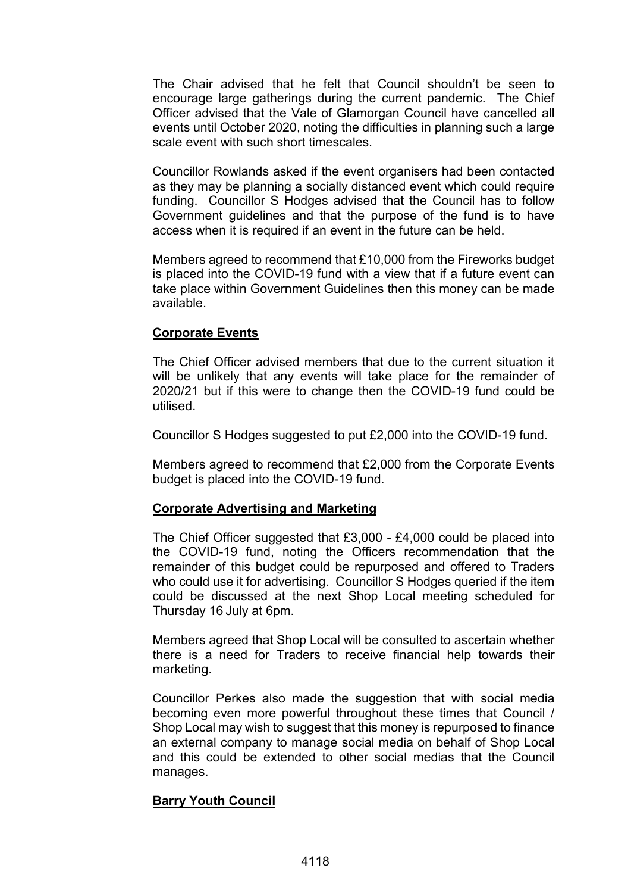The Chair advised that he felt that Council shouldn't be seen to encourage large gatherings during the current pandemic. The Chief Officer advised that the Vale of Glamorgan Council have cancelled all events until October 2020, noting the difficulties in planning such a large scale event with such short timescales.

Councillor Rowlands asked if the event organisers had been contacted as they may be planning a socially distanced event which could require funding. Councillor S Hodges advised that the Council has to follow Government guidelines and that the purpose of the fund is to have access when it is required if an event in the future can be held.

Members agreed to recommend that £10,000 from the Fireworks budget is placed into the COVID-19 fund with a view that if a future event can take place within Government Guidelines then this money can be made available.

# **Corporate Events**

The Chief Officer advised members that due to the current situation it will be unlikely that any events will take place for the remainder of 2020/21 but if this were to change then the COVID-19 fund could be utilised.

Councillor S Hodges suggested to put £2,000 into the COVID-19 fund.

Members agreed to recommend that £2,000 from the Corporate Events budget is placed into the COVID-19 fund.

# **Corporate Advertising and Marketing**

The Chief Officer suggested that  $£3,000 - £4,000$  could be placed into the COVID-19 fund, noting the Officers recommendation that the remainder of this budget could be repurposed and offered to Traders who could use it for advertising. Councillor S Hodges queried if the item could be discussed at the next Shop Local meeting scheduled for Thursday 16 July at 6pm.

Members agreed that Shop Local will be consulted to ascertain whether there is a need for Traders to receive financial help towards their marketing.

Councillor Perkes also made the suggestion that with social media becoming even more powerful throughout these times that Council / Shop Local may wish to suggest that this money is repurposed to finance an external company to manage social media on behalf of Shop Local and this could be extended to other social medias that the Council manages.

# **Barry Youth Council**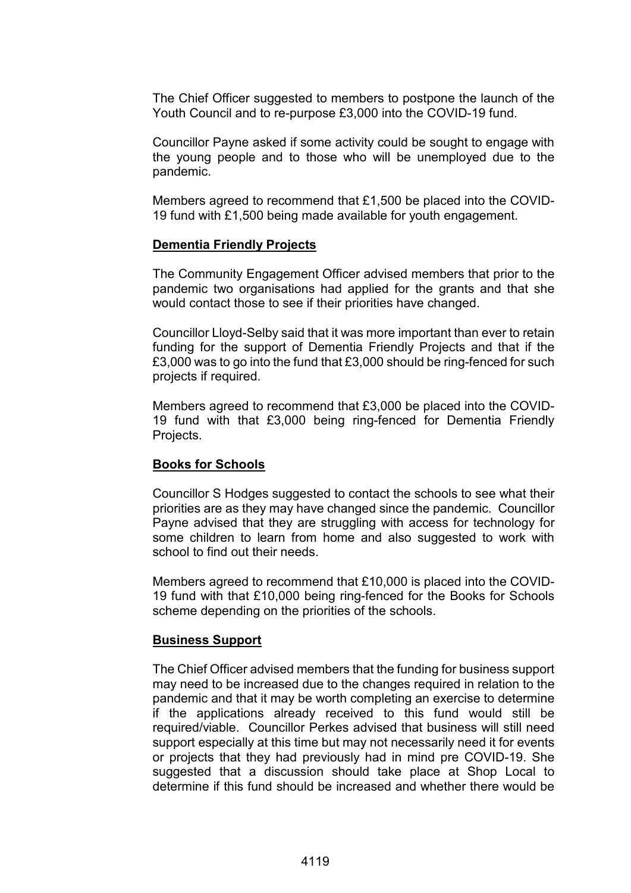The Chief Officer suggested to members to postpone the launch of the Youth Council and to re-purpose £3,000 into the COVID-19 fund.

Councillor Payne asked if some activity could be sought to engage with the young people and to those who will be unemployed due to the pandemic.

Members agreed to recommend that £1,500 be placed into the COVID-19 fund with £1,500 being made available for youth engagement.

# **Dementia Friendly Projects**

The Community Engagement Officer advised members that prior to the pandemic two organisations had applied for the grants and that she would contact those to see if their priorities have changed.

Councillor Lloyd-Selby said that it was more important than ever to retain funding for the support of Dementia Friendly Projects and that if the £3,000 was to go into the fund that £3,000 should be ring-fenced for such projects if required.

Members agreed to recommend that £3,000 be placed into the COVID-19 fund with that £3,000 being ring-fenced for Dementia Friendly Projects.

# **Books for Schools**

Councillor S Hodges suggested to contact the schools to see what their priorities are as they may have changed since the pandemic. Councillor Payne advised that they are struggling with access for technology for some children to learn from home and also suggested to work with school to find out their needs.

Members agreed to recommend that £10,000 is placed into the COVID-19 fund with that £10,000 being ring-fenced for the Books for Schools scheme depending on the priorities of the schools.

### **Business Support**

The Chief Officer advised members that the funding for business support may need to be increased due to the changes required in relation to the pandemic and that it may be worth completing an exercise to determine if the applications already received to this fund would still be required/viable. Councillor Perkes advised that business will still need support especially at this time but may not necessarily need it for events or projects that they had previously had in mind pre COVID-19. She suggested that a discussion should take place at Shop Local to determine if this fund should be increased and whether there would be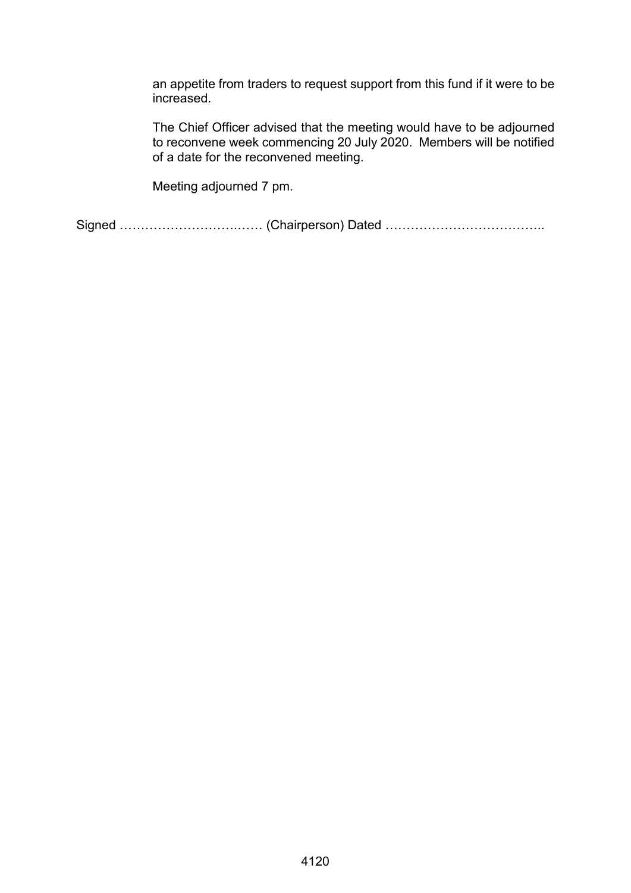an appetite from traders to request support from this fund if it were to be increased.

The Chief Officer advised that the meeting would have to be adjourned to reconvene week commencing 20 July 2020. Members will be notified of a date for the reconvened meeting.

Meeting adjourned 7 pm.

Signed ……………………….…… (Chairperson) Dated ………………………………..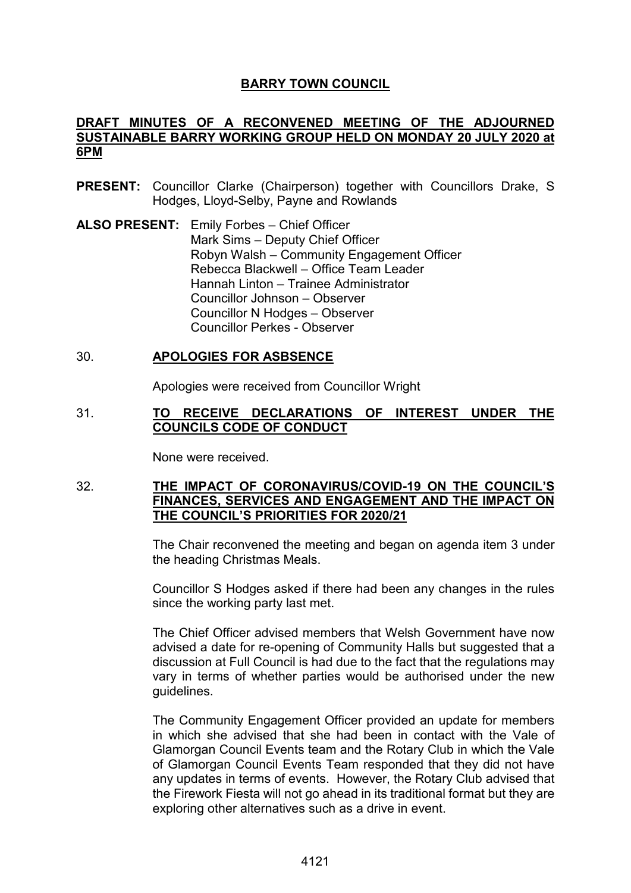# **BARRY TOWN COUNCIL**

# **DRAFT MINUTES OF A RECONVENED MEETING OF THE ADJOURNED SUSTAINABLE BARRY WORKING GROUP HELD ON MONDAY 20 JULY 2020 at 6PM**

- **PRESENT:** Councillor Clarke (Chairperson) together with Councillors Drake, S Hodges, Lloyd-Selby, Payne and Rowlands
- **ALSO PRESENT:** Emily Forbes Chief Officer Mark Sims – Deputy Chief Officer Robyn Walsh – Community Engagement Officer Rebecca Blackwell – Office Team Leader Hannah Linton – Trainee Administrator Councillor Johnson – Observer Councillor N Hodges – Observer Councillor Perkes - Observer

# 30. **APOLOGIES FOR ASBSENCE**

Apologies were received from Councillor Wright

### 31. **TO RECEIVE DECLARATIONS OF INTEREST UNDER THE COUNCILS CODE OF CONDUCT**

None were received.

# 32. **THE IMPACT OF CORONAVIRUS/COVID-19 ON THE COUNCIL'S FINANCES, SERVICES AND ENGAGEMENT AND THE IMPACT ON THE COUNCIL'S PRIORITIES FOR 2020/21**

The Chair reconvened the meeting and began on agenda item 3 under the heading Christmas Meals.

Councillor S Hodges asked if there had been any changes in the rules since the working party last met.

The Chief Officer advised members that Welsh Government have now advised a date for re-opening of Community Halls but suggested that a discussion at Full Council is had due to the fact that the regulations may vary in terms of whether parties would be authorised under the new guidelines.

The Community Engagement Officer provided an update for members in which she advised that she had been in contact with the Vale of Glamorgan Council Events team and the Rotary Club in which the Vale of Glamorgan Council Events Team responded that they did not have any updates in terms of events. However, the Rotary Club advised that the Firework Fiesta will not go ahead in its traditional format but they are exploring other alternatives such as a drive in event.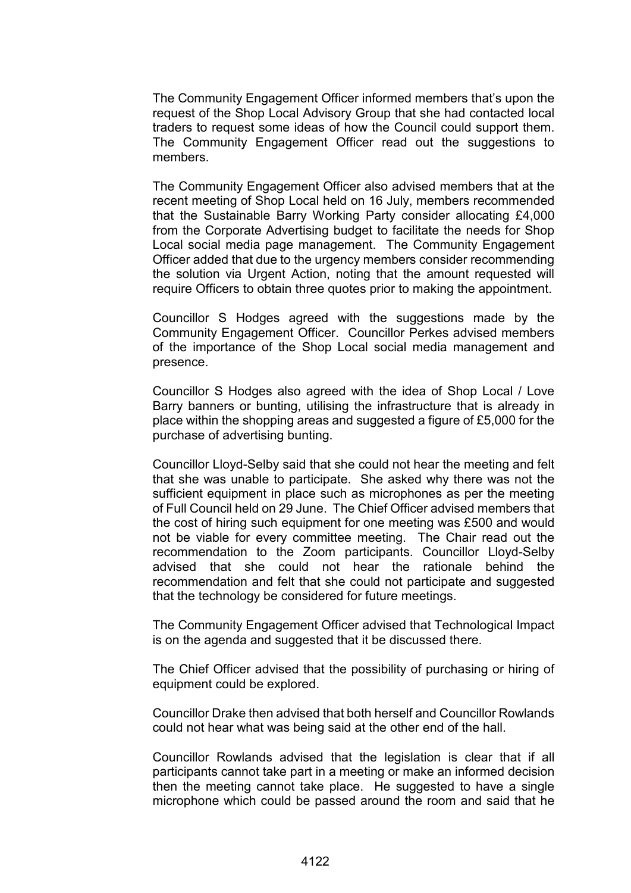The Community Engagement Officer informed members that's upon the request of the Shop Local Advisory Group that she had contacted local traders to request some ideas of how the Council could support them. The Community Engagement Officer read out the suggestions to members.

The Community Engagement Officer also advised members that at the recent meeting of Shop Local held on 16 July, members recommended that the Sustainable Barry Working Party consider allocating £4,000 from the Corporate Advertising budget to facilitate the needs for Shop Local social media page management. The Community Engagement Officer added that due to the urgency members consider recommending the solution via Urgent Action, noting that the amount requested will require Officers to obtain three quotes prior to making the appointment.

Councillor S Hodges agreed with the suggestions made by the Community Engagement Officer. Councillor Perkes advised members of the importance of the Shop Local social media management and presence.

Councillor S Hodges also agreed with the idea of Shop Local / Love Barry banners or bunting, utilising the infrastructure that is already in place within the shopping areas and suggested a figure of £5,000 for the purchase of advertising bunting.

Councillor Lloyd-Selby said that she could not hear the meeting and felt that she was unable to participate. She asked why there was not the sufficient equipment in place such as microphones as per the meeting of Full Council held on 29 June. The Chief Officer advised members that the cost of hiring such equipment for one meeting was £500 and would not be viable for every committee meeting. The Chair read out the recommendation to the Zoom participants. Councillor Lloyd-Selby advised that she could not hear the rationale behind the recommendation and felt that she could not participate and suggested that the technology be considered for future meetings.

The Community Engagement Officer advised that Technological Impact is on the agenda and suggested that it be discussed there.

The Chief Officer advised that the possibility of purchasing or hiring of equipment could be explored.

Councillor Drake then advised that both herself and Councillor Rowlands could not hear what was being said at the other end of the hall.

Councillor Rowlands advised that the legislation is clear that if all participants cannot take part in a meeting or make an informed decision then the meeting cannot take place. He suggested to have a single microphone which could be passed around the room and said that he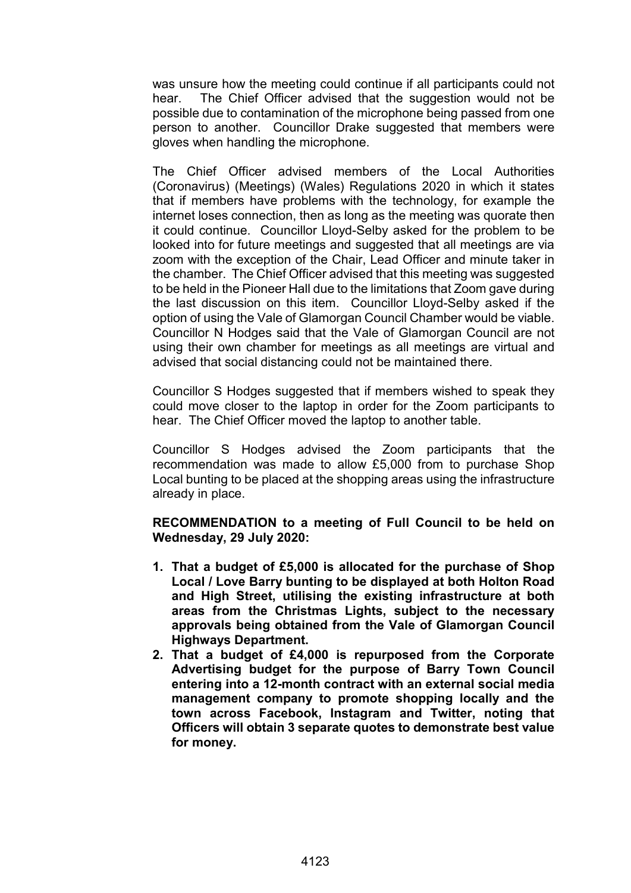was unsure how the meeting could continue if all participants could not hear. The Chief Officer advised that the suggestion would not be possible due to contamination of the microphone being passed from one person to another. Councillor Drake suggested that members were gloves when handling the microphone.

The Chief Officer advised members of the Local Authorities (Coronavirus) (Meetings) (Wales) Regulations 2020 in which it states that if members have problems with the technology, for example the internet loses connection, then as long as the meeting was quorate then it could continue. Councillor Lloyd-Selby asked for the problem to be looked into for future meetings and suggested that all meetings are via zoom with the exception of the Chair, Lead Officer and minute taker in the chamber. The Chief Officer advised that this meeting was suggested to be held in the Pioneer Hall due to the limitations that Zoom gave during the last discussion on this item. Councillor Lloyd-Selby asked if the option of using the Vale of Glamorgan Council Chamber would be viable. Councillor N Hodges said that the Vale of Glamorgan Council are not using their own chamber for meetings as all meetings are virtual and advised that social distancing could not be maintained there.

Councillor S Hodges suggested that if members wished to speak they could move closer to the laptop in order for the Zoom participants to hear. The Chief Officer moved the laptop to another table.

Councillor S Hodges advised the Zoom participants that the recommendation was made to allow £5,000 from to purchase Shop Local bunting to be placed at the shopping areas using the infrastructure already in place.

**RECOMMENDATION to a meeting of Full Council to be held on Wednesday, 29 July 2020:** 

- **1. That a budget of £5,000 is allocated for the purchase of Shop Local / Love Barry bunting to be displayed at both Holton Road and High Street, utilising the existing infrastructure at both areas from the Christmas Lights, subject to the necessary approvals being obtained from the Vale of Glamorgan Council Highways Department.**
- **2. That a budget of £4,000 is repurposed from the Corporate Advertising budget for the purpose of Barry Town Council entering into a 12-month contract with an external social media management company to promote shopping locally and the town across Facebook, Instagram and Twitter, noting that Officers will obtain 3 separate quotes to demonstrate best value for money.**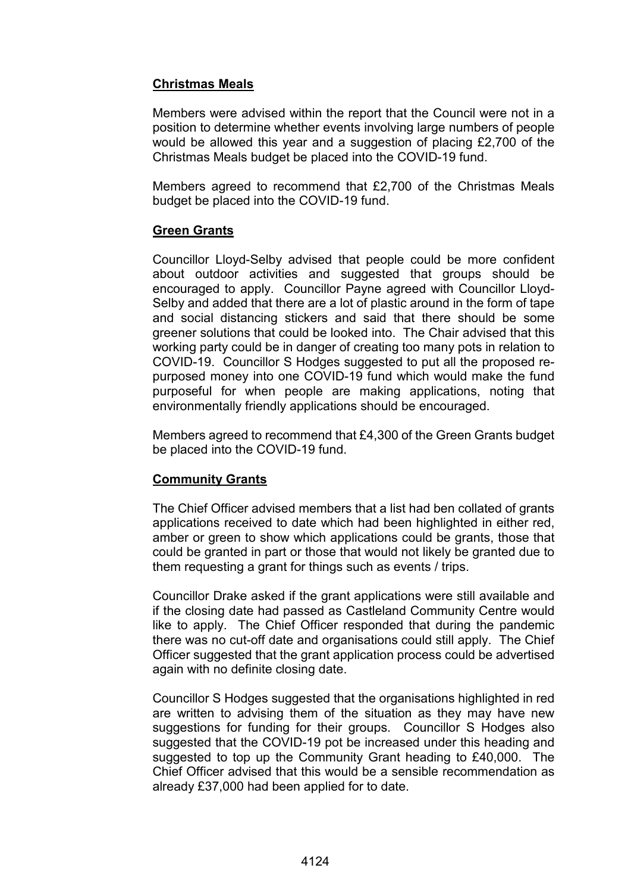# **Christmas Meals**

Members were advised within the report that the Council were not in a position to determine whether events involving large numbers of people would be allowed this year and a suggestion of placing £2,700 of the Christmas Meals budget be placed into the COVID-19 fund.

Members agreed to recommend that £2,700 of the Christmas Meals budget be placed into the COVID-19 fund.

# **Green Grants**

Councillor Lloyd-Selby advised that people could be more confident about outdoor activities and suggested that groups should be encouraged to apply. Councillor Payne agreed with Councillor Lloyd-Selby and added that there are a lot of plastic around in the form of tape and social distancing stickers and said that there should be some greener solutions that could be looked into. The Chair advised that this working party could be in danger of creating too many pots in relation to COVID-19. Councillor S Hodges suggested to put all the proposed repurposed money into one COVID-19 fund which would make the fund purposeful for when people are making applications, noting that environmentally friendly applications should be encouraged.

Members agreed to recommend that £4,300 of the Green Grants budget be placed into the COVID-19 fund.

# **Community Grants**

The Chief Officer advised members that a list had ben collated of grants applications received to date which had been highlighted in either red, amber or green to show which applications could be grants, those that could be granted in part or those that would not likely be granted due to them requesting a grant for things such as events / trips.

Councillor Drake asked if the grant applications were still available and if the closing date had passed as Castleland Community Centre would like to apply. The Chief Officer responded that during the pandemic there was no cut-off date and organisations could still apply. The Chief Officer suggested that the grant application process could be advertised again with no definite closing date.

Councillor S Hodges suggested that the organisations highlighted in red are written to advising them of the situation as they may have new suggestions for funding for their groups. Councillor S Hodges also suggested that the COVID-19 pot be increased under this heading and suggested to top up the Community Grant heading to £40,000. The Chief Officer advised that this would be a sensible recommendation as already £37,000 had been applied for to date.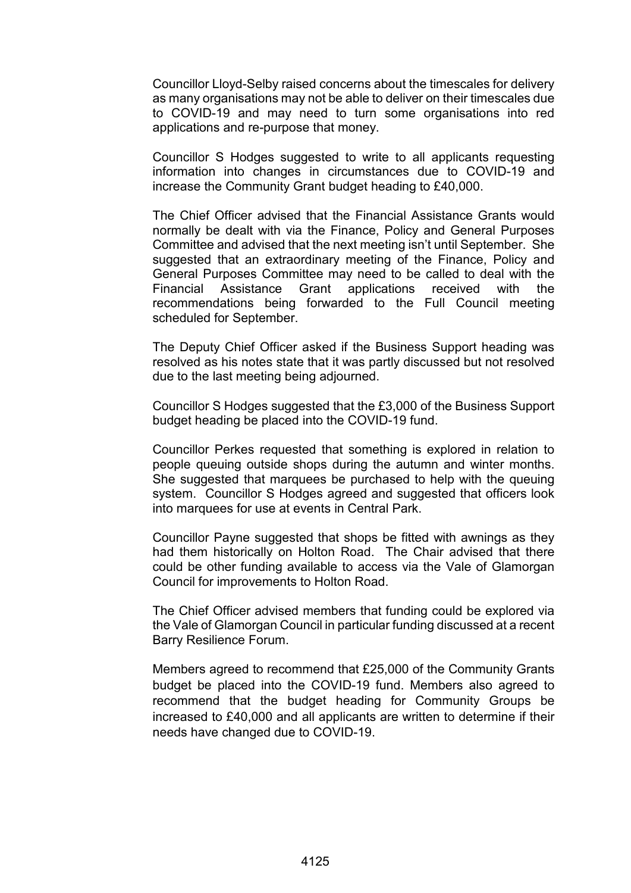Councillor Lloyd-Selby raised concerns about the timescales for delivery as many organisations may not be able to deliver on their timescales due to COVID-19 and may need to turn some organisations into red applications and re-purpose that money.

Councillor S Hodges suggested to write to all applicants requesting information into changes in circumstances due to COVID-19 and increase the Community Grant budget heading to £40,000.

The Chief Officer advised that the Financial Assistance Grants would normally be dealt with via the Finance, Policy and General Purposes Committee and advised that the next meeting isn't until September. She suggested that an extraordinary meeting of the Finance, Policy and General Purposes Committee may need to be called to deal with the Financial Assistance Grant applications received with the recommendations being forwarded to the Full Council meeting scheduled for September.

The Deputy Chief Officer asked if the Business Support heading was resolved as his notes state that it was partly discussed but not resolved due to the last meeting being adjourned.

Councillor S Hodges suggested that the £3,000 of the Business Support budget heading be placed into the COVID-19 fund.

Councillor Perkes requested that something is explored in relation to people queuing outside shops during the autumn and winter months. She suggested that marquees be purchased to help with the queuing system. Councillor S Hodges agreed and suggested that officers look into marquees for use at events in Central Park.

Councillor Payne suggested that shops be fitted with awnings as they had them historically on Holton Road. The Chair advised that there could be other funding available to access via the Vale of Glamorgan Council for improvements to Holton Road.

The Chief Officer advised members that funding could be explored via the Vale of Glamorgan Council in particular funding discussed at a recent Barry Resilience Forum.

Members agreed to recommend that £25,000 of the Community Grants budget be placed into the COVID-19 fund. Members also agreed to recommend that the budget heading for Community Groups be increased to £40,000 and all applicants are written to determine if their needs have changed due to COVID-19.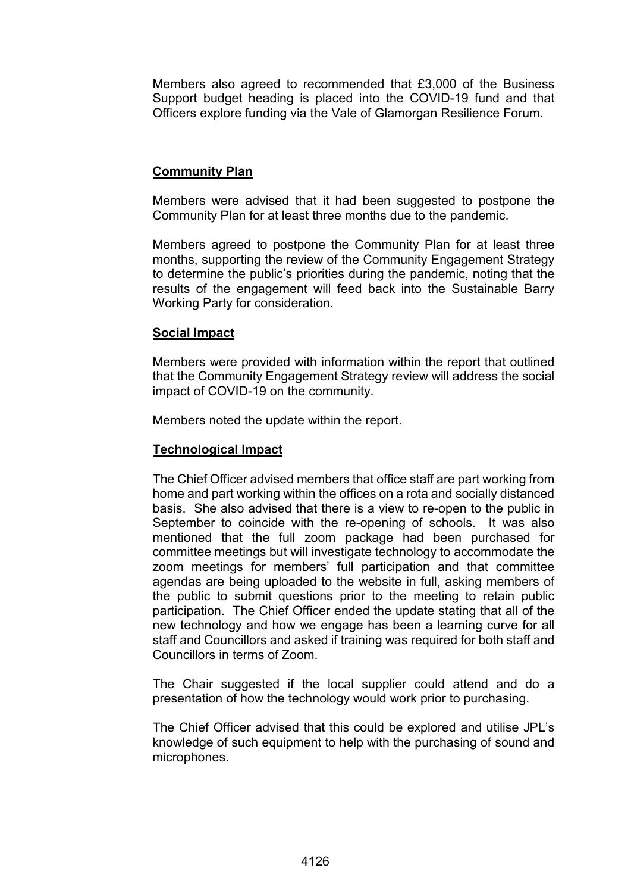Members also agreed to recommended that £3,000 of the Business Support budget heading is placed into the COVID-19 fund and that Officers explore funding via the Vale of Glamorgan Resilience Forum.

# **Community Plan**

Members were advised that it had been suggested to postpone the Community Plan for at least three months due to the pandemic.

Members agreed to postpone the Community Plan for at least three months, supporting the review of the Community Engagement Strategy to determine the public's priorities during the pandemic, noting that the results of the engagement will feed back into the Sustainable Barry Working Party for consideration.

# **Social Impact**

Members were provided with information within the report that outlined that the Community Engagement Strategy review will address the social impact of COVID-19 on the community.

Members noted the update within the report.

# **Technological Impact**

The Chief Officer advised members that office staff are part working from home and part working within the offices on a rota and socially distanced basis. She also advised that there is a view to re-open to the public in September to coincide with the re-opening of schools. It was also mentioned that the full zoom package had been purchased for committee meetings but will investigate technology to accommodate the zoom meetings for members' full participation and that committee agendas are being uploaded to the website in full, asking members of the public to submit questions prior to the meeting to retain public participation. The Chief Officer ended the update stating that all of the new technology and how we engage has been a learning curve for all staff and Councillors and asked if training was required for both staff and Councillors in terms of Zoom.

The Chair suggested if the local supplier could attend and do a presentation of how the technology would work prior to purchasing.

The Chief Officer advised that this could be explored and utilise JPL's knowledge of such equipment to help with the purchasing of sound and microphones.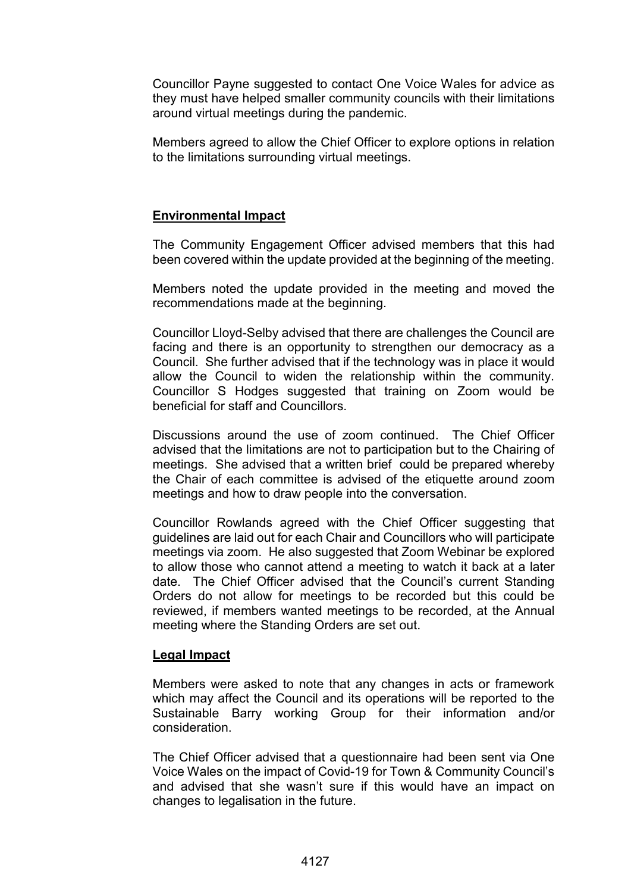Councillor Payne suggested to contact One Voice Wales for advice as they must have helped smaller community councils with their limitations around virtual meetings during the pandemic.

Members agreed to allow the Chief Officer to explore options in relation to the limitations surrounding virtual meetings.

# **Environmental Impact**

The Community Engagement Officer advised members that this had been covered within the update provided at the beginning of the meeting.

Members noted the update provided in the meeting and moved the recommendations made at the beginning.

Councillor Lloyd-Selby advised that there are challenges the Council are facing and there is an opportunity to strengthen our democracy as a Council. She further advised that if the technology was in place it would allow the Council to widen the relationship within the community. Councillor S Hodges suggested that training on Zoom would be beneficial for staff and Councillors.

Discussions around the use of zoom continued. The Chief Officer advised that the limitations are not to participation but to the Chairing of meetings. She advised that a written brief could be prepared whereby the Chair of each committee is advised of the etiquette around zoom meetings and how to draw people into the conversation.

Councillor Rowlands agreed with the Chief Officer suggesting that guidelines are laid out for each Chair and Councillors who will participate meetings via zoom. He also suggested that Zoom Webinar be explored to allow those who cannot attend a meeting to watch it back at a later date. The Chief Officer advised that the Council's current Standing Orders do not allow for meetings to be recorded but this could be reviewed, if members wanted meetings to be recorded, at the Annual meeting where the Standing Orders are set out.

### **Legal Impact**

Members were asked to note that any changes in acts or framework which may affect the Council and its operations will be reported to the Sustainable Barry working Group for their information and/or consideration.

The Chief Officer advised that a questionnaire had been sent via One Voice Wales on the impact of Covid-19 for Town & Community Council's and advised that she wasn't sure if this would have an impact on changes to legalisation in the future.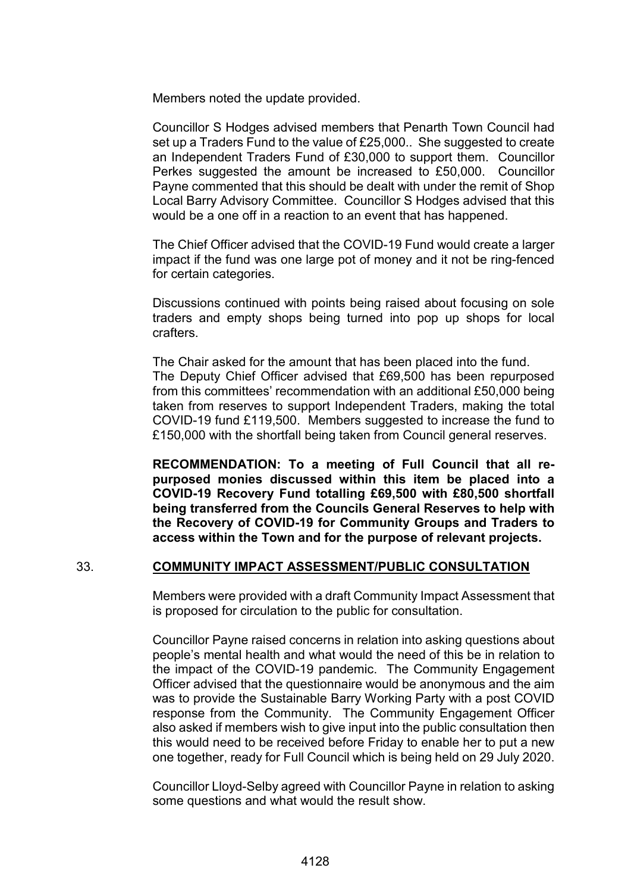Members noted the update provided.

Councillor S Hodges advised members that Penarth Town Council had set up a Traders Fund to the value of £25,000.. She suggested to create an Independent Traders Fund of £30,000 to support them. Councillor Perkes suggested the amount be increased to £50,000. Councillor Payne commented that this should be dealt with under the remit of Shop Local Barry Advisory Committee. Councillor S Hodges advised that this would be a one off in a reaction to an event that has happened.

The Chief Officer advised that the COVID-19 Fund would create a larger impact if the fund was one large pot of money and it not be ring-fenced for certain categories.

Discussions continued with points being raised about focusing on sole traders and empty shops being turned into pop up shops for local crafters.

The Chair asked for the amount that has been placed into the fund. The Deputy Chief Officer advised that £69,500 has been repurposed from this committees' recommendation with an additional £50,000 being taken from reserves to support Independent Traders, making the total COVID-19 fund £119,500. Members suggested to increase the fund to £150,000 with the shortfall being taken from Council general reserves.

**RECOMMENDATION: To a meeting of Full Council that all repurposed monies discussed within this item be placed into a COVID-19 Recovery Fund totalling £69,500 with £80,500 shortfall being transferred from the Councils General Reserves to help with the Recovery of COVID-19 for Community Groups and Traders to access within the Town and for the purpose of relevant projects.** 

# 33. **COMMUNITY IMPACT ASSESSMENT/PUBLIC CONSULTATION**

Members were provided with a draft Community Impact Assessment that is proposed for circulation to the public for consultation.

Councillor Payne raised concerns in relation into asking questions about people's mental health and what would the need of this be in relation to the impact of the COVID-19 pandemic. The Community Engagement Officer advised that the questionnaire would be anonymous and the aim was to provide the Sustainable Barry Working Party with a post COVID response from the Community. The Community Engagement Officer also asked if members wish to give input into the public consultation then this would need to be received before Friday to enable her to put a new one together, ready for Full Council which is being held on 29 July 2020.

Councillor Lloyd-Selby agreed with Councillor Payne in relation to asking some questions and what would the result show.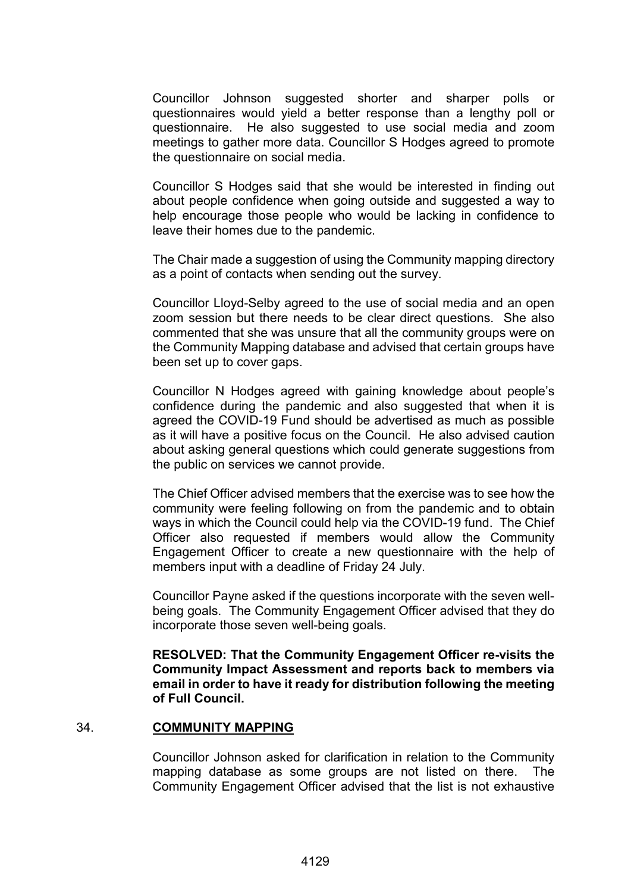Councillor Johnson suggested shorter and sharper polls or questionnaires would yield a better response than a lengthy poll or questionnaire. He also suggested to use social media and zoom meetings to gather more data. Councillor S Hodges agreed to promote the questionnaire on social media.

Councillor S Hodges said that she would be interested in finding out about people confidence when going outside and suggested a way to help encourage those people who would be lacking in confidence to leave their homes due to the pandemic.

The Chair made a suggestion of using the Community mapping directory as a point of contacts when sending out the survey.

Councillor Lloyd-Selby agreed to the use of social media and an open zoom session but there needs to be clear direct questions. She also commented that she was unsure that all the community groups were on the Community Mapping database and advised that certain groups have been set up to cover gaps.

Councillor N Hodges agreed with gaining knowledge about people's confidence during the pandemic and also suggested that when it is agreed the COVID-19 Fund should be advertised as much as possible as it will have a positive focus on the Council. He also advised caution about asking general questions which could generate suggestions from the public on services we cannot provide.

The Chief Officer advised members that the exercise was to see how the community were feeling following on from the pandemic and to obtain ways in which the Council could help via the COVID-19 fund. The Chief Officer also requested if members would allow the Community Engagement Officer to create a new questionnaire with the help of members input with a deadline of Friday 24 July.

Councillor Payne asked if the questions incorporate with the seven wellbeing goals. The Community Engagement Officer advised that they do incorporate those seven well-being goals.

**RESOLVED: That the Community Engagement Officer re-visits the Community Impact Assessment and reports back to members via email in order to have it ready for distribution following the meeting of Full Council.**

### 34. **COMMUNITY MAPPING**

Councillor Johnson asked for clarification in relation to the Community mapping database as some groups are not listed on there. The Community Engagement Officer advised that the list is not exhaustive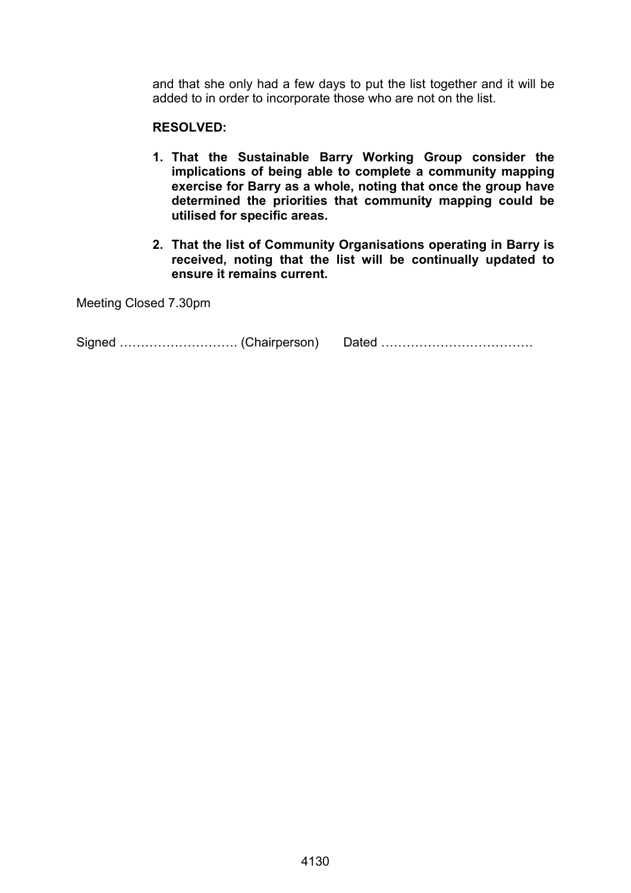and that she only had a few days to put the list together and it will be added to in order to incorporate those who are not on the list.

# **RESOLVED:**

- **1. That the Sustainable Barry Working Group consider the implications of being able to complete a community mapping exercise for Barry as a whole, noting that once the group have determined the priorities that community mapping could be utilised for specific areas.**
- **2. That the list of Community Organisations operating in Barry is received, noting that the list will be continually updated to ensure it remains current.**

Meeting Closed 7.30pm

Signed ………………………. (Chairperson) Dated ………………………………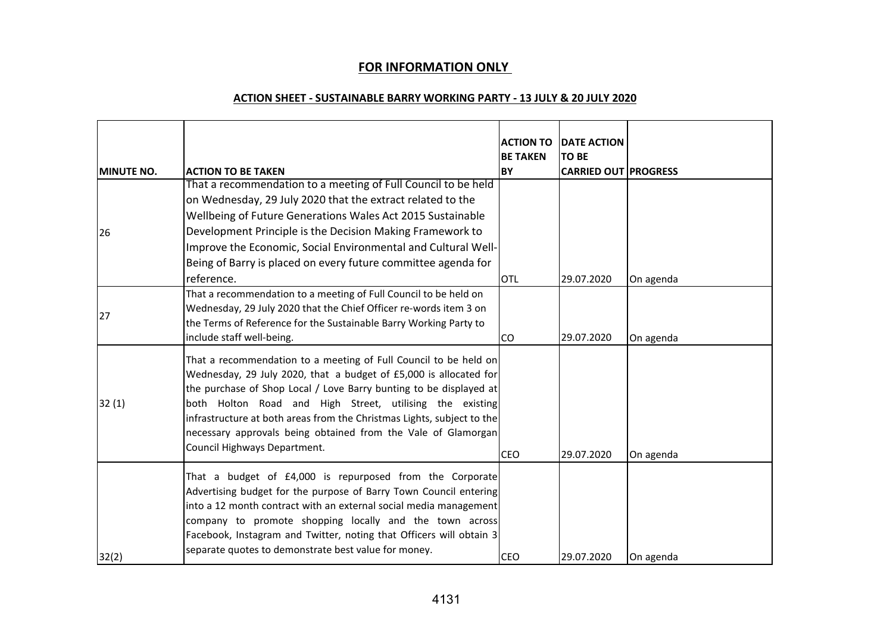# **FOR INFORMATION ONLY**

#### **ACTION SHEET - SUSTAINABLE BARRY WORKING PARTY - 13 JULY & 20 JULY 2020**

|                   |                                                                                                                                                                                                                                                                                                                                                                                                                                                    | <b>ACTION TO</b><br><b>BE TAKEN</b> | <b>DATE ACTION</b><br><b>TO BE</b> |           |
|-------------------|----------------------------------------------------------------------------------------------------------------------------------------------------------------------------------------------------------------------------------------------------------------------------------------------------------------------------------------------------------------------------------------------------------------------------------------------------|-------------------------------------|------------------------------------|-----------|
| <b>MINUTE NO.</b> | <b>ACTION TO BE TAKEN</b>                                                                                                                                                                                                                                                                                                                                                                                                                          | <b>BY</b>                           | <b>CARRIED OUT PROGRESS</b>        |           |
|                   | That a recommendation to a meeting of Full Council to be held                                                                                                                                                                                                                                                                                                                                                                                      |                                     |                                    |           |
|                   | on Wednesday, 29 July 2020 that the extract related to the                                                                                                                                                                                                                                                                                                                                                                                         |                                     |                                    |           |
|                   | Wellbeing of Future Generations Wales Act 2015 Sustainable                                                                                                                                                                                                                                                                                                                                                                                         |                                     |                                    |           |
| 26                | Development Principle is the Decision Making Framework to                                                                                                                                                                                                                                                                                                                                                                                          |                                     |                                    |           |
|                   | Improve the Economic, Social Environmental and Cultural Well-                                                                                                                                                                                                                                                                                                                                                                                      |                                     |                                    |           |
|                   | Being of Barry is placed on every future committee agenda for                                                                                                                                                                                                                                                                                                                                                                                      |                                     |                                    |           |
|                   | reference.                                                                                                                                                                                                                                                                                                                                                                                                                                         | OTL                                 | 29.07.2020                         | On agenda |
| 27                | That a recommendation to a meeting of Full Council to be held on<br>Wednesday, 29 July 2020 that the Chief Officer re-words item 3 on<br>the Terms of Reference for the Sustainable Barry Working Party to<br>include staff well-being.                                                                                                                                                                                                            | CO                                  | 29.07.2020                         | On agenda |
| 32(1)             | That a recommendation to a meeting of Full Council to be held on<br>Wednesday, 29 July 2020, that a budget of £5,000 is allocated for<br>the purchase of Shop Local / Love Barry bunting to be displayed at<br>both Holton Road and High Street, utilising the existing<br>infrastructure at both areas from the Christmas Lights, subject to the<br>necessary approvals being obtained from the Vale of Glamorgan<br>Council Highways Department. | <b>CEO</b>                          | 29.07.2020                         | On agenda |
| 32(2)             | That a budget of £4,000 is repurposed from the Corporate<br>Advertising budget for the purpose of Barry Town Council entering<br>into a 12 month contract with an external social media management<br>company to promote shopping locally and the town across<br>Facebook, Instagram and Twitter, noting that Officers will obtain 3<br>separate quotes to demonstrate best value for money.                                                       | <b>CEO</b>                          | 29.07.2020                         | On agenda |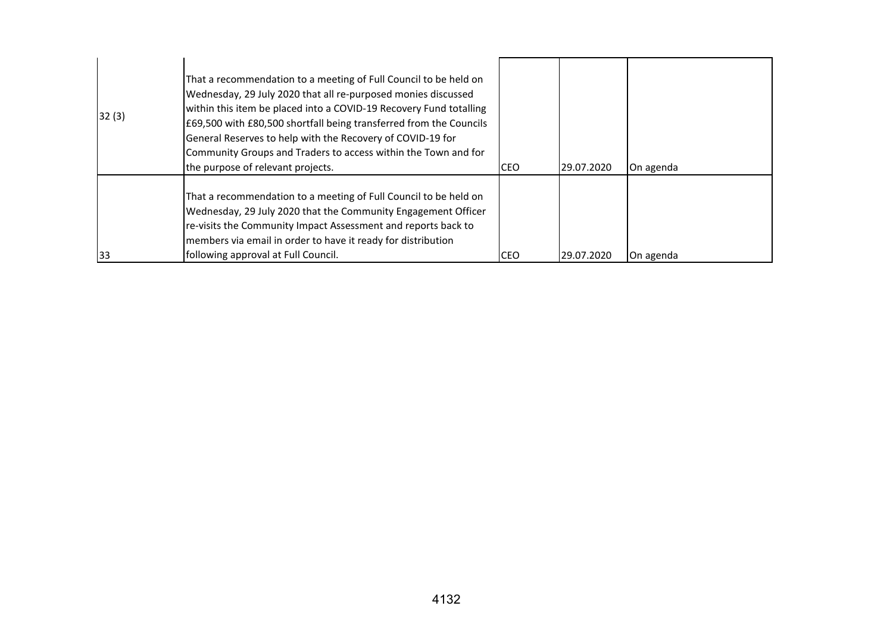| 32(3) | That a recommendation to a meeting of Full Council to be held on<br>Wednesday, 29 July 2020 that all re-purposed monies discussed<br>within this item be placed into a COVID-19 Recovery Fund totalling<br>£69,500 with £80,500 shortfall being transferred from the Councils<br>General Reserves to help with the Recovery of COVID-19 for<br>Community Groups and Traders to access within the Town and for<br>the purpose of relevant projects. | CEO        | 29.07.2020 | On agenda |
|-------|----------------------------------------------------------------------------------------------------------------------------------------------------------------------------------------------------------------------------------------------------------------------------------------------------------------------------------------------------------------------------------------------------------------------------------------------------|------------|------------|-----------|
| 33    | That a recommendation to a meeting of Full Council to be held on<br>Wednesday, 29 July 2020 that the Community Engagement Officer<br>re-visits the Community Impact Assessment and reports back to<br>members via email in order to have it ready for distribution<br>following approval at Full Council.                                                                                                                                          | <b>CEO</b> | 29.07.2020 | On agenda |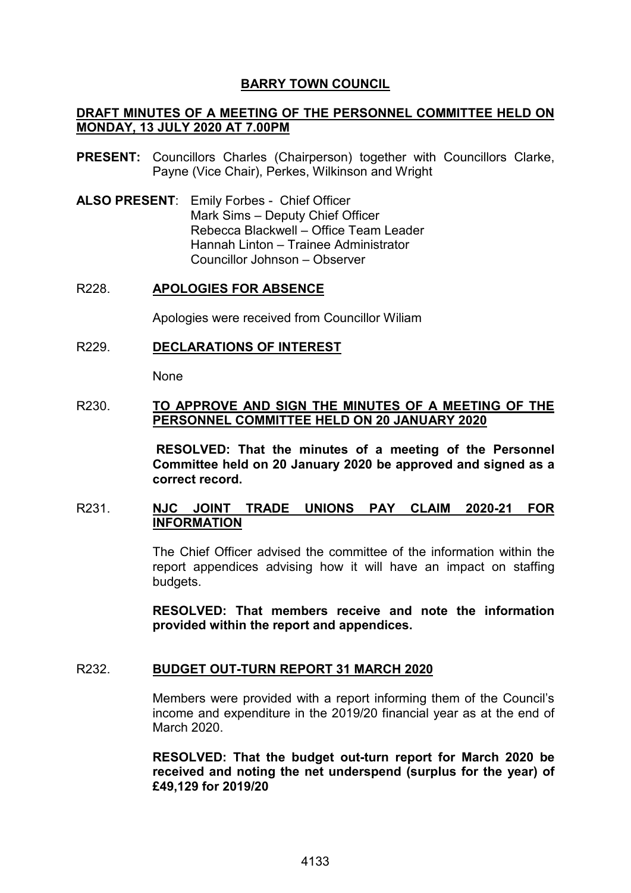# **BARRY TOWN COUNCIL**

# **DRAFT MINUTES OF A MEETING OF THE PERSONNEL COMMITTEE HELD ON MONDAY, 13 JULY 2020 AT 7.00PM**

- **PRESENT:** Councillors Charles (Chairperson) together with Councillors Clarke, Payne (Vice Chair), Perkes, Wilkinson and Wright
- **ALSO PRESENT**: Emily Forbes Chief Officer Mark Sims – Deputy Chief Officer Rebecca Blackwell – Office Team Leader Hannah Linton – Trainee Administrator Councillor Johnson – Observer

#### R228. **APOLOGIES FOR ABSENCE**

Apologies were received from Councillor Wiliam

#### R229. **DECLARATIONS OF INTEREST**

None

### R230. **TO APPROVE AND SIGN THE MINUTES OF A MEETING OF THE PERSONNEL COMMITTEE HELD ON 20 JANUARY 2020**

**RESOLVED: That the minutes of a meeting of the Personnel Committee held on 20 January 2020 be approved and signed as a correct record.** 

# R231. **NJC JOINT TRADE UNIONS PAY CLAIM 2020-21 FOR INFORMATION**

The Chief Officer advised the committee of the information within the report appendices advising how it will have an impact on staffing budgets.

**RESOLVED: That members receive and note the information provided within the report and appendices.** 

### R232. **BUDGET OUT-TURN REPORT 31 MARCH 2020**

Members were provided with a report informing them of the Council's income and expenditure in the 2019/20 financial year as at the end of March 2020.

**RESOLVED: That the budget out-turn report for March 2020 be received and noting the net underspend (surplus for the year) of £49,129 for 2019/20**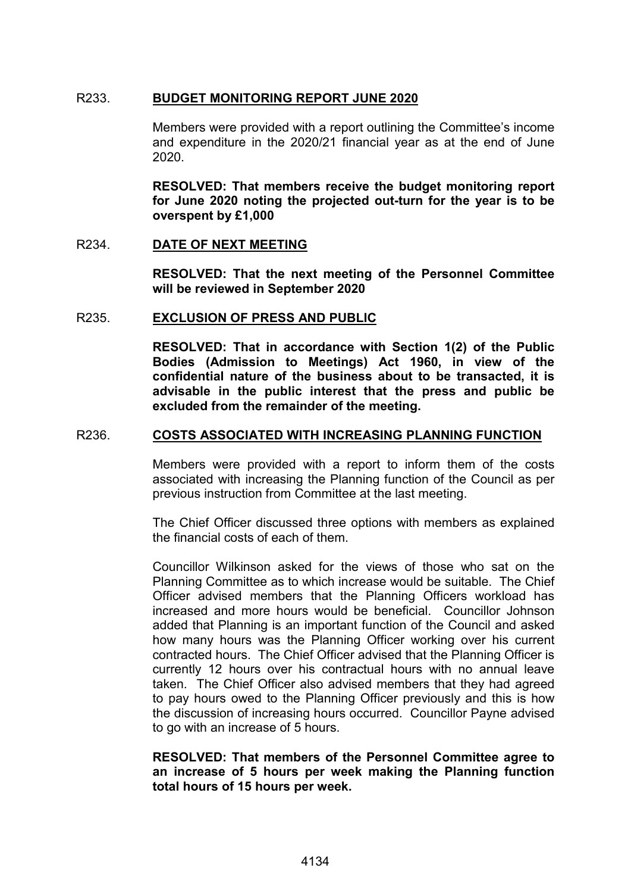# R233. **BUDGET MONITORING REPORT JUNE 2020**

Members were provided with a report outlining the Committee's income and expenditure in the 2020/21 financial year as at the end of June 2020.

**RESOLVED: That members receive the budget monitoring report for June 2020 noting the projected out-turn for the year is to be overspent by £1,000**

### R234. **DATE OF NEXT MEETING**

**RESOLVED: That the next meeting of the Personnel Committee will be reviewed in September 2020** 

### R235. **EXCLUSION OF PRESS AND PUBLIC**

**RESOLVED: That in accordance with Section 1(2) of the Public Bodies (Admission to Meetings) Act 1960, in view of the confidential nature of the business about to be transacted, it is advisable in the public interest that the press and public be excluded from the remainder of the meeting.** 

### R236. **COSTS ASSOCIATED WITH INCREASING PLANNING FUNCTION**

Members were provided with a report to inform them of the costs associated with increasing the Planning function of the Council as per previous instruction from Committee at the last meeting.

The Chief Officer discussed three options with members as explained the financial costs of each of them.

Councillor Wilkinson asked for the views of those who sat on the Planning Committee as to which increase would be suitable. The Chief Officer advised members that the Planning Officers workload has increased and more hours would be beneficial. Councillor Johnson added that Planning is an important function of the Council and asked how many hours was the Planning Officer working over his current contracted hours. The Chief Officer advised that the Planning Officer is currently 12 hours over his contractual hours with no annual leave taken. The Chief Officer also advised members that they had agreed to pay hours owed to the Planning Officer previously and this is how the discussion of increasing hours occurred. Councillor Payne advised to go with an increase of 5 hours.

### **RESOLVED: That members of the Personnel Committee agree to an increase of 5 hours per week making the Planning function total hours of 15 hours per week.**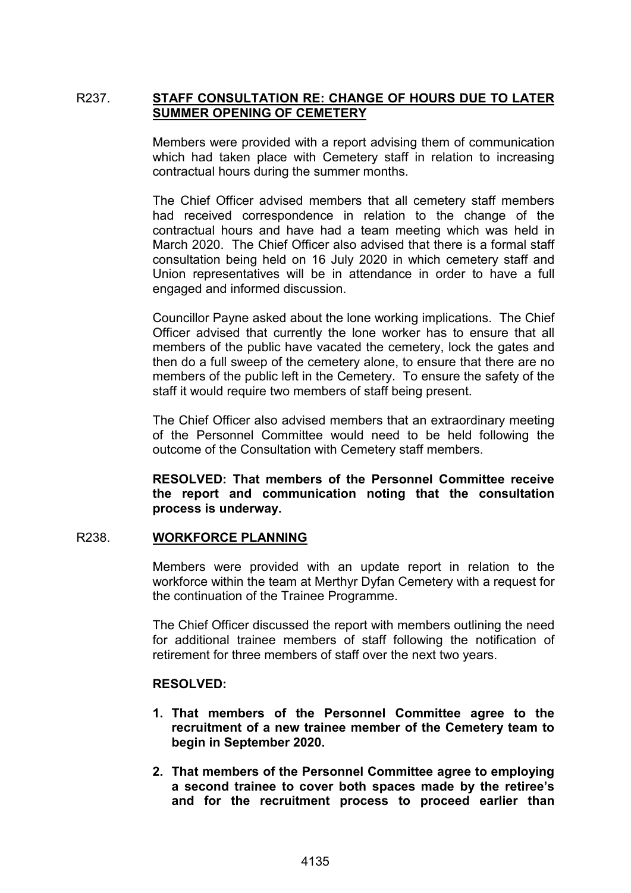# R237. **STAFF CONSULTATION RE: CHANGE OF HOURS DUE TO LATER SUMMER OPENING OF CEMETERY**

Members were provided with a report advising them of communication which had taken place with Cemetery staff in relation to increasing contractual hours during the summer months.

The Chief Officer advised members that all cemetery staff members had received correspondence in relation to the change of the contractual hours and have had a team meeting which was held in March 2020. The Chief Officer also advised that there is a formal staff consultation being held on 16 July 2020 in which cemetery staff and Union representatives will be in attendance in order to have a full engaged and informed discussion.

Councillor Payne asked about the lone working implications. The Chief Officer advised that currently the lone worker has to ensure that all members of the public have vacated the cemetery, lock the gates and then do a full sweep of the cemetery alone, to ensure that there are no members of the public left in the Cemetery. To ensure the safety of the staff it would require two members of staff being present.

The Chief Officer also advised members that an extraordinary meeting of the Personnel Committee would need to be held following the outcome of the Consultation with Cemetery staff members.

**RESOLVED: That members of the Personnel Committee receive the report and communication noting that the consultation process is underway.** 

### R238. **WORKFORCE PLANNING**

Members were provided with an update report in relation to the workforce within the team at Merthyr Dyfan Cemetery with a request for the continuation of the Trainee Programme.

The Chief Officer discussed the report with members outlining the need for additional trainee members of staff following the notification of retirement for three members of staff over the next two years.

### **RESOLVED:**

- **1. That members of the Personnel Committee agree to the recruitment of a new trainee member of the Cemetery team to begin in September 2020.**
- **2. That members of the Personnel Committee agree to employing a second trainee to cover both spaces made by the retiree's and for the recruitment process to proceed earlier than**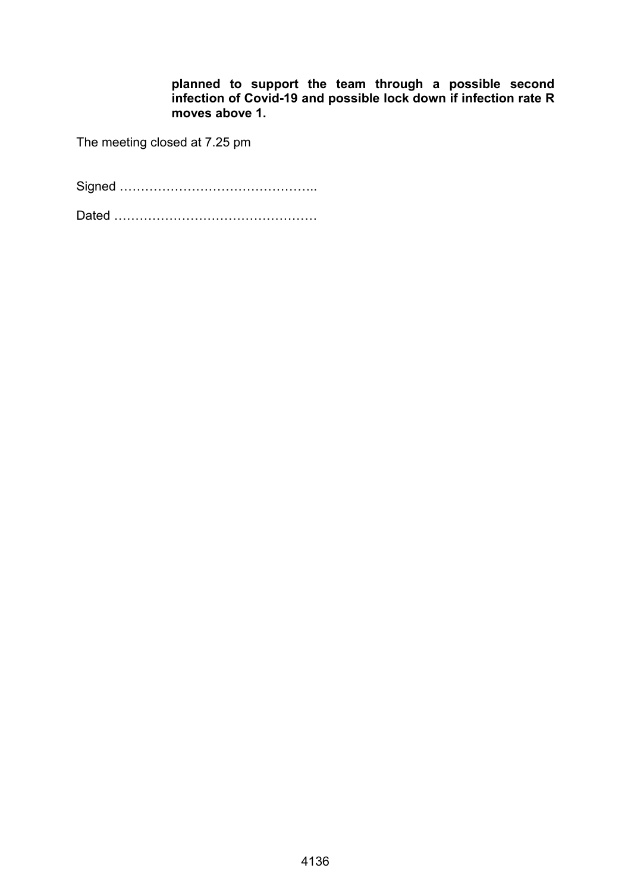**planned to support the team through a possible second infection of Covid-19 and possible lock down if infection rate R moves above 1.** 

The meeting closed at 7.25 pm

Signed ………………………………………..

Dated …………………………………………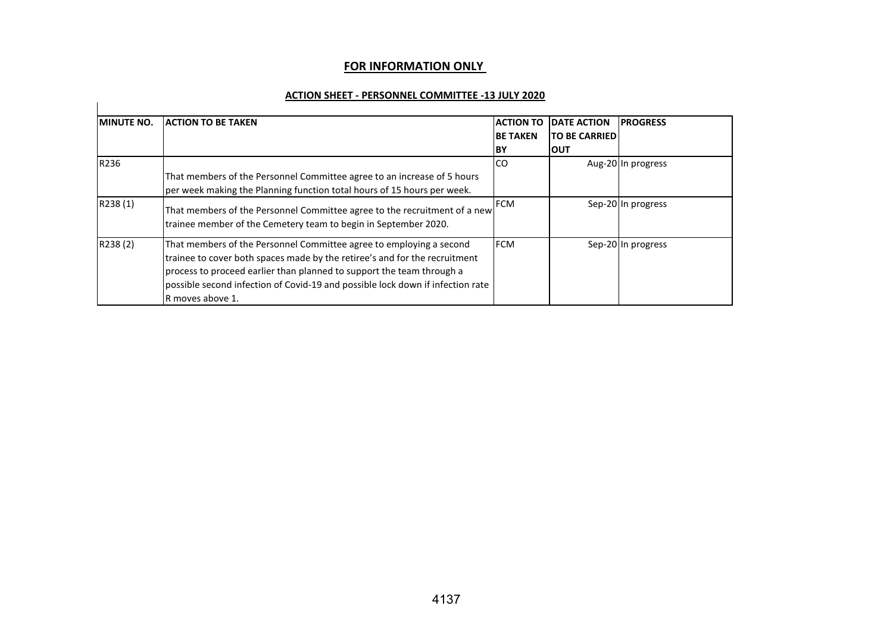#### **FOR INFORMATION ONLY**

#### **ACTION SHEET - PERSONNEL COMMITTEE -13 JULY 2020**

| <b>MINUTE NO.</b> | <b>ACTION TO BE TAKEN</b>                                                                                                                                                                                                                                                                                                        | <b>ACTION TO</b><br><b>BE TAKEN</b><br>lΒY | <b>DATE ACTION</b><br><b>ITO BE CARRIEDI</b><br>Ιουτ | <b>PROGRESS</b>    |
|-------------------|----------------------------------------------------------------------------------------------------------------------------------------------------------------------------------------------------------------------------------------------------------------------------------------------------------------------------------|--------------------------------------------|------------------------------------------------------|--------------------|
| R236              | That members of the Personnel Committee agree to an increase of 5 hours<br>per week making the Planning function total hours of 15 hours per week.                                                                                                                                                                               | <b>CO</b>                                  |                                                      | Aug-20 In progress |
| R238(1)           | That members of the Personnel Committee agree to the recruitment of a new<br>trainee member of the Cemetery team to begin in September 2020.                                                                                                                                                                                     | <b>FCM</b>                                 |                                                      | Sep-20 In progress |
| R238(2)           | That members of the Personnel Committee agree to employing a second<br>trainee to cover both spaces made by the retiree's and for the recruitment<br>process to proceed earlier than planned to support the team through a<br>possible second infection of Covid-19 and possible lock down if infection rate<br>R moves above 1. | <b>IFCM</b>                                |                                                      | Sep-20 In progress |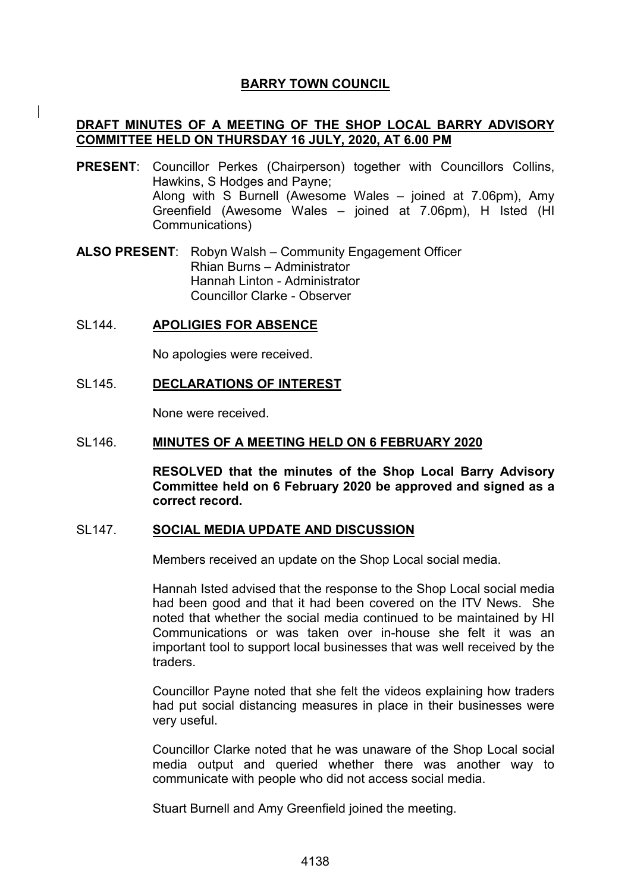# **BARRY TOWN COUNCIL**

# **DRAFT MINUTES OF A MEETING OF THE SHOP LOCAL BARRY ADVISORY COMMITTEE HELD ON THURSDAY 16 JULY, 2020, AT 6.00 PM**

**PRESENT**: Councillor Perkes (Chairperson) together with Councillors Collins, Hawkins, S Hodges and Payne; Along with S Burnell (Awesome Wales – joined at 7.06pm), Amy Greenfield (Awesome Wales – joined at 7.06pm), H Isted (HI Communications)

**ALSO PRESENT**: Robyn Walsh – Community Engagement Officer Rhian Burns – Administrator Hannah Linton - Administrator Councillor Clarke - Observer

### SL144. **APOLIGIES FOR ABSENCE**

No apologies were received.

### SL145. **DECLARATIONS OF INTEREST**

None were received.

#### SL146. **MINUTES OF A MEETING HELD ON 6 FEBRUARY 2020**

**RESOLVED that the minutes of the Shop Local Barry Advisory Committee held on 6 February 2020 be approved and signed as a correct record.**

### SL147. **SOCIAL MEDIA UPDATE AND DISCUSSION**

Members received an update on the Shop Local social media.

Hannah Isted advised that the response to the Shop Local social media had been good and that it had been covered on the ITV News. She noted that whether the social media continued to be maintained by HI Communications or was taken over in-house she felt it was an important tool to support local businesses that was well received by the traders.

Councillor Payne noted that she felt the videos explaining how traders had put social distancing measures in place in their businesses were very useful.

Councillor Clarke noted that he was unaware of the Shop Local social media output and queried whether there was another way to communicate with people who did not access social media.

Stuart Burnell and Amy Greenfield joined the meeting.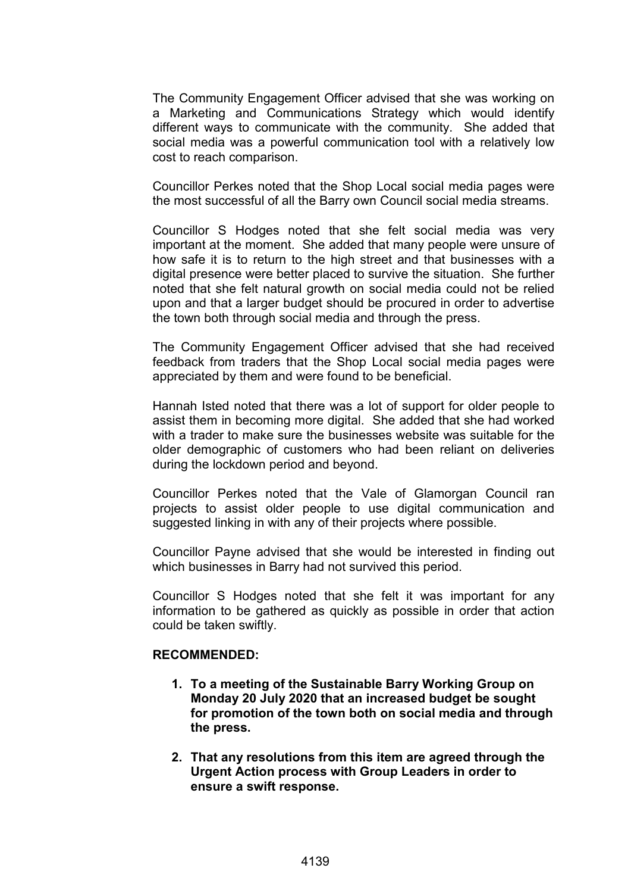The Community Engagement Officer advised that she was working on a Marketing and Communications Strategy which would identify different ways to communicate with the community. She added that social media was a powerful communication tool with a relatively low cost to reach comparison.

Councillor Perkes noted that the Shop Local social media pages were the most successful of all the Barry own Council social media streams.

Councillor S Hodges noted that she felt social media was very important at the moment. She added that many people were unsure of how safe it is to return to the high street and that businesses with a digital presence were better placed to survive the situation. She further noted that she felt natural growth on social media could not be relied upon and that a larger budget should be procured in order to advertise the town both through social media and through the press.

The Community Engagement Officer advised that she had received feedback from traders that the Shop Local social media pages were appreciated by them and were found to be beneficial.

Hannah Isted noted that there was a lot of support for older people to assist them in becoming more digital. She added that she had worked with a trader to make sure the businesses website was suitable for the older demographic of customers who had been reliant on deliveries during the lockdown period and beyond.

Councillor Perkes noted that the Vale of Glamorgan Council ran projects to assist older people to use digital communication and suggested linking in with any of their projects where possible.

Councillor Payne advised that she would be interested in finding out which businesses in Barry had not survived this period.

Councillor S Hodges noted that she felt it was important for any information to be gathered as quickly as possible in order that action could be taken swiftly.

### **RECOMMENDED:**

- **1. To a meeting of the Sustainable Barry Working Group on Monday 20 July 2020 that an increased budget be sought for promotion of the town both on social media and through the press.**
- **2. That any resolutions from this item are agreed through the Urgent Action process with Group Leaders in order to ensure a swift response.**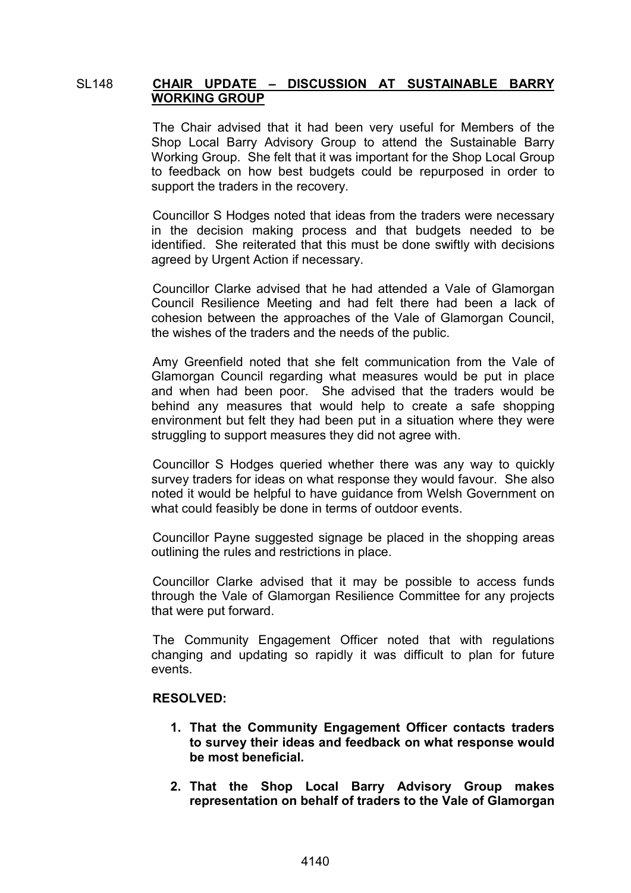# SL148 **CHAIR UPDATE – DISCUSSION AT SUSTAINABLE BARRY WORKING GROUP**

The Chair advised that it had been very useful for Members of the Shop Local Barry Advisory Group to attend the Sustainable Barry Working Group. She felt that it was important for the Shop Local Group to feedback on how best budgets could be repurposed in order to support the traders in the recovery.

Councillor S Hodges noted that ideas from the traders were necessary in the decision making process and that budgets needed to be identified. She reiterated that this must be done swiftly with decisions agreed by Urgent Action if necessary.

Councillor Clarke advised that he had attended a Vale of Glamorgan Council Resilience Meeting and had felt there had been a lack of cohesion between the approaches of the Vale of Glamorgan Council, the wishes of the traders and the needs of the public.

Amy Greenfield noted that she felt communication from the Vale of Glamorgan Council regarding what measures would be put in place and when had been poor. She advised that the traders would be behind any measures that would help to create a safe shopping environment but felt they had been put in a situation where they were struggling to support measures they did not agree with.

Councillor S Hodges queried whether there was any way to quickly survey traders for ideas on what response they would favour. She also noted it would be helpful to have guidance from Welsh Government on what could feasibly be done in terms of outdoor events.

Councillor Payne suggested signage be placed in the shopping areas outlining the rules and restrictions in place.

Councillor Clarke advised that it may be possible to access funds through the Vale of Glamorgan Resilience Committee for any projects that were put forward.

The Community Engagement Officer noted that with regulations changing and updating so rapidly it was difficult to plan for future events.

### **RESOLVED:**

- **1. That the Community Engagement Officer contacts traders to survey their ideas and feedback on what response would be most beneficial.**
- **2. That the Shop Local Barry Advisory Group makes representation on behalf of traders to the Vale of Glamorgan**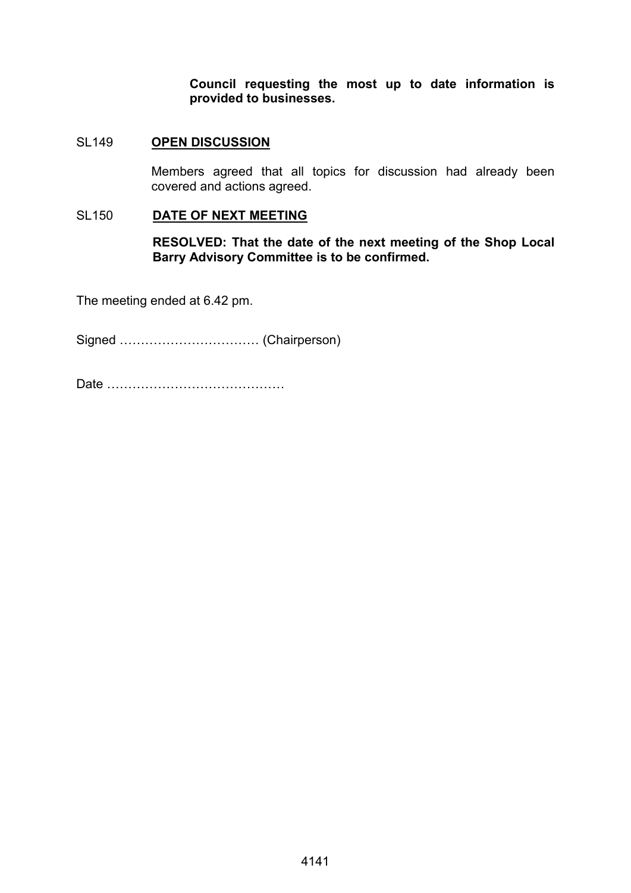**Council requesting the most up to date information is provided to businesses.**

# SL149 **OPEN DISCUSSION**

Members agreed that all topics for discussion had already been covered and actions agreed.

### SL150 **DATE OF NEXT MEETING**

**RESOLVED: That the date of the next meeting of the Shop Local Barry Advisory Committee is to be confirmed.**

The meeting ended at 6.42 pm.

Signed …………………………… (Chairperson)

Date ……………………………………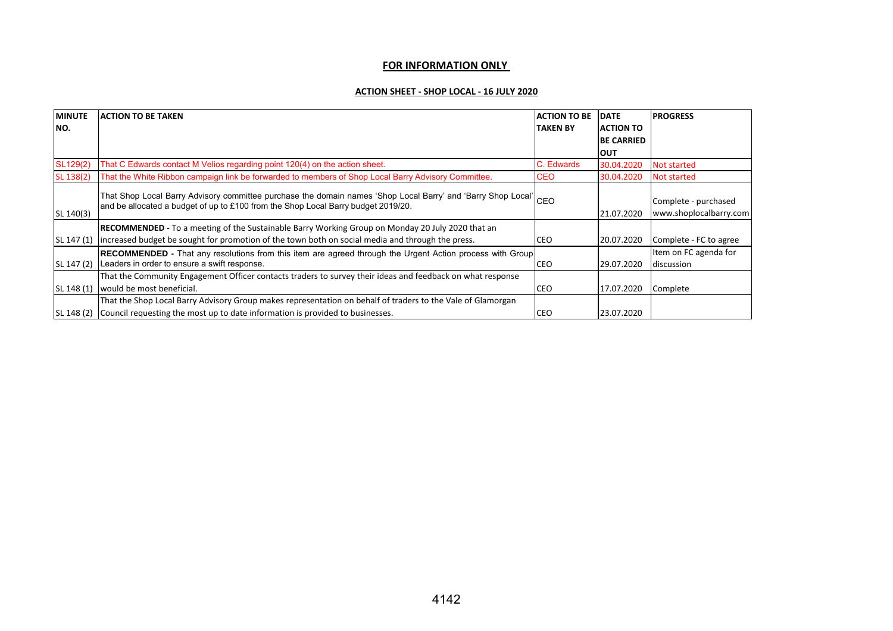#### **FOR INFORMATION ONLY**

#### **ACTION SHEET - SHOP LOCAL - 16 JULY 2020**

| <b>MINUTE</b> | <b>ACTION TO BE TAKEN</b>                                                                                                                                                                             | <b>ACTION TO BE</b> | <b>DATE</b>       | <b>PROGRESS</b>                                |
|---------------|-------------------------------------------------------------------------------------------------------------------------------------------------------------------------------------------------------|---------------------|-------------------|------------------------------------------------|
| NO.           |                                                                                                                                                                                                       | <b>TAKEN BY</b>     | <b>ACTION TO</b>  |                                                |
|               |                                                                                                                                                                                                       |                     | <b>BE CARRIED</b> |                                                |
|               |                                                                                                                                                                                                       |                     | <b>OUT</b>        |                                                |
| SL129(2)      | That C Edwards contact M Velios regarding point 120(4) on the action sheet.                                                                                                                           | C. Edwards          | 30.04.2020        | Not started                                    |
| SL 138(2)     | That the White Ribbon campaign link be forwarded to members of Shop Local Barry Advisory Committee.                                                                                                   | <b>CEO</b>          | 30.04.2020        | Not started                                    |
| SL 140(3)     | That Shop Local Barry Advisory committee purchase the domain names 'Shop Local Barry' and 'Barry Shop Local' CEO<br>and be allocated a budget of up to £100 from the Shop Local Barry budget 2019/20. |                     | 21.07.2020        | Complete - purchased<br>www.shoplocalbarry.com |
|               | <b>RECOMMENDED</b> - To a meeting of the Sustainable Barry Working Group on Monday 20 July 2020 that an                                                                                               |                     |                   |                                                |
| SL 147 (1)    | lincreased budget be sought for promotion of the town both on social media and through the press.                                                                                                     | <b>CEO</b>          | 20.07.2020        | Complete - FC to agree                         |
|               | <b>RECOMMENDED</b> - That any resolutions from this item are agreed through the Urgent Action process with Group                                                                                      |                     |                   | Item on FC agenda for                          |
| SL 147 (2)    | Leaders in order to ensure a swift response.                                                                                                                                                          | CEO                 | 29.07.2020        | discussion                                     |
|               | That the Community Engagement Officer contacts traders to survey their ideas and feedback on what response                                                                                            |                     |                   |                                                |
| SL 148 (1)    | would be most beneficial.                                                                                                                                                                             | CEO                 | 17.07.2020        | Complete                                       |
|               | That the Shop Local Barry Advisory Group makes representation on behalf of traders to the Vale of Glamorgan                                                                                           |                     |                   |                                                |
| SL 148 (2)    | Council requesting the most up to date information is provided to businesses.                                                                                                                         | <b>CEO</b>          | 23.07.2020        |                                                |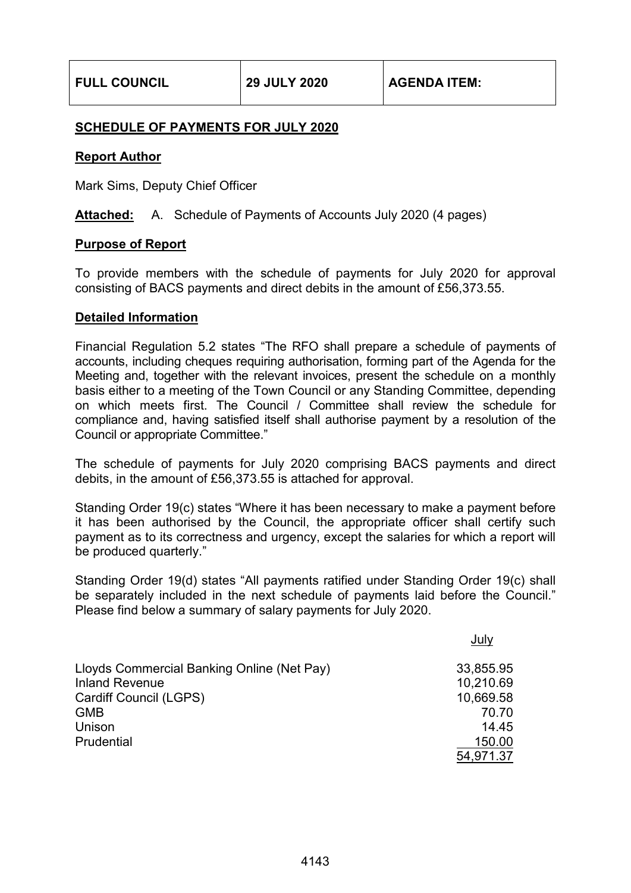# **SCHEDULE OF PAYMENTS FOR JULY 2020**

# **Report Author**

Mark Sims, Deputy Chief Officer

**Attached:** A. Schedule of Payments of Accounts July 2020 (4 pages)

# **Purpose of Report**

To provide members with the schedule of payments for July 2020 for approval consisting of BACS payments and direct debits in the amount of £56,373.55.

### **Detailed Information**

Financial Regulation 5.2 states "The RFO shall prepare a schedule of payments of accounts, including cheques requiring authorisation, forming part of the Agenda for the Meeting and, together with the relevant invoices, present the schedule on a monthly basis either to a meeting of the Town Council or any Standing Committee, depending on which meets first. The Council / Committee shall review the schedule for compliance and, having satisfied itself shall authorise payment by a resolution of the Council or appropriate Committee."

The schedule of payments for July 2020 comprising BACS payments and direct debits, in the amount of £56,373.55 is attached for approval.

Standing Order 19(c) states "Where it has been necessary to make a payment before it has been authorised by the Council, the appropriate officer shall certify such payment as to its correctness and urgency, except the salaries for which a report will be produced quarterly."

Standing Order 19(d) states "All payments ratified under Standing Order 19(c) shall be separately included in the next schedule of payments laid before the Council." Please find below a summary of salary payments for July 2020.

|                                            | July      |
|--------------------------------------------|-----------|
| Lloyds Commercial Banking Online (Net Pay) | 33,855.95 |
| <b>Inland Revenue</b>                      | 10,210.69 |
| Cardiff Council (LGPS)                     | 10,669.58 |
| <b>GMB</b>                                 | 70.70     |
| Unison                                     | 14.45     |
| Prudential                                 | 150.00    |
|                                            | 54,971.37 |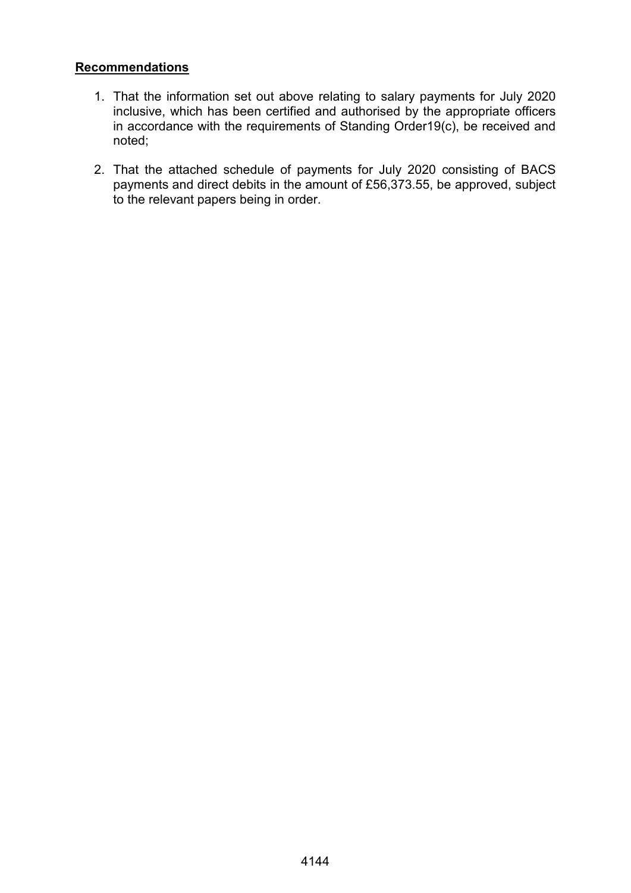# **Recommendations**

- 1. That the information set out above relating to salary payments for July 2020 inclusive, which has been certified and authorised by the appropriate officers in accordance with the requirements of Standing Order19(c), be received and noted;
- 2. That the attached schedule of payments for July 2020 consisting of BACS payments and direct debits in the amount of £56,373.55, be approved, subject to the relevant papers being in order.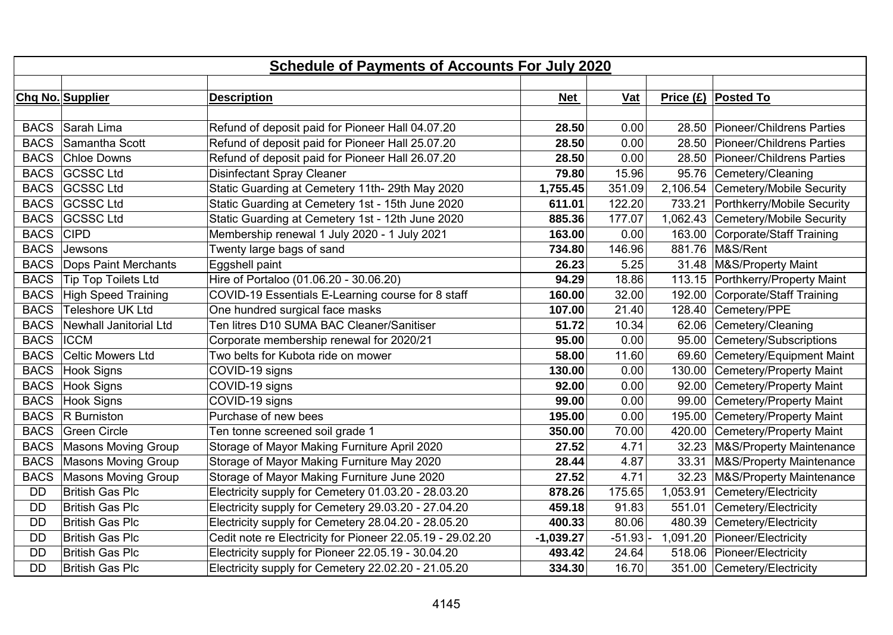|             | <b>Schedule of Payments of Accounts For July 2020</b> |                                                           |             |            |  |                                     |
|-------------|-------------------------------------------------------|-----------------------------------------------------------|-------------|------------|--|-------------------------------------|
|             |                                                       |                                                           |             |            |  |                                     |
|             | Chq No. Supplier                                      | <b>Description</b>                                        | <b>Net</b>  | Vat        |  | Price (£) Posted To                 |
|             |                                                       |                                                           |             |            |  |                                     |
| <b>BACS</b> | Sarah Lima                                            | Refund of deposit paid for Pioneer Hall 04.07.20          | 28.50       | 0.00       |  | 28.50 Pioneer/Childrens Parties     |
| <b>BACS</b> | Samantha Scott                                        | Refund of deposit paid for Pioneer Hall 25.07.20          | 28.50       | 0.00       |  | 28.50 Pioneer/Childrens Parties     |
| <b>BACS</b> | Chloe Downs                                           | Refund of deposit paid for Pioneer Hall 26.07.20          | 28.50       | 0.00       |  | 28.50 Pioneer/Childrens Parties     |
| <b>BACS</b> | <b>GCSSC Ltd</b>                                      | <b>Disinfectant Spray Cleaner</b>                         | 79.80       | 15.96      |  | 95.76 Cemetery/Cleaning             |
| <b>BACS</b> | <b>GCSSC Ltd</b>                                      | Static Guarding at Cemetery 11th- 29th May 2020           | 1,755.45    | 351.09     |  | 2,106.54 Cemetery/Mobile Security   |
|             | BACS GCSSC Ltd                                        | Static Guarding at Cemetery 1st - 15th June 2020          | 611.01      | 122.20     |  | 733.21   Porthkerry/Mobile Security |
| <b>BACS</b> | <b>GCSSC Ltd</b>                                      | Static Guarding at Cemetery 1st - 12th June 2020          | 885.36      | 177.07     |  | 1,062.43 Cemetery/Mobile Security   |
| <b>BACS</b> | <b>CIPD</b>                                           | Membership renewal 1 July 2020 - 1 July 2021              | 163.00      | 0.00       |  | 163.00 Corporate/Staff Training     |
| <b>BACS</b> | Jewsons                                               | Twenty large bags of sand                                 | 734.80      | 146.96     |  | 881.76   M&S/Rent                   |
| <b>BACS</b> | Dops Paint Merchants                                  | Eggshell paint                                            | 26.23       | 5.25       |  | 31.48   M&S/Property Maint          |
| <b>BACS</b> | <b>Tip Top Toilets Ltd</b>                            | Hire of Portaloo (01.06.20 - 30.06.20)                    | 94.29       | 18.86      |  | 113.15 Porthkerry/Property Maint    |
| <b>BACS</b> | High Speed Training                                   | COVID-19 Essentials E-Learning course for 8 staff         | 160.00      | 32.00      |  | 192.00 Corporate/Staff Training     |
| <b>BACS</b> | Teleshore UK Ltd                                      | One hundred surgical face masks                           | 107.00      | 21.40      |  | 128.40 Cemetery/PPE                 |
| <b>BACS</b> | Newhall Janitorial Ltd                                | Ten litres D10 SUMA BAC Cleaner/Sanitiser                 | 51.72       | 10.34      |  | 62.06 Cemetery/Cleaning             |
| <b>BACS</b> | <b>ICCM</b>                                           | Corporate membership renewal for 2020/21                  | 95.00       | 0.00       |  | 95.00 Cemetery/Subscriptions        |
| <b>BACS</b> | Celtic Mowers Ltd                                     | Two belts for Kubota ride on mower                        | 58.00       | 11.60      |  | 69.60 Cemetery/Equipment Maint      |
| <b>BACS</b> | Hook Signs                                            | COVID-19 signs                                            | 130.00      | 0.00       |  | 130.00 Cemetery/Property Maint      |
|             | BACS Hook Signs                                       | COVID-19 signs                                            | 92.00       | 0.00       |  | 92.00 Cemetery/Property Maint       |
| <b>BACS</b> | Hook Signs                                            | COVID-19 signs                                            | 99.00       | 0.00       |  | 99.00 Cemetery/Property Maint       |
| <b>BACS</b> | <b>R</b> Burniston                                    | Purchase of new bees                                      | 195.00      | 0.00       |  | 195.00 Cemetery/Property Maint      |
|             | <b>BACS</b> Green Circle                              | Ten tonne screened soil grade 1                           | 350.00      | 70.00      |  | 420.00 Cemetery/Property Maint      |
| <b>BACS</b> | Masons Moving Group                                   | Storage of Mayor Making Furniture April 2020              | 27.52       | 4.71       |  | 32.23   M&S/Property Maintenance    |
| <b>BACS</b> | Masons Moving Group                                   | Storage of Mayor Making Furniture May 2020                | 28.44       | 4.87       |  | 33.31   M&S/Property Maintenance    |
| <b>BACS</b> | Masons Moving Group                                   | Storage of Mayor Making Furniture June 2020               | 27.52       | 4.71       |  | 32.23   M&S/Property Maintenance    |
| <b>DD</b>   | British Gas Plc                                       | Electricity supply for Cemetery 01.03.20 - 28.03.20       | 878.26      | 175.65     |  | 1,053.91 Cemetery/Electricity       |
| <b>DD</b>   | British Gas Plc                                       | Electricity supply for Cemetery 29.03.20 - 27.04.20       | 459.18      | 91.83      |  | 551.01 Cemetery/Electricity         |
| <b>DD</b>   | British Gas Plc                                       | Electricity supply for Cemetery 28.04.20 - 28.05.20       | 400.33      | 80.06      |  | 480.39 Cemetery/Electricity         |
| <b>DD</b>   | <b>British Gas Plc</b>                                | Cedit note re Electricity for Pioneer 22.05.19 - 29.02.20 | $-1,039.27$ | $-51.93$ - |  | 1,091.20 Pioneer/Electricity        |
| <b>DD</b>   | <b>British Gas Plc</b>                                | Electricity supply for Pioneer 22.05.19 - 30.04.20        | 493.42      | 24.64      |  | 518.06 Pioneer/Electricity          |
| <b>DD</b>   | <b>British Gas Plc</b>                                | Electricity supply for Cemetery 22.02.20 - 21.05.20       | 334.30      | 16.70      |  | 351.00 Cemetery/Electricity         |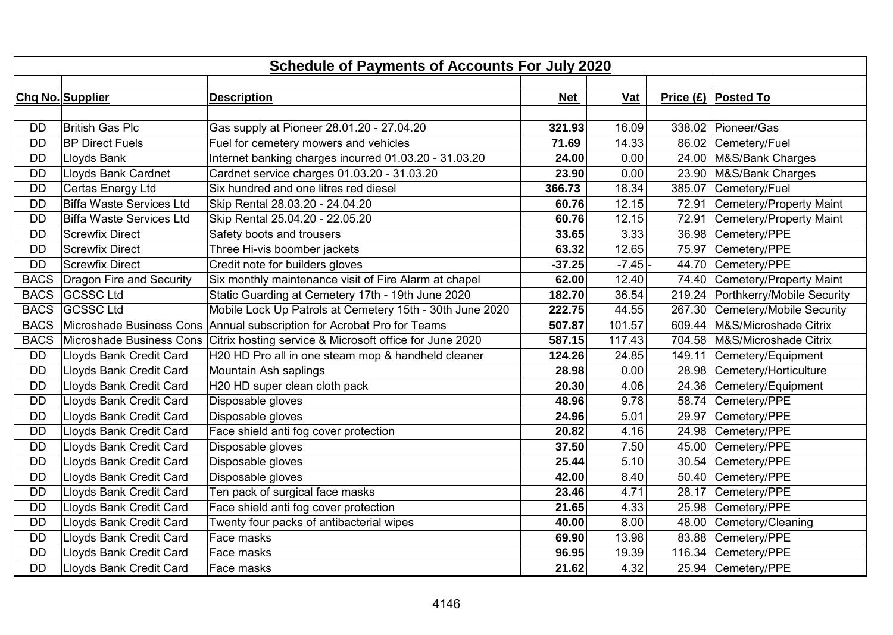|             | <b>Schedule of Payments of Accounts For July 2020</b> |                                                          |            |            |        |                                   |  |
|-------------|-------------------------------------------------------|----------------------------------------------------------|------------|------------|--------|-----------------------------------|--|
|             |                                                       |                                                          |            |            |        |                                   |  |
|             | Chq No. Supplier                                      | <b>Description</b>                                       | <b>Net</b> | <b>Vat</b> |        | Price (£) Posted To               |  |
|             |                                                       |                                                          |            |            |        |                                   |  |
| <b>DD</b>   | <b>British Gas Plc</b>                                | Gas supply at Pioneer 28.01.20 - 27.04.20                | 321.93     | 16.09      |        | 338.02 Pioneer/Gas                |  |
| <b>DD</b>   | <b>BP Direct Fuels</b>                                | Fuel for cemetery mowers and vehicles                    | 71.69      | 14.33      |        | 86.02 Cemetery/Fuel               |  |
| <b>DD</b>   | Lloyds Bank                                           | Internet banking charges incurred 01.03.20 - 31.03.20    | 24.00      | 0.00       |        | 24.00   M&S/Bank Charges          |  |
| <b>DD</b>   | Lloyds Bank Cardnet                                   | Cardnet service charges 01.03.20 - 31.03.20              | 23.90      | 0.00       |        | 23.90   M&S/Bank Charges          |  |
| <b>DD</b>   | Certas Energy Ltd                                     | Six hundred and one litres red diesel                    | 366.73     | 18.34      |        | 385.07 Cemetery/Fuel              |  |
| <b>DD</b>   | Biffa Waste Services Ltd                              | Skip Rental 28.03.20 - 24.04.20                          | 60.76      | 12.15      |        | 72.91 Cemetery/Property Maint     |  |
| <b>DD</b>   | <b>Biffa Waste Services Ltd</b>                       | Skip Rental 25.04.20 - 22.05.20                          | 60.76      | 12.15      |        | 72.91 Cemetery/Property Maint     |  |
| <b>DD</b>   | Screwfix Direct                                       | Safety boots and trousers                                | 33.65      | 3.33       |        | 36.98 Cemetery/PPE                |  |
| <b>DD</b>   | <b>Screwfix Direct</b>                                | Three Hi-vis boomber jackets                             | 63.32      | 12.65      |        | 75.97 Cemetery/PPE                |  |
| <b>DD</b>   | <b>Screwfix Direct</b>                                | Credit note for builders gloves                          | $-37.25$   | $-7.45$ -  | 44.70  | Cemetery/PPE                      |  |
| <b>BACS</b> | Dragon Fire and Security                              | Six monthly maintenance visit of Fire Alarm at chapel    | 62.00      | 12.40      |        | 74.40 Cemetery/Property Maint     |  |
| <b>BACS</b> | <b>GCSSC Ltd</b>                                      | Static Guarding at Cemetery 17th - 19th June 2020        | 182.70     | 36.54      |        | 219.24 Porthkerry/Mobile Security |  |
| <b>BACS</b> | <b>GCSSC Ltd</b>                                      | Mobile Lock Up Patrols at Cemetery 15th - 30th June 2020 | 222.75     | 44.55      | 267.30 | Cemetery/Mobile Security          |  |
| <b>BACS</b> | Microshade Business Cons                              | Annual subscription for Acrobat Pro for Teams            | 507.87     | 101.57     |        | 609.44   M&S/Microshade Citrix    |  |
| <b>BACS</b> | Microshade Business Cons                              | Citrix hosting service & Microsoft office for June 2020  | 587.15     | 117.43     |        | 704.58   M&S/Microshade Citrix    |  |
| <b>DD</b>   | Lloyds Bank Credit Card                               | H20 HD Pro all in one steam mop & handheld cleaner       | 124.26     | 24.85      |        | 149.11 Cemetery/Equipment         |  |
| <b>DD</b>   | Lloyds Bank Credit Card                               | Mountain Ash saplings                                    | 28.98      | 0.00       |        | 28.98 Cemetery/Horticulture       |  |
| <b>DD</b>   | Lloyds Bank Credit Card                               | H20 HD super clean cloth pack                            | 20.30      | 4.06       |        | 24.36 Cemetery/Equipment          |  |
| <b>DD</b>   | Lloyds Bank Credit Card                               | Disposable gloves                                        | 48.96      | 9.78       |        | 58.74 Cemetery/PPE                |  |
| <b>DD</b>   | Lloyds Bank Credit Card                               | Disposable gloves                                        | 24.96      | 5.01       |        | 29.97 Cemetery/PPE                |  |
| <b>DD</b>   | Lloyds Bank Credit Card                               | Face shield anti fog cover protection                    | 20.82      | 4.16       |        | 24.98 Cemetery/PPE                |  |
| <b>DD</b>   | Lloyds Bank Credit Card                               | Disposable gloves                                        | 37.50      | 7.50       | 45.00  | Cemetery/PPE                      |  |
| <b>DD</b>   | Lloyds Bank Credit Card                               | Disposable gloves                                        | 25.44      | 5.10       |        | 30.54 Cemetery/PPE                |  |
| <b>DD</b>   | Lloyds Bank Credit Card                               | Disposable gloves                                        | 42.00      | 8.40       |        | 50.40 Cemetery/PPE                |  |
| <b>DD</b>   | Lloyds Bank Credit Card                               | Ten pack of surgical face masks                          | 23.46      | 4.71       |        | 28.17 Cemetery/PPE                |  |
| <b>DD</b>   | Lloyds Bank Credit Card                               | Face shield anti fog cover protection                    | 21.65      | 4.33       |        | 25.98 Cemetery/PPE                |  |
| <b>DD</b>   | Lloyds Bank Credit Card                               | Twenty four packs of antibacterial wipes                 | 40.00      | 8.00       |        | 48.00 Cemetery/Cleaning           |  |
| <b>DD</b>   | Lloyds Bank Credit Card                               | Face masks                                               | 69.90      | 13.98      | 83.88  | Cemetery/PPE                      |  |
| <b>DD</b>   | Lloyds Bank Credit Card                               | Face masks                                               | 96.95      | 19.39      |        | 116.34 Cemetery/PPE               |  |
| <b>DD</b>   | Lloyds Bank Credit Card                               | Face masks                                               | 21.62      | 4.32       |        | 25.94 Cemetery/PPE                |  |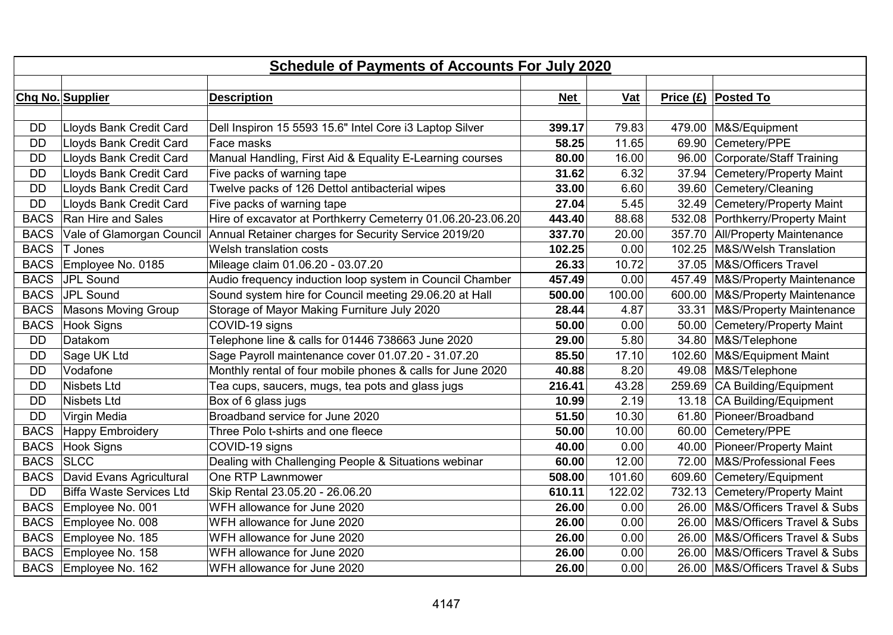| <b>Schedule of Payments of Accounts For July 2020</b> |                                      |                                                             |               |                                  |                                  |                                   |  |  |
|-------------------------------------------------------|--------------------------------------|-------------------------------------------------------------|---------------|----------------------------------|----------------------------------|-----------------------------------|--|--|
|                                                       |                                      |                                                             |               |                                  |                                  |                                   |  |  |
|                                                       | Chq No. Supplier                     | <b>Description</b>                                          |               | Vat                              |                                  | Price $(E)$ Posted To             |  |  |
|                                                       |                                      |                                                             |               |                                  |                                  |                                   |  |  |
| <b>DD</b>                                             | Lloyds Bank Credit Card              | Dell Inspiron 15 5593 15.6" Intel Core i3 Laptop Silver     | 399.17        | 79.83                            |                                  | 479.00   M&S/Equipment            |  |  |
| <b>DD</b>                                             | Lloyds Bank Credit Card              | Face masks                                                  | 58.25         | 11.65                            |                                  | 69.90 Cemetery/PPE                |  |  |
| <b>DD</b>                                             | Lloyds Bank Credit Card              | Manual Handling, First Aid & Equality E-Learning courses    | 80.00         | 16.00                            |                                  | 96.00 Corporate/Staff Training    |  |  |
| <b>DD</b>                                             | Lloyds Bank Credit Card              | Five packs of warning tape                                  | 31.62         | 6.32                             |                                  | 37.94 Cemetery/Property Maint     |  |  |
| <b>DD</b>                                             | Lloyds Bank Credit Card              | Twelve packs of 126 Dettol antibacterial wipes              | 33.00         | 6.60                             |                                  | 39.60 Cemetery/Cleaning           |  |  |
| <b>DD</b>                                             | Lloyds Bank Credit Card              | Five packs of warning tape                                  | 27.04         | 5.45                             |                                  | 32.49 Cemetery/Property Maint     |  |  |
| <b>BACS</b>                                           | Ran Hire and Sales                   | Hire of excavator at Porthkerry Cemeterry 01.06.20-23.06.20 | 443.40        | 88.68                            |                                  | 532.08 Porthkerry/Property Maint  |  |  |
| <b>BACS</b>                                           | Vale of Glamorgan Council            | Annual Retainer charges for Security Service 2019/20        | 337.70        | 20.00                            |                                  | 357.70 All/Property Maintenance   |  |  |
| <b>BACS</b>                                           | T Jones                              | Welsh translation costs                                     | 102.25        | 0.00                             |                                  | 102.25   M&S/Welsh Translation    |  |  |
| <b>BACS</b>                                           | Employee No. 0185                    | Mileage claim 01.06.20 - 03.07.20                           | 26.33         | 10.72                            |                                  | 37.05   M&S/Officers Travel       |  |  |
| <b>BACS</b>                                           | JPL Sound                            | Audio frequency induction loop system in Council Chamber    | 457.49        | 0.00                             | 457.49                           | M&S/Property Maintenance          |  |  |
|                                                       | BACS JPL Sound                       | Sound system hire for Council meeting 29.06.20 at Hall      | 500.00        | 100.00                           |                                  | 600.00   M&S/Property Maintenance |  |  |
| <b>BACS</b>                                           | Masons Moving Group                  | Storage of Mayor Making Furniture July 2020                 | 28.44<br>4.87 |                                  | 33.31   M&S/Property Maintenance |                                   |  |  |
| <b>BACS</b>                                           | Hook Signs                           | COVID-19 signs                                              | 50.00         | 0.00                             |                                  | 50.00 Cemetery/Property Maint     |  |  |
| <b>DD</b>                                             | Datakom                              | Telephone line & calls for 01446 738663 June 2020           | 29.00         | 5.80                             |                                  | 34.80 M&S/Telephone               |  |  |
| <b>DD</b>                                             | Sage UK Ltd                          | Sage Payroll maintenance cover 01.07.20 - 31.07.20          | 85.50         | 17.10                            |                                  | 102.60   M&S/Equipment Maint      |  |  |
| <b>DD</b>                                             | Vodafone                             | Monthly rental of four mobile phones & calls for June 2020  | 40.88         | 8.20                             |                                  | 49.08 M&S/Telephone               |  |  |
| <b>DD</b>                                             | Nisbets Ltd                          | Tea cups, saucers, mugs, tea pots and glass jugs            | 216.41        | 43.28                            |                                  | 259.69 CA Building/Equipment      |  |  |
| <b>DD</b>                                             | Nisbets Ltd                          | Box of 6 glass jugs                                         | 10.99         | 2.19                             |                                  | 13.18   CA Building/Equipment     |  |  |
| <b>DD</b>                                             | Virgin Media                         | Broadband service for June 2020                             | 51.50         | 10.30                            |                                  | 61.80 Pioneer/Broadband           |  |  |
| <b>BACS</b>                                           | Happy Embroidery                     | Three Polo t-shirts and one fleece                          | 50.00         | 10.00                            |                                  | 60.00 Cemetery/PPE                |  |  |
| <b>BACS</b>                                           | Hook Signs                           | COVID-19 signs                                              | 40.00         | 0.00                             |                                  | 40.00 Pioneer/Property Maint      |  |  |
| <b>BACS</b>                                           | <b>SLCC</b>                          | Dealing with Challenging People & Situations webinar        | 60.00         | 12.00                            | 72.00                            | M&S/Professional Fees             |  |  |
|                                                       | <b>BACS</b> David Evans Agricultural | One RTP Lawnmower                                           | 508.00        | 101.60                           |                                  | 609.60 Cemetery/Equipment         |  |  |
| <b>DD</b>                                             | Biffa Waste Services Ltd             | 122.02<br>Skip Rental 23.05.20 - 26.06.20<br>610.11         |               | 732.13 Cemetery/Property Maint   |                                  |                                   |  |  |
| <b>BACS</b>                                           | Employee No. 001                     | WFH allowance for June 2020                                 | 26.00         | 0.00                             |                                  | 26.00 M&S/Officers Travel & Subs  |  |  |
| <b>BACS</b>                                           | Employee No. 008                     | 26.00<br>0.00<br>WFH allowance for June 2020                |               | 26.00 M&S/Officers Travel & Subs |                                  |                                   |  |  |
| <b>BACS</b>                                           | Employee No. 185                     | WFH allowance for June 2020                                 | 26.00         | 0.00                             |                                  | 26.00 M&S/Officers Travel & Subs  |  |  |
| <b>BACS</b>                                           | Employee No. 158                     | WFH allowance for June 2020<br>26.00<br>0.00                |               | 26.00 M&S/Officers Travel & Subs |                                  |                                   |  |  |
|                                                       | BACS Employee No. 162                | WFH allowance for June 2020                                 | 26.00         | 0.00                             |                                  | 26.00 M&S/Officers Travel & Subs  |  |  |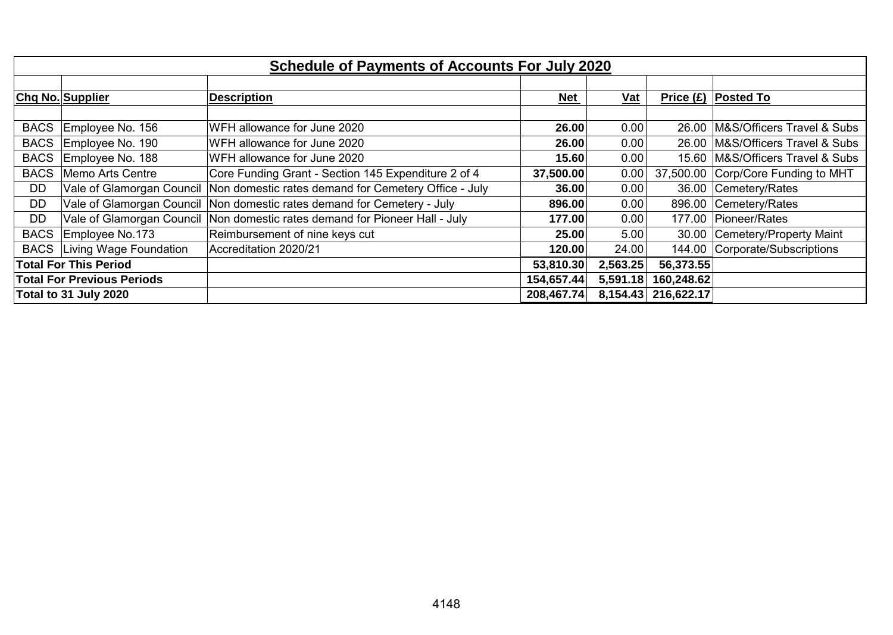| <b>Schedule of Payments of Accounts For July 2020</b> |                                                 |                                                      |            |          |            |                            |  |  |
|-------------------------------------------------------|-------------------------------------------------|------------------------------------------------------|------------|----------|------------|----------------------------|--|--|
|                                                       |                                                 |                                                      |            |          |            |                            |  |  |
|                                                       | Chq No. Supplier                                | <b>Description</b>                                   | <u>Net</u> | $vat$    |            | Price $(E)$ Posted To      |  |  |
|                                                       |                                                 |                                                      |            |          |            |                            |  |  |
| <b>BACS</b>                                           | Employee No. 156                                | WFH allowance for June 2020                          | 26.00      | 0.00     | 26.00      | M&S/Officers Travel & Subs |  |  |
| <b>BACS</b>                                           | Employee No. 190                                | WFH allowance for June 2020                          | 26.00      | 0.00     | 26.00      | M&S/Officers Travel & Subs |  |  |
| <b>BACS</b>                                           | Employee No. 188                                | WFH allowance for June 2020                          | 15.60      | 0.00     | 15.60      | M&S/Officers Travel & Subs |  |  |
| <b>BACS</b>                                           | Memo Arts Centre                                | Core Funding Grant - Section 145 Expenditure 2 of 4  | 37,500.00  | 0.00     | 37,500.00  | Corp/Core Funding to MHT   |  |  |
| <b>DD</b>                                             | Vale of Glamorgan Council                       | Non domestic rates demand for Cemetery Office - July | 36.00      | 0.00     |            | 36.00 Cemetery/Rates       |  |  |
| <b>DD</b>                                             | Vale of Glamorgan Council                       | Non domestic rates demand for Cemetery - July        | 896.00     | 0.00     | 896.00     | Cemetery/Rates             |  |  |
| <b>DD</b>                                             | Vale of Glamorgan Council                       | Non domestic rates demand for Pioneer Hall - July    | 177.00     | 0.00     | 177.00     | Pioneer/Rates              |  |  |
| <b>BACS</b>                                           | Employee No.173                                 | Reimbursement of nine keys cut                       | 25.00      | 5.00     | 30.00      | Cemetery/Property Maint    |  |  |
| <b>BACS</b>                                           | Living Wage Foundation<br>Accreditation 2020/21 |                                                      | 120.00     | 24.00    | 144.00     | Corporate/Subscriptions    |  |  |
|                                                       | <b>Total For This Period</b>                    |                                                      | 53,810.30  | 2,563.25 | 56,373.55  |                            |  |  |
|                                                       | <b>Total For Previous Periods</b>               |                                                      | 154,657.44 | 5,591.18 | 160,248.62 |                            |  |  |
|                                                       | Total to 31 July 2020                           |                                                      | 208,467.74 | 8,154.43 | 216,622.17 |                            |  |  |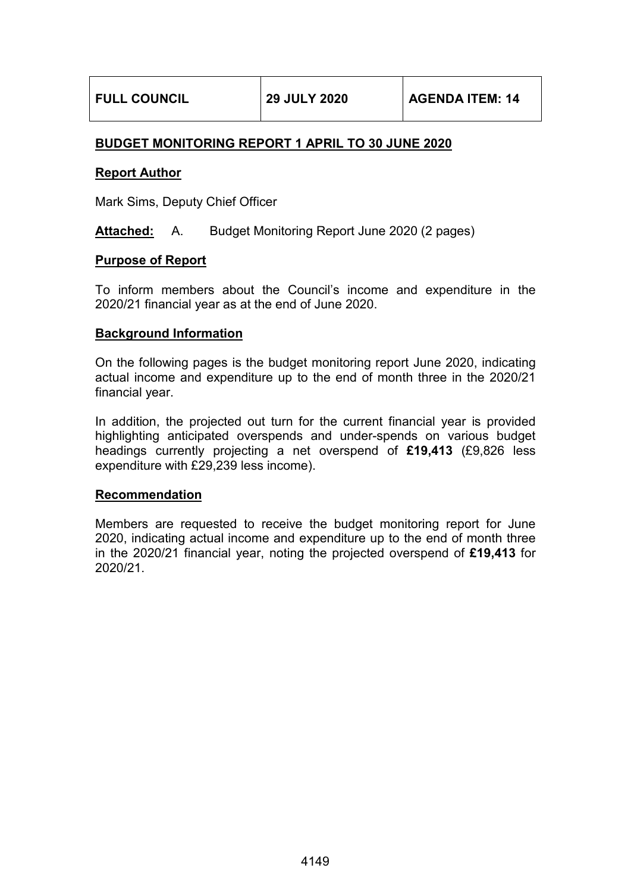# **BUDGET MONITORING REPORT 1 APRIL TO 30 JUNE 2020**

# **Report Author**

Mark Sims, Deputy Chief Officer

**Attached:** A. Budget Monitoring Report June 2020 (2 pages)

# **Purpose of Report**

To inform members about the Council's income and expenditure in the 2020/21 financial year as at the end of June 2020.

# **Background Information**

On the following pages is the budget monitoring report June 2020, indicating actual income and expenditure up to the end of month three in the 2020/21 financial year.

In addition, the projected out turn for the current financial year is provided highlighting anticipated overspends and under-spends on various budget headings currently projecting a net overspend of **£19,413** (£9,826 less expenditure with £29,239 less income).

### **Recommendation**

Members are requested to receive the budget monitoring report for June 2020, indicating actual income and expenditure up to the end of month three in the 2020/21 financial year, noting the projected overspend of **£19,413** for 2020/21.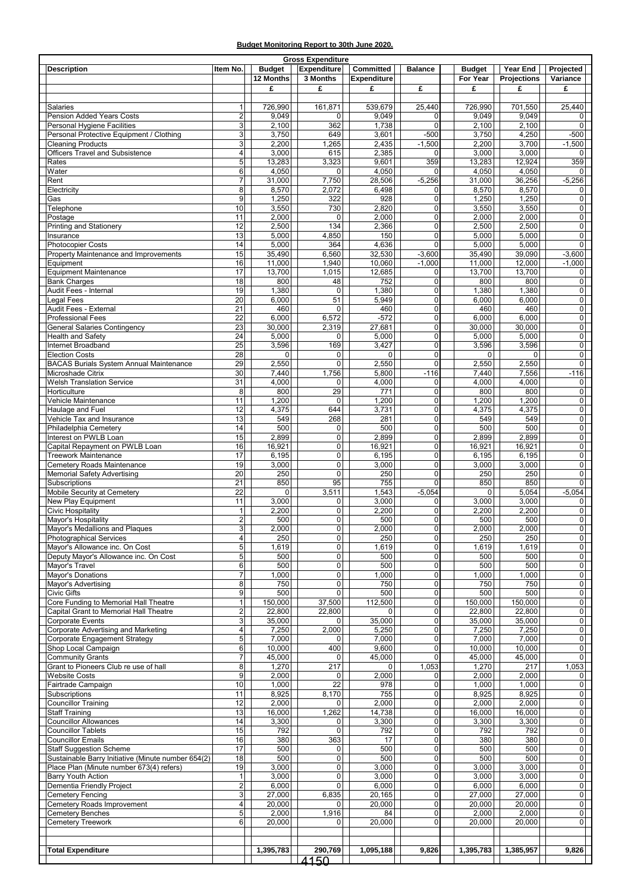#### **Budget Monitoring Report to 30th June 2020.**

|                    |                                                    |                         |                | <b>Gross Expenditure</b> |                    |                |                |                |                |
|--------------------|----------------------------------------------------|-------------------------|----------------|--------------------------|--------------------|----------------|----------------|----------------|----------------|
|                    | <b>Description</b>                                 | Item No.                | <b>Budget</b>  | <b>Expenditure</b>       | <b>Committed</b>   | <b>Balance</b> | <b>Budget</b>  | Year End       | Projected      |
|                    |                                                    |                         | 12 Months      | 3 Months                 | <b>Expenditure</b> |                | For Year       | Projections    | Variance       |
|                    |                                                    |                         | £              | £                        | £                  | £              | £              | £              | £              |
|                    |                                                    |                         |                |                          |                    |                |                |                |                |
| Salaries           |                                                    | $\mathbf{1}$            | 726,990        | 161,871                  | 539,679            | 25,440         | 726,990        | 701,550        | 25,440         |
|                    | Pension Added Years Costs                          | $\overline{2}$          | 9,049          | 0                        | 9,049              | $\mathbf 0$    | 9,049          | 9,049          | 0              |
|                    | <b>Personal Hygiene Facilities</b>                 | 3                       | 2,100          | 362                      | 1,738              | $\Omega$       | 2,100          | 2,100          | $\Omega$       |
|                    | Personal Protective Equipment / Clothing           | 3                       | 3,750          | 649                      | 3,601              | $-500$         | 3,750          | 4,250          | -500           |
|                    | <b>Cleaning Products</b>                           | 3                       | 2,200          | 1,265                    | 2,435              | $-1,500$       | 2,200          | 3,700          | $-1,500$       |
|                    | <b>Officers Travel and Subsistence</b>             | 4                       | 3,000          | 615                      | 2,385              | $\mathbf 0$    | 3,000          | 3,000          | 0              |
| Rates              |                                                    | 5                       | 13,283         | 3,323                    | 9,601              | 359            | 13,283         | 12.924         | 359            |
| Water              |                                                    | 6                       | 4,050          | 0                        | 4,050              | $\mathbf 0$    | 4,050          | 4,050          | 0              |
| Rent               |                                                    | 7                       | 31,000         | 7,750                    | 28,506             | $-5,256$       | 31,000         | 36,256         | $-5,256$       |
| Electricity        |                                                    | 8                       | 8,570          | 2,072                    | 6,498              | $\Omega$       | 8,570          | 8,570          | $\Omega$       |
| Gas                |                                                    | 9                       | 1,250          | 322                      | 928                | $\mathbf 0$    | 1,250          | 1,250          | 0              |
| Telephone          |                                                    | 10                      | 3,550          | 730                      | 2,820              | $\mathbf 0$    | 3,550          | 3,550          | 0              |
| Postage            |                                                    | 11                      | 2,000          | 0                        | 2,000              | $\mathbf 0$    | 2,000          | 2,000          | $\overline{0}$ |
|                    | Printing and Stationery                            | 12                      | 2,500          | 134                      | 2,366              | $\mathbf 0$    | 2,500          | 2,500          | $\overline{0}$ |
|                    |                                                    | 13                      |                | 4,850                    | 150                | $\pmb{0}$      |                |                | $\overline{0}$ |
| Insurance          |                                                    | 14                      | 5,000<br>5,000 | 364                      | 4,636              | $\Omega$       | 5,000<br>5,000 | 5,000<br>5,000 | $\Omega$       |
|                    | <b>Photocopier Costs</b>                           |                         |                |                          |                    |                |                |                |                |
|                    | Property Maintenance and Improvements              | 15                      | 35,490         | 6,560                    | 32,530             | $-3,600$       | 35,490         | 39,090         | $-3,600$       |
|                    | Equipment                                          | 16                      | 11,000         | 1,940                    | 10,060             | $-1,000$       | 11,000         | 12,000         | $-1,000$       |
|                    | <b>Equipment Maintenance</b>                       | $\overline{17}$         | 13,700         | 1,015                    | 12,685             | $\mathbf 0$    | 13,700         | 13,700         | 0              |
|                    | <b>Bank Charges</b>                                | $\overline{18}$         | 800            | 48                       | 752                | $\pmb{0}$      | 800            | 800            | $\overline{0}$ |
|                    | Audit Fees - Internal                              | 19                      | 1,380          | $\mathbf 0$              | 1,380              | $\mathbf 0$    | 1,380          | 1,380          | $\overline{0}$ |
|                    | <b>Legal Fees</b>                                  | 20                      | 6,000          | 51                       | 5,949              | $\mathbf 0$    | 6,000          | 6,000          | $\overline{0}$ |
|                    | Audit Fees - External                              | 21                      | 460            | 0                        | 460                | $\overline{0}$ | 460            | 460            | $\overline{0}$ |
|                    | <b>Professional Fees</b>                           | $\overline{22}$         | 6,000          | 6,572                    | $-572$             | $\pmb{0}$      | 6,000          | 6,000          | $\overline{0}$ |
|                    | <b>General Salaries Contingency</b>                | $\overline{23}$         | 30,000         | 2,319                    | 27,681             | $\mathbf 0$    | 30,000         | 30,000         | 0              |
|                    | Health and Safety                                  | 24                      | 5,000          | 0                        | 5,000              | $\mathbf 0$    | 5,000          | 5,000          | 0              |
|                    | Internet Broadband                                 | 25                      | 3,596          | 169                      | 3,427              | $\mathbf 0$    | 3,596          | 3,596          | 0              |
|                    | <b>Election Costs</b>                              | 28                      | 0              | 0                        | 0                  | $\mathbf 0$    | 0              | $\mathbf 0$    | 0              |
|                    | <b>BACAS Burials System Annual Maintenance</b>     | 29                      | 2,550          | 0                        | 2,550              | $\mathbf 0$    | 2,550          | 2,550          | 0              |
|                    | Microshade Citrix                                  | 30                      | 7,440          | 1,756                    | 5,800              | $-116$         | 7,440          | 7,556          | $-116$         |
|                    | <b>Welsh Translation Service</b>                   | 31                      | 4,000          | $\mathbf 0$              | 4,000              | $\mathbf 0$    | 4,000          | 4,000          | 0              |
|                    | Horticulture                                       | 8                       | 800            | 29                       | 771                | $\mathbf 0$    | 800            | 800            | $\overline{0}$ |
|                    | Vehicle Maintenance                                | 11                      | 1,200          | 0                        | 1,200              | $\pmb{0}$      | 1,200          | 1,200          | 0              |
|                    | Haulage and Fuel                                   | 12                      | 4,375          | 644                      | 3,731              | $\mathbf 0$    | 4,375          | 4,375          | 0              |
|                    | Vehicle Tax and Insurance                          | 13                      | 549            | 268                      | 281                | $\mathbf 0$    | 549            | 549            | 0              |
|                    | Philadelphia Cemetery                              | 14                      | 500            | $\mathbf 0$              | 500                | $\mathbf 0$    | 500            | 500            | $\overline{0}$ |
|                    | Interest on PWLB Loan                              | 15                      | 2,899          | 0                        | 2,899              | $\mathbf 0$    | 2,899          | 2,899          | 0              |
|                    |                                                    | 16                      | 16,921         | 0                        |                    | $\pmb{0}$      |                |                | $\overline{0}$ |
|                    | Capital Repayment on PWLB Loan                     |                         |                | 0                        | 16,921             | $\mathbf 0$    | 16,921         | 16,921         | $\overline{0}$ |
|                    | <b>Treework Maintenance</b>                        | 17                      | 6,195          |                          | 6,195              |                | 6,195          | 6,195          |                |
|                    | Cemetery Roads Maintenance                         | 19                      | 3,000          | $\pmb{0}$                | 3,000              | $\pmb{0}$      | 3,000          | 3,000          | $\overline{0}$ |
|                    | Memorial Safety Advertising                        | $\overline{20}$         | 250            | 0                        | 250                | $\mathbf 0$    | 250            | 250            | 0              |
|                    | Subscriptions                                      | 21                      | 850            | 95                       | 755                | $\Omega$       | 850            | 850            | $\Omega$       |
|                    | Mobile Security at Cemetery                        | 22                      | 0              | 3,511                    | 1,543              | $-5,054$       | 0              | 5,054          | $-5,054$       |
|                    | New Play Equipment                                 | 11                      | 3,000          | 0                        | 3,000              | $\mathbf 0$    | 3,000          | 3,000          | 0              |
|                    | <b>Civic Hospitality</b>                           | $\mathbf{1}$            | 2,200          | 0                        | 2,200              | $\pmb{0}$      | 2,200          | 2,200          | $\overline{0}$ |
|                    | Mayor's Hospitality                                | $\overline{2}$          | 500            | 0                        | 500                | $\mathbf 0$    | 500            | 500            | $\overline{0}$ |
|                    | Mayor's Medallions and Plaques                     | $\mathbf{3}$            | 2,000          | 0                        | 2,000              | $\overline{0}$ | 2,000          | 2,000          | $\overline{0}$ |
|                    | Photographical Services                            | 4                       | 250            | $\pmb{0}$                | 250                | $\overline{0}$ | 250            | 250            | $\overline{0}$ |
|                    | Mayor's Allowance inc. On Cost                     | 5                       | 1,619          | 0                        | 1,619              | $\mathbf 0$    | 1,619          | 1,619          | $\overline{0}$ |
|                    | Deputy Mayor's Allowance inc. On Cost              | 5                       | 500            | 0                        | 500                | $\mathbf 0$    | 500            | 500            | $\overline{0}$ |
|                    | Mayor's Travel                                     | 6                       | 500            | 0                        | 500                | $\mathbf 0$    | 500            | 500            | $\overline{0}$ |
|                    | Mayor's Donations                                  | $\overline{7}$          | 1,000          | 0                        | 1,000              | $\mathbf 0$    | 1,000          | 1,000          | $\overline{0}$ |
|                    | Mayor's Advertising                                | 8                       | 750            | 0                        | 750                | $\mathbf 0$    | 750            | 750            | $\overline{0}$ |
| <b>Civic Gifts</b> |                                                    | 9                       | 500            | 0                        | 500                | $\pmb{0}$      | 500            | 500            | $\overline{0}$ |
|                    | Core Funding to Memorial Hall Theatre              | $\mathbf{1}$            | 150,000        | 37,500                   | 112,500            | $\mathbf 0$    | 150,000        | 150,000        | $\overline{0}$ |
|                    | Capital Grant to Memorial Hall Theatre             | 2                       | 22,800         | 22,800                   | $\mathbf 0$        | $\pmb{0}$      | 22,800         | 22,800         | $\overline{0}$ |
|                    | <b>Corporate Events</b>                            | 3                       | 35,000         | 0                        | 35,000             | $\pmb{0}$      | 35,000         | 35,000         | $\overline{0}$ |
|                    | Corporate Advertising and Marketing                | 4                       | 7,250          | 2,000                    | 5,250              | $\pmb{0}$      | 7,250          | 7,250          | $\overline{0}$ |
|                    | Corporate Engagement Strategy                      | 5                       | 7,000          | 0                        | 7,000              | $\mathbf 0$    | 7,000          | 7,000          | $\overline{0}$ |
|                    | Shop Local Campaign                                | 6                       | 10,000         | 400                      | 9,600              | $\mathbf 0$    | 10,000         | 10,000         | $\overline{0}$ |
|                    | <b>Community Grants</b>                            | $\overline{7}$          | 45,000         | $\mathbf 0$              | 45,000             | $\overline{0}$ | 45,000         | 45,000         | $\overline{0}$ |
|                    | Grant to Pioneers Club re use of hall              | 8                       | 1,270          | 217                      | 0                  | 1,053          | 1,270          | 217            | 1,053          |
|                    | <b>Website Costs</b>                               | 9                       | 2,000          | 0                        | 2,000              | 0              | 2,000          | 2,000          | 0              |
|                    | Fairtrade Campaign                                 | 10                      | 1,000          | 22                       | 978                | $\mathbf 0$    | 1,000          | 1,000          | $\overline{0}$ |
|                    | Subscriptions                                      | 11                      | 8,925          | 8,170                    | 755                | $\pmb{0}$      | 8,925          | 8,925          | $\overline{0}$ |
|                    | Councillor Training                                | $\overline{12}$         | 2,000          | 0                        | 2,000              | $\pmb{0}$      | 2,000          | 2,000          | $\overline{0}$ |
|                    |                                                    |                         |                |                          |                    |                |                |                |                |
|                    | <b>Staff Training</b>                              | 13                      | 16,000         | 1,262                    | 14,738             | $\pmb{0}$      | 16,000         | 16,000         | $\overline{0}$ |
|                    | <b>Councillor Allowances</b>                       | 14                      | 3,300          | 0                        | 3,300              | $\mathbf 0$    | 3,300          | 3,300          | $\overline{0}$ |
|                    | <b>Councillor Tablets</b>                          | 15                      | 792            | 0                        | 792                | $\mathbf 0$    | 792            | 792            | $\overline{0}$ |
|                    | <b>Councillor Emails</b>                           | 16                      | 380            | 363                      | 17                 | $\pmb{0}$      | 380            | 380            | $\overline{0}$ |
|                    | <b>Staff Suggestion Scheme</b>                     | 17                      | 500            | 0                        | 500                | $\pmb{0}$      | 500            | 500            | $\overline{0}$ |
|                    | Sustainable Barry Initiative (Minute number 654(2) | 18                      | 500            | $\pmb{0}$                | 500                | $\pmb{0}$      | 500            | 500            | $\overline{0}$ |
|                    | Place Plan (Minute number 673(4) refers)           | 19                      | 3,000          | 0                        | 3,000              | $\mathbf 0$    | 3,000          | 3,000          | $\overline{0}$ |
|                    | <b>Barry Youth Action</b>                          | $\mathbf{1}$            | 3,000          | 0                        | 3,000              | $\pmb{0}$      | 3,000          | 3,000          | $\overline{0}$ |
|                    | Dementia Friendly Project                          | $\overline{\mathbf{c}}$ | 6,000          | 0                        | 6,000              | $\mathbf 0$    | 6,000          | 6,000          | $\overline{0}$ |
|                    | <b>Cemetery Fencing</b>                            | 3                       | 27,000         | 6,835                    | 20,165             | $\mathbf 0$    | 27,000         | 27,000         | $\overline{0}$ |
|                    | Cemetery Roads Improvement                         | 4                       | 20,000         | 0                        | 20,000             | $\mathbf 0$    | 20,000         | 20,000         | $\overline{0}$ |
|                    | <b>Cemetery Benches</b>                            | 5                       | 2,000          | 1,916                    | 84                 | $\mathbf 0$    | 2,000          | 2,000          | $\overline{0}$ |
|                    | <b>Cemetery Treework</b>                           | 6                       | 20,000         | 0                        | 20,000             | $\mathbf 0$    | 20,000         | 20,000         | $\overline{0}$ |
|                    |                                                    |                         |                |                          |                    |                |                |                |                |
|                    |                                                    |                         |                |                          |                    |                |                |                |                |
|                    | <b>Total Expenditure</b>                           |                         | 1,395,783      | 290,769                  | 1,095,188          | 9,826          | 1,395,783      | 1,385,957      | 9,826          |
|                    |                                                    |                         |                | 4150                     |                    |                |                |                |                |
|                    |                                                    |                         |                |                          |                    |                |                |                |                |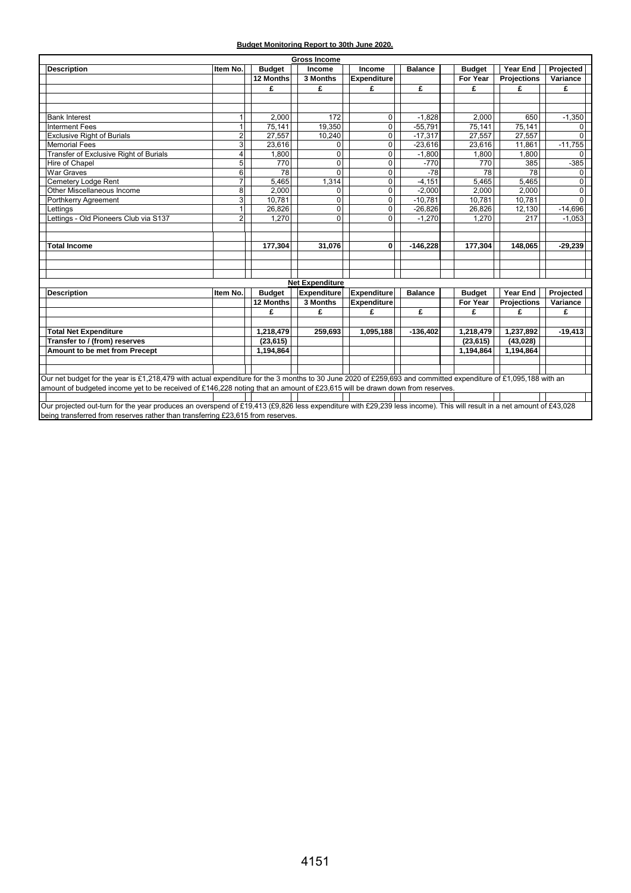| Budget Monitoring Report to 30th June 2020. |  |  |
|---------------------------------------------|--|--|
|                                             |  |  |

| <b>Gross Income</b>                                                                                                                                                  |                         |               |                        |                    |                |               |             |                |
|----------------------------------------------------------------------------------------------------------------------------------------------------------------------|-------------------------|---------------|------------------------|--------------------|----------------|---------------|-------------|----------------|
| <b>Description</b>                                                                                                                                                   | Item No.                | <b>Budget</b> | Income                 | Income             | <b>Balance</b> | <b>Budget</b> | Year End    | Projected      |
|                                                                                                                                                                      |                         | 12 Months     | 3 Months               | <b>Expenditure</b> |                | For Year      | Projections | Variance       |
|                                                                                                                                                                      |                         | £             | £                      | £                  | £              | £             | £           | £              |
|                                                                                                                                                                      |                         |               |                        |                    |                |               |             |                |
|                                                                                                                                                                      |                         |               |                        |                    |                |               |             |                |
| <b>Bank Interest</b>                                                                                                                                                 | 1                       | 2,000         | 172                    | $\mathbf 0$        | $-1,828$       | 2,000         | 650         | $-1,350$       |
| Interment Fees                                                                                                                                                       | $\mathbf{1}$            | 75,141        | 19,350                 | 0                  | $-55,791$      | 75,141        | 75,141      |                |
| <b>Exclusive Right of Burials</b>                                                                                                                                    | $\overline{2}$          | 27,557        | 10,240                 | 0                  | $-17,317$      | 27,557        | 27,557      | $\Omega$       |
| <b>Memorial Fees</b>                                                                                                                                                 | $\overline{\mathbf{3}}$ | 23,616        | $\Omega$               | 0                  | $-23,616$      | 23,616        | 11,861      | $-11,755$      |
| Transfer of Exclusive Right of Burials                                                                                                                               | 4                       | 1,800         | 0                      | 0                  | $-1,800$       | 1,800         | 1,800       | 0              |
| Hire of Chapel                                                                                                                                                       | 5                       | 770           | $\mathbf 0$            | $\Omega$           | $-770$         | 770           | 385         | $-385$         |
| <b>War Graves</b>                                                                                                                                                    | $6 \overline{6}$        | 78            | $\Omega$               | $\mathbf 0$        | $-78$          | 78            | 78          | $\Omega$       |
| Cemetery Lodge Rent                                                                                                                                                  | $\overline{7}$          | 5,465         | 1,314                  | 0                  | $-4.151$       | 5,465         | 5,465       | $\overline{0}$ |
| Other Miscellaneous Income                                                                                                                                           | 8                       | 2.000         | 0                      | 0                  | $-2.000$       | 2.000         | 2.000       | $\Omega$       |
| Porthkerry Agreement                                                                                                                                                 | $\overline{3}$          | 10.781        | $\Omega$               | $\mathbf 0$        | $-10.781$      | 10.781        | 10.781      | $\Omega$       |
| Lettings                                                                                                                                                             | 1                       | 26.826        | 0                      | $\mathbf 0$        | $-26,826$      | 26,826        | 12,130      | $-14,696$      |
| Lettings - Old Pioneers Club via S137                                                                                                                                | 21                      | 1,270         | $\Omega$               | $\Omega$           | $-1.270$       | 1.270         | 217         | $-1,053$       |
|                                                                                                                                                                      |                         |               |                        |                    |                |               |             |                |
|                                                                                                                                                                      |                         |               |                        |                    |                |               |             |                |
| <b>Total Income</b>                                                                                                                                                  |                         | 177,304       | 31,076                 | 0                  | $-146,228$     | 177,304       | 148,065     | $-29,239$      |
|                                                                                                                                                                      |                         |               |                        |                    |                |               |             |                |
|                                                                                                                                                                      |                         |               |                        |                    |                |               |             |                |
|                                                                                                                                                                      |                         |               |                        |                    |                |               |             |                |
|                                                                                                                                                                      |                         |               | <b>Net Expenditure</b> |                    |                |               |             |                |
| <b>Description</b>                                                                                                                                                   | Item No.                | <b>Budget</b> | <b>Expenditure</b>     | <b>Expenditure</b> | <b>Balance</b> | <b>Budget</b> | Year End    | Projected      |
|                                                                                                                                                                      |                         | 12 Months     | 3 Months               | Expenditure        |                | For Year      | Projections | Variance       |
|                                                                                                                                                                      |                         | £             | £                      | £                  | £              | £             | £           | £              |
|                                                                                                                                                                      |                         |               |                        |                    |                |               |             |                |
| <b>Total Net Expenditure</b>                                                                                                                                         |                         | 1,218,479     | 259,693                | 1,095,188          | $-136,402$     | 1,218,479     | 1,237,892   | $-19,413$      |
| Transfer to / (from) reserves                                                                                                                                        |                         | (23, 615)     |                        |                    |                | (23, 615)     | (43,028)    |                |
| Amount to be met from Precept                                                                                                                                        |                         | 1,194,864     |                        |                    |                | 1,194,864     | 1,194,864   |                |
|                                                                                                                                                                      |                         |               |                        |                    |                |               |             |                |
|                                                                                                                                                                      |                         |               |                        |                    |                |               |             |                |
| Our net budget for the year is £1,218,479 with actual expenditure for the 3 months to 30 June 2020 of £259,693 and committed expenditure of £1,095,188 with an       |                         |               |                        |                    |                |               |             |                |
| amount of budgeted income yet to be received of £146,228 noting that an amount of £23,615 will be drawn down from reserves.                                          |                         |               |                        |                    |                |               |             |                |
|                                                                                                                                                                      |                         |               |                        |                    |                |               |             |                |
| Our projected out-turn for the year produces an overspend of £19,413 (£9,826 less expenditure with £29,239 less income). This will result in a net amount of £43,028 |                         |               |                        |                    |                |               |             |                |
| being transferred from reserves rather than transferring £23,615 from reserves.                                                                                      |                         |               |                        |                    |                |               |             |                |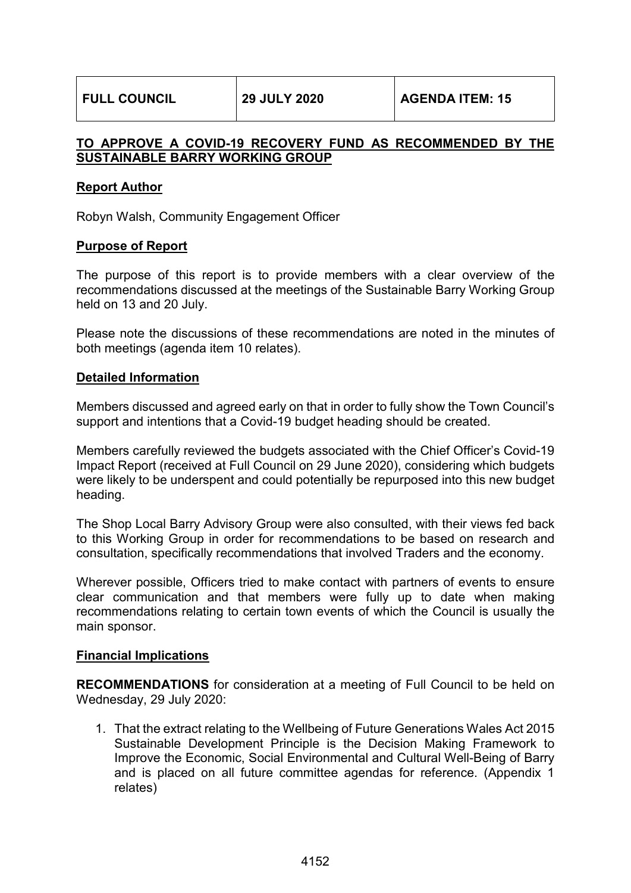# **TO APPROVE A COVID-19 RECOVERY FUND AS RECOMMENDED BY THE SUSTAINABLE BARRY WORKING GROUP**

# **Report Author**

Robyn Walsh, Community Engagement Officer

# **Purpose of Report**

The purpose of this report is to provide members with a clear overview of the recommendations discussed at the meetings of the Sustainable Barry Working Group held on 13 and 20 July.

Please note the discussions of these recommendations are noted in the minutes of both meetings (agenda item 10 relates).

### **Detailed Information**

Members discussed and agreed early on that in order to fully show the Town Council's support and intentions that a Covid-19 budget heading should be created.

Members carefully reviewed the budgets associated with the Chief Officer's Covid-19 Impact Report (received at Full Council on 29 June 2020), considering which budgets were likely to be underspent and could potentially be repurposed into this new budget heading.

The Shop Local Barry Advisory Group were also consulted, with their views fed back to this Working Group in order for recommendations to be based on research and consultation, specifically recommendations that involved Traders and the economy.

Wherever possible, Officers tried to make contact with partners of events to ensure clear communication and that members were fully up to date when making recommendations relating to certain town events of which the Council is usually the main sponsor.

### **Financial Implications**

**RECOMMENDATIONS** for consideration at a meeting of Full Council to be held on Wednesday, 29 July 2020:

1. That the extract relating to the Wellbeing of Future Generations Wales Act 2015 Sustainable Development Principle is the Decision Making Framework to Improve the Economic, Social Environmental and Cultural Well-Being of Barry and is placed on all future committee agendas for reference. (Appendix 1 relates)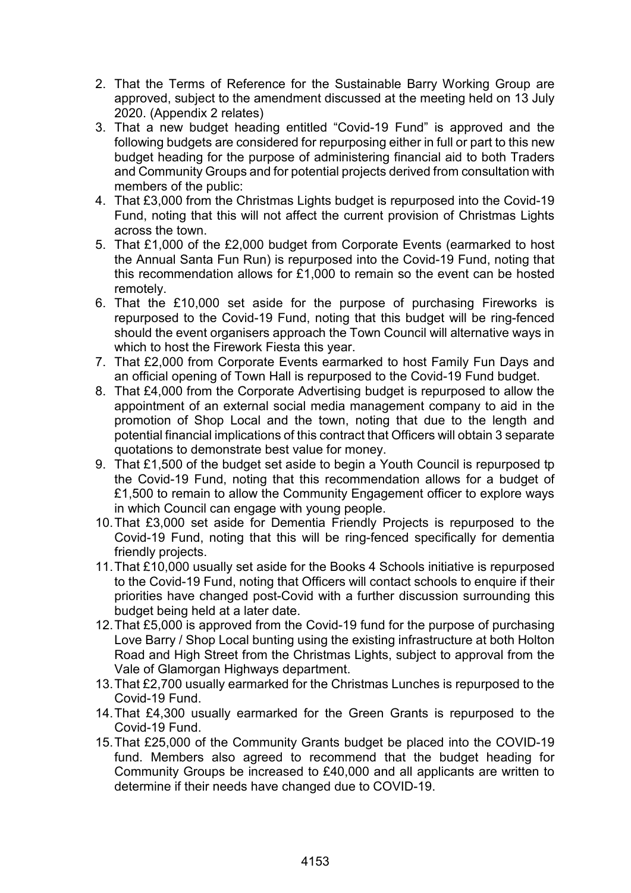- 2. That the Terms of Reference for the Sustainable Barry Working Group are approved, subject to the amendment discussed at the meeting held on 13 July 2020. (Appendix 2 relates)
- 3. That a new budget heading entitled "Covid-19 Fund" is approved and the following budgets are considered for repurposing either in full or part to this new budget heading for the purpose of administering financial aid to both Traders and Community Groups and for potential projects derived from consultation with members of the public:
- 4. That £3,000 from the Christmas Lights budget is repurposed into the Covid-19 Fund, noting that this will not affect the current provision of Christmas Lights across the town.
- 5. That £1,000 of the £2,000 budget from Corporate Events (earmarked to host the Annual Santa Fun Run) is repurposed into the Covid-19 Fund, noting that this recommendation allows for £1,000 to remain so the event can be hosted remotely.
- 6. That the £10,000 set aside for the purpose of purchasing Fireworks is repurposed to the Covid-19 Fund, noting that this budget will be ring-fenced should the event organisers approach the Town Council will alternative ways in which to host the Firework Fiesta this year.
- 7. That £2,000 from Corporate Events earmarked to host Family Fun Days and an official opening of Town Hall is repurposed to the Covid-19 Fund budget.
- 8. That £4,000 from the Corporate Advertising budget is repurposed to allow the appointment of an external social media management company to aid in the promotion of Shop Local and the town, noting that due to the length and potential financial implications of this contract that Officers will obtain 3 separate quotations to demonstrate best value for money.
- 9. That £1,500 of the budget set aside to begin a Youth Council is repurposed tp the Covid-19 Fund, noting that this recommendation allows for a budget of £1,500 to remain to allow the Community Engagement officer to explore ways in which Council can engage with young people.
- 10.That £3,000 set aside for Dementia Friendly Projects is repurposed to the Covid-19 Fund, noting that this will be ring-fenced specifically for dementia friendly projects.
- 11.That £10,000 usually set aside for the Books 4 Schools initiative is repurposed to the Covid-19 Fund, noting that Officers will contact schools to enquire if their priorities have changed post-Covid with a further discussion surrounding this budget being held at a later date.
- 12.That £5,000 is approved from the Covid-19 fund for the purpose of purchasing Love Barry / Shop Local bunting using the existing infrastructure at both Holton Road and High Street from the Christmas Lights, subject to approval from the Vale of Glamorgan Highways department.
- 13.That £2,700 usually earmarked for the Christmas Lunches is repurposed to the Covid-19 Fund.
- 14.That £4,300 usually earmarked for the Green Grants is repurposed to the Covid-19 Fund.
- 15.That £25,000 of the Community Grants budget be placed into the COVID-19 fund. Members also agreed to recommend that the budget heading for Community Groups be increased to £40,000 and all applicants are written to determine if their needs have changed due to COVID-19.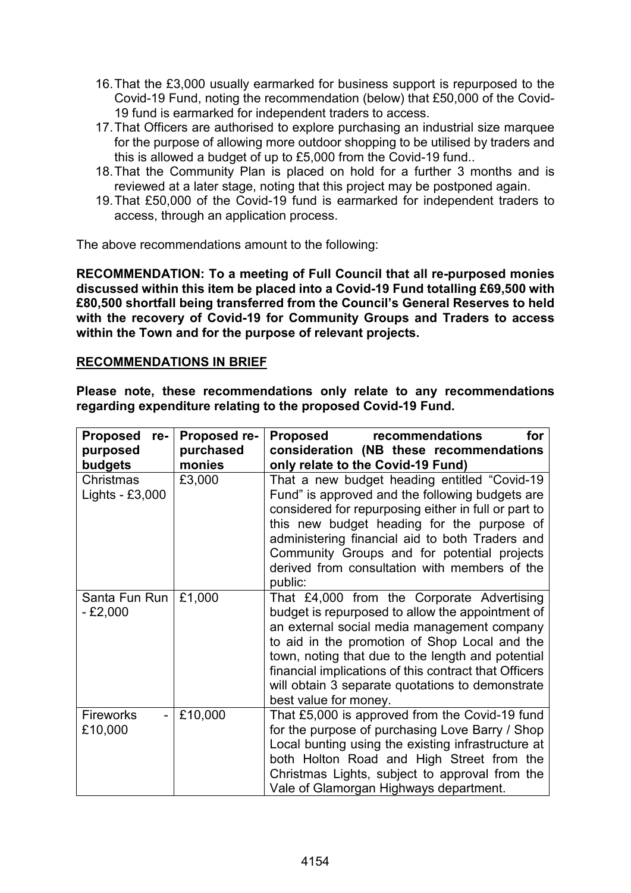- 16.That the £3,000 usually earmarked for business support is repurposed to the Covid-19 Fund, noting the recommendation (below) that £50,000 of the Covid-19 fund is earmarked for independent traders to access.
- 17.That Officers are authorised to explore purchasing an industrial size marquee for the purpose of allowing more outdoor shopping to be utilised by traders and this is allowed a budget of up to £5,000 from the Covid-19 fund..
- 18.That the Community Plan is placed on hold for a further 3 months and is reviewed at a later stage, noting that this project may be postponed again.
- 19.That £50,000 of the Covid-19 fund is earmarked for independent traders to access, through an application process.

The above recommendations amount to the following:

**RECOMMENDATION: To a meeting of Full Council that all re-purposed monies discussed within this item be placed into a Covid-19 Fund totalling £69,500 with £80,500 shortfall being transferred from the Council's General Reserves to held with the recovery of Covid-19 for Community Groups and Traders to access within the Town and for the purpose of relevant projects.**

# **RECOMMENDATIONS IN BRIEF**

**Please note, these recommendations only relate to any recommendations regarding expenditure relating to the proposed Covid-19 Fund.**

| Proposed re-<br>purposed                  | Proposed re-<br>purchased | recommendations<br>Proposed<br>for<br>consideration (NB these recommendations                                                                                                                                                                                                                                                                                                                             |
|-------------------------------------------|---------------------------|-----------------------------------------------------------------------------------------------------------------------------------------------------------------------------------------------------------------------------------------------------------------------------------------------------------------------------------------------------------------------------------------------------------|
| budgets<br>Christmas<br>Lights - $£3,000$ | monies<br>£3,000          | only relate to the Covid-19 Fund)<br>That a new budget heading entitled "Covid-19"<br>Fund" is approved and the following budgets are<br>considered for repurposing either in full or part to<br>this new budget heading for the purpose of<br>administering financial aid to both Traders and<br>Community Groups and for potential projects<br>derived from consultation with members of the<br>public: |
| Santa Fun Run<br>$-£2,000$                | £1,000                    | That £4,000 from the Corporate Advertising<br>budget is repurposed to allow the appointment of<br>an external social media management company<br>to aid in the promotion of Shop Local and the<br>town, noting that due to the length and potential<br>financial implications of this contract that Officers<br>will obtain 3 separate quotations to demonstrate<br>best value for money.                 |
| <b>Fireworks</b><br>£10,000               | £10,000                   | That £5,000 is approved from the Covid-19 fund<br>for the purpose of purchasing Love Barry / Shop<br>Local bunting using the existing infrastructure at<br>both Holton Road and High Street from the<br>Christmas Lights, subject to approval from the<br>Vale of Glamorgan Highways department.                                                                                                          |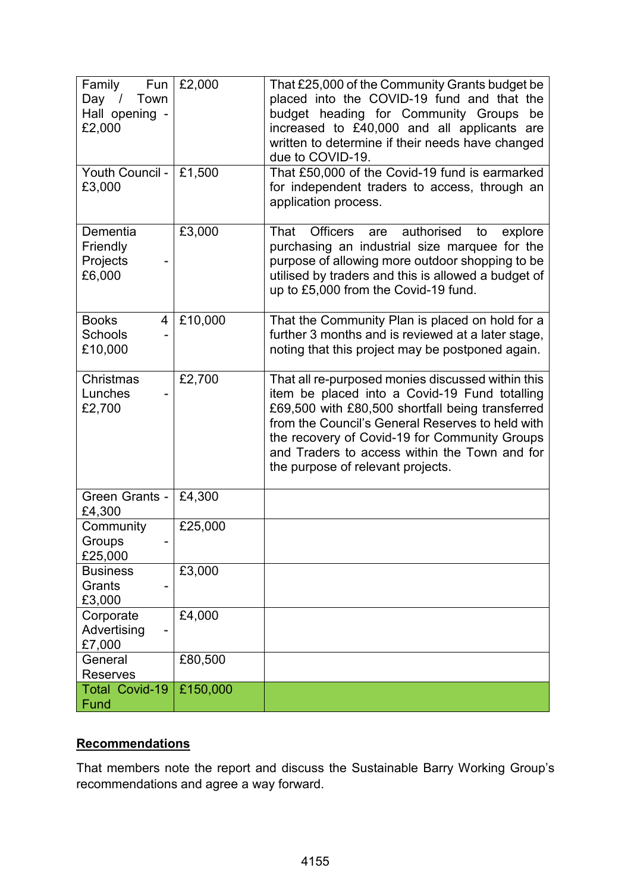| Family<br>Fun<br>Day / Town<br>Hall opening -<br>£2,000 | £2,000   | That £25,000 of the Community Grants budget be<br>placed into the COVID-19 fund and that the<br>budget heading for Community Groups<br>be<br>increased to £40,000 and all applicants are<br>written to determine if their needs have changed<br>due to COVID-19.                                                                                  |
|---------------------------------------------------------|----------|---------------------------------------------------------------------------------------------------------------------------------------------------------------------------------------------------------------------------------------------------------------------------------------------------------------------------------------------------|
| Youth Council -<br>£3,000                               | £1,500   | That £50,000 of the Covid-19 fund is earmarked<br>for independent traders to access, through an<br>application process.                                                                                                                                                                                                                           |
| Dementia<br>Friendly<br>Projects<br>£6,000              | £3,000   | <b>Officers</b><br>authorised<br>That<br>explore<br>are<br>to<br>purchasing an industrial size marquee for the<br>purpose of allowing more outdoor shopping to be<br>utilised by traders and this is allowed a budget of<br>up to £5,000 from the Covid-19 fund.                                                                                  |
| <b>Books</b><br>4<br><b>Schools</b><br>£10,000          | £10,000  | That the Community Plan is placed on hold for a<br>further 3 months and is reviewed at a later stage,<br>noting that this project may be postponed again.                                                                                                                                                                                         |
| Christmas<br>Lunches<br>£2,700                          | £2,700   | That all re-purposed monies discussed within this<br>item be placed into a Covid-19 Fund totalling<br>£69,500 with £80,500 shortfall being transferred<br>from the Council's General Reserves to held with<br>the recovery of Covid-19 for Community Groups<br>and Traders to access within the Town and for<br>the purpose of relevant projects. |
| Green Grants -<br>£4,300                                | £4,300   |                                                                                                                                                                                                                                                                                                                                                   |
| Community<br>Groups<br>£25,000                          | £25,000  |                                                                                                                                                                                                                                                                                                                                                   |
| <b>Business</b><br>Grants<br>£3,000                     | £3,000   |                                                                                                                                                                                                                                                                                                                                                   |
| Corporate<br>Advertising<br>£7,000                      | £4,000   |                                                                                                                                                                                                                                                                                                                                                   |
| General<br><b>Reserves</b>                              | £80,500  |                                                                                                                                                                                                                                                                                                                                                   |
| <b>Total Covid-19</b><br>Fund                           | £150,000 |                                                                                                                                                                                                                                                                                                                                                   |

# **Recommendations**

That members note the report and discuss the Sustainable Barry Working Group's recommendations and agree a way forward.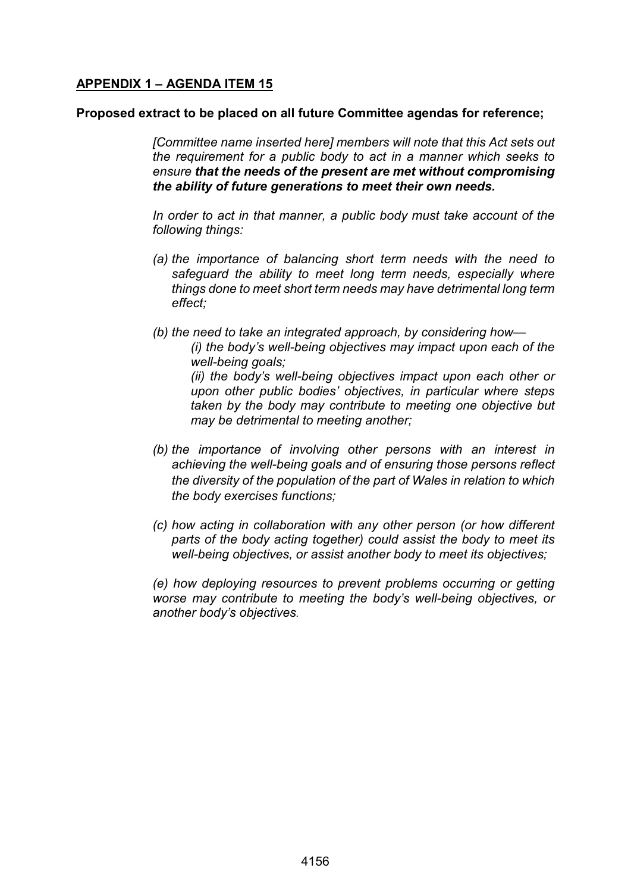# **APPENDIX 1 – AGENDA ITEM 15**

### **Proposed extract to be placed on all future Committee agendas for reference;**

*[Committee name inserted here] members will note that this Act sets out the requirement for a public body to act in a manner which seeks to ensure that the needs of the present are met without compromising the ability of future generations to meet their own needs.*

*In order to act in that manner, a public body must take account of the following things:*

- *(a) the importance of balancing short term needs with the need to safeguard the ability to meet long term needs, especially where things done to meet short term needs may have detrimental long term effect;*
- *(b) the need to take an integrated approach, by considering how— (i) the body's well-being objectives may impact upon each of the well-being goals; (ii) the body's well-being objectives impact upon each other or upon other public bodies' objectives, in particular where steps taken by the body may contribute to meeting one objective but may be detrimental to meeting another;*
- *(b) the importance of involving other persons with an interest in achieving the well-being goals and of ensuring those persons reflect the diversity of the population of the part of Wales in relation to which the body exercises functions;*
- *(c) how acting in collaboration with any other person (or how different parts of the body acting together) could assist the body to meet its well-being objectives, or assist another body to meet its objectives;*

*(e) how deploying resources to prevent problems occurring or getting worse may contribute to meeting the body's well-being objectives, or another body's objectives.*